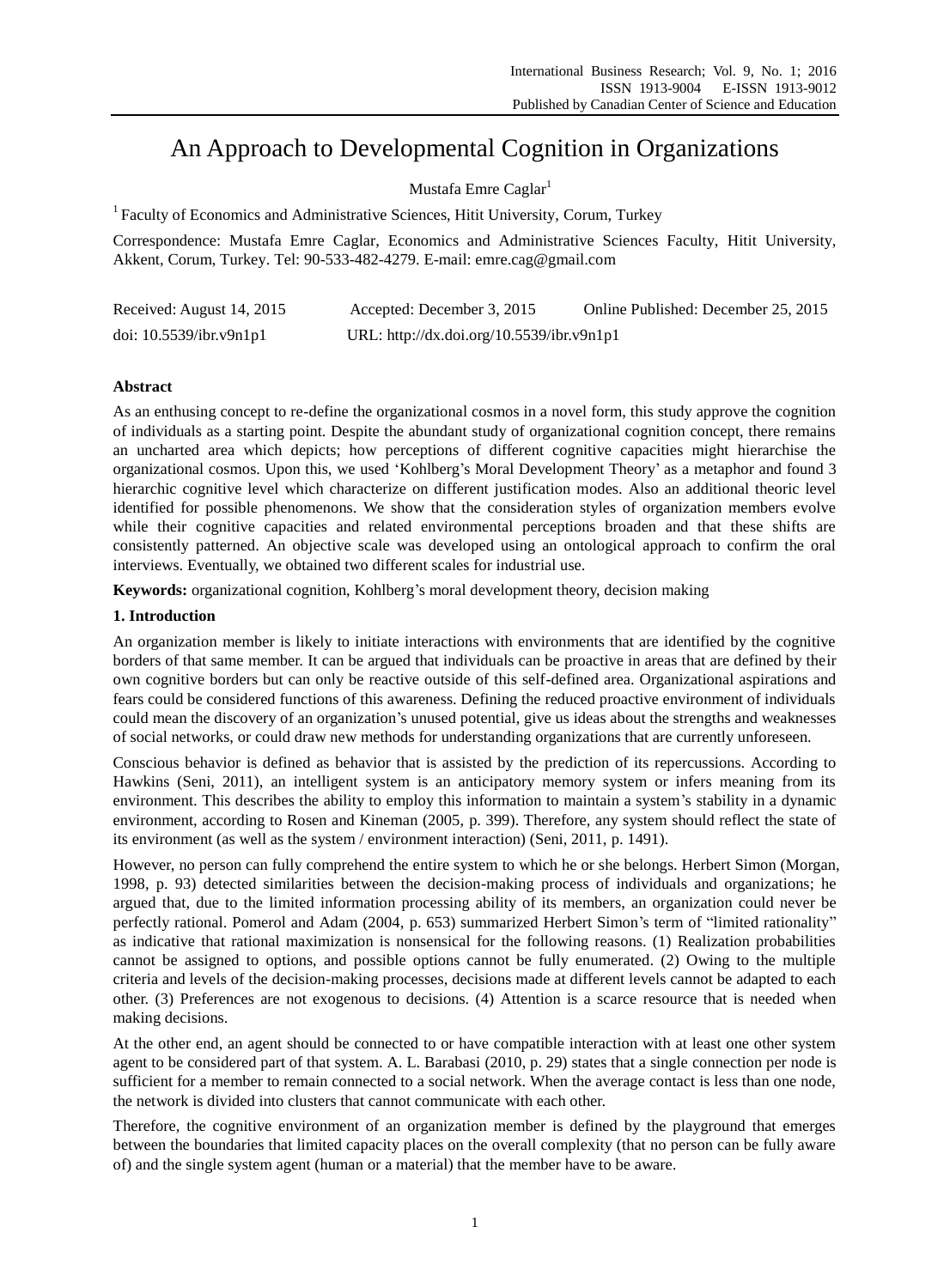# An Approach to Developmental Cognition in Organizations

# Mustafa Emre Caglar<sup>1</sup>

<sup>1</sup> Faculty of Economics and Administrative Sciences, Hitit University, Corum, Turkey

Correspondence: Mustafa Emre Caglar, Economics and Administrative Sciences Faculty, Hitit University, Akkent, Corum, Turkey. Tel: 90-533-482-4279. E-mail: emre.cag@gmail.com

| Received: August 14, 2015  | Accepted: December 3, 2015                | Online Published: December 25, 2015 |
|----------------------------|-------------------------------------------|-------------------------------------|
| doi: $10.5539$ /ibr.v9n1p1 | URL: http://dx.doi.org/10.5539/ibr.v9n1p1 |                                     |

# **Abstract**

As an enthusing concept to re-define the organizational cosmos in a novel form, this study approve the cognition of individuals as a starting point. Despite the abundant study of organizational cognition concept, there remains an uncharted area which depicts; how perceptions of different cognitive capacities might hierarchise the organizational cosmos. Upon this, we used 'Kohlberg's Moral Development Theory' as a metaphor and found 3 hierarchic cognitive level which characterize on different justification modes. Also an additional theoric level identified for possible phenomenons. We show that the consideration styles of organization members evolve while their cognitive capacities and related environmental perceptions broaden and that these shifts are consistently patterned. An objective scale was developed using an ontological approach to confirm the oral interviews. Eventually, we obtained two different scales for industrial use.

**Keywords:** organizational cognition, Kohlberg's moral development theory, decision making

# **1. Introduction**

An organization member is likely to initiate interactions with environments that are identified by the cognitive borders of that same member. It can be argued that individuals can be proactive in areas that are defined by their own cognitive borders but can only be reactive outside of this self-defined area. Organizational aspirations and fears could be considered functions of this awareness. Defining the reduced proactive environment of individuals could mean the discovery of an organization's unused potential, give us ideas about the strengths and weaknesses of social networks, or could draw new methods for understanding organizations that are currently unforeseen.

Conscious behavior is defined as behavior that is assisted by the prediction of its repercussions. According to Hawkins (Seni, 2011), an intelligent system is an anticipatory memory system or infers meaning from its environment. This describes the ability to employ this information to maintain a system's stability in a dynamic environment, according to Rosen and Kineman (2005, p. 399). Therefore, any system should reflect the state of its environment (as well as the system / environment interaction) (Seni, 2011, p. 1491).

However, no person can fully comprehend the entire system to which he or she belongs. Herbert Simon (Morgan, 1998, p. 93) detected similarities between the decision-making process of individuals and organizations; he argued that, due to the limited information processing ability of its members, an organization could never be perfectly rational. Pomerol and Adam (2004, p. 653) summarized Herbert Simon's term of "limited rationality" as indicative that rational maximization is nonsensical for the following reasons. (1) Realization probabilities cannot be assigned to options, and possible options cannot be fully enumerated. (2) Owing to the multiple criteria and levels of the decision-making processes, decisions made at different levels cannot be adapted to each other. (3) Preferences are not exogenous to decisions. (4) Attention is a scarce resource that is needed when making decisions.

At the other end, an agent should be connected to or have compatible interaction with at least one other system agent to be considered part of that system. A. L. Barabasi (2010, p. 29) states that a single connection per node is sufficient for a member to remain connected to a social network. When the average contact is less than one node, the network is divided into clusters that cannot communicate with each other.

Therefore, the cognitive environment of an organization member is defined by the playground that emerges between the boundaries that limited capacity places on the overall complexity (that no person can be fully aware of) and the single system agent (human or a material) that the member have to be aware.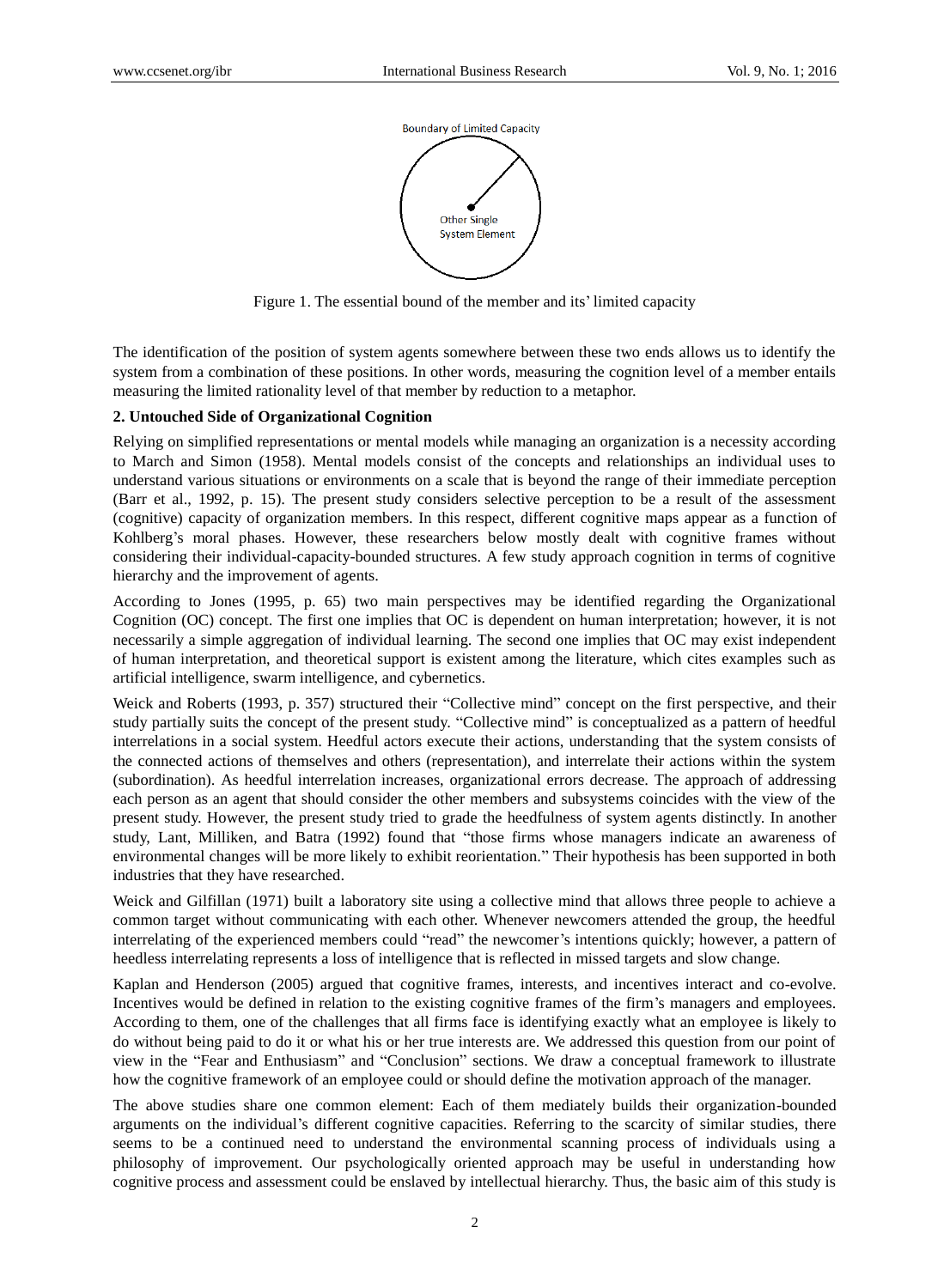

Figure 1. The essential bound of the member and its' limited capacity

The identification of the position of system agents somewhere between these two ends allows us to identify the system from a combination of these positions. In other words, measuring the cognition level of a member entails measuring the limited rationality level of that member by reduction to a metaphor.

#### **2. Untouched Side of Organizational Cognition**

Relying on simplified representations or mental models while managing an organization is a necessity according to March and Simon (1958). Mental models consist of the concepts and relationships an individual uses to understand various situations or environments on a scale that is beyond the range of their immediate perception (Barr et al., 1992, p. 15). The present study considers selective perception to be a result of the assessment (cognitive) capacity of organization members. In this respect, different cognitive maps appear as a function of Kohlberg's moral phases. However, these researchers below mostly dealt with cognitive frames without considering their individual-capacity-bounded structures. A few study approach cognition in terms of cognitive hierarchy and the improvement of agents.

According to Jones (1995, p. 65) two main perspectives may be identified regarding the Organizational Cognition (OC) concept. The first one implies that OC is dependent on human interpretation; however, it is not necessarily a simple aggregation of individual learning. The second one implies that OC may exist independent of human interpretation, and theoretical support is existent among the literature, which cites examples such as artificial intelligence, swarm intelligence, and cybernetics.

Weick and Roberts (1993, p. 357) structured their "Collective mind" concept on the first perspective, and their study partially suits the concept of the present study. "Collective mind" is conceptualized as a pattern of heedful interrelations in a social system. Heedful actors execute their actions, understanding that the system consists of the connected actions of themselves and others (representation), and interrelate their actions within the system (subordination). As heedful interrelation increases, organizational errors decrease. The approach of addressing each person as an agent that should consider the other members and subsystems coincides with the view of the present study. However, the present study tried to grade the heedfulness of system agents distinctly. In another study, Lant, Milliken, and Batra (1992) found that "those firms whose managers indicate an awareness of environmental changes will be more likely to exhibit reorientation." Their hypothesis has been supported in both industries that they have researched.

Weick and Gilfillan (1971) built a laboratory site using a collective mind that allows three people to achieve a common target without communicating with each other. Whenever newcomers attended the group, the heedful interrelating of the experienced members could "read" the newcomer's intentions quickly; however, a pattern of heedless interrelating represents a loss of intelligence that is reflected in missed targets and slow change.

Kaplan and Henderson (2005) argued that cognitive frames, interests, and incentives interact and co-evolve. Incentives would be defined in relation to the existing cognitive frames of the firm's managers and employees. According to them, one of the challenges that all firms face is identifying exactly what an employee is likely to do without being paid to do it or what his or her true interests are. We addressed this question from our point of view in the "Fear and Enthusiasm" and "Conclusion" sections. We draw a conceptual framework to illustrate how the cognitive framework of an employee could or should define the motivation approach of the manager.

The above studies share one common element: Each of them mediately builds their organization-bounded arguments on the individual's different cognitive capacities. Referring to the scarcity of similar studies, there seems to be a continued need to understand the environmental scanning process of individuals using a philosophy of improvement. Our psychologically oriented approach may be useful in understanding how cognitive process and assessment could be enslaved by intellectual hierarchy. Thus, the basic aim of this study is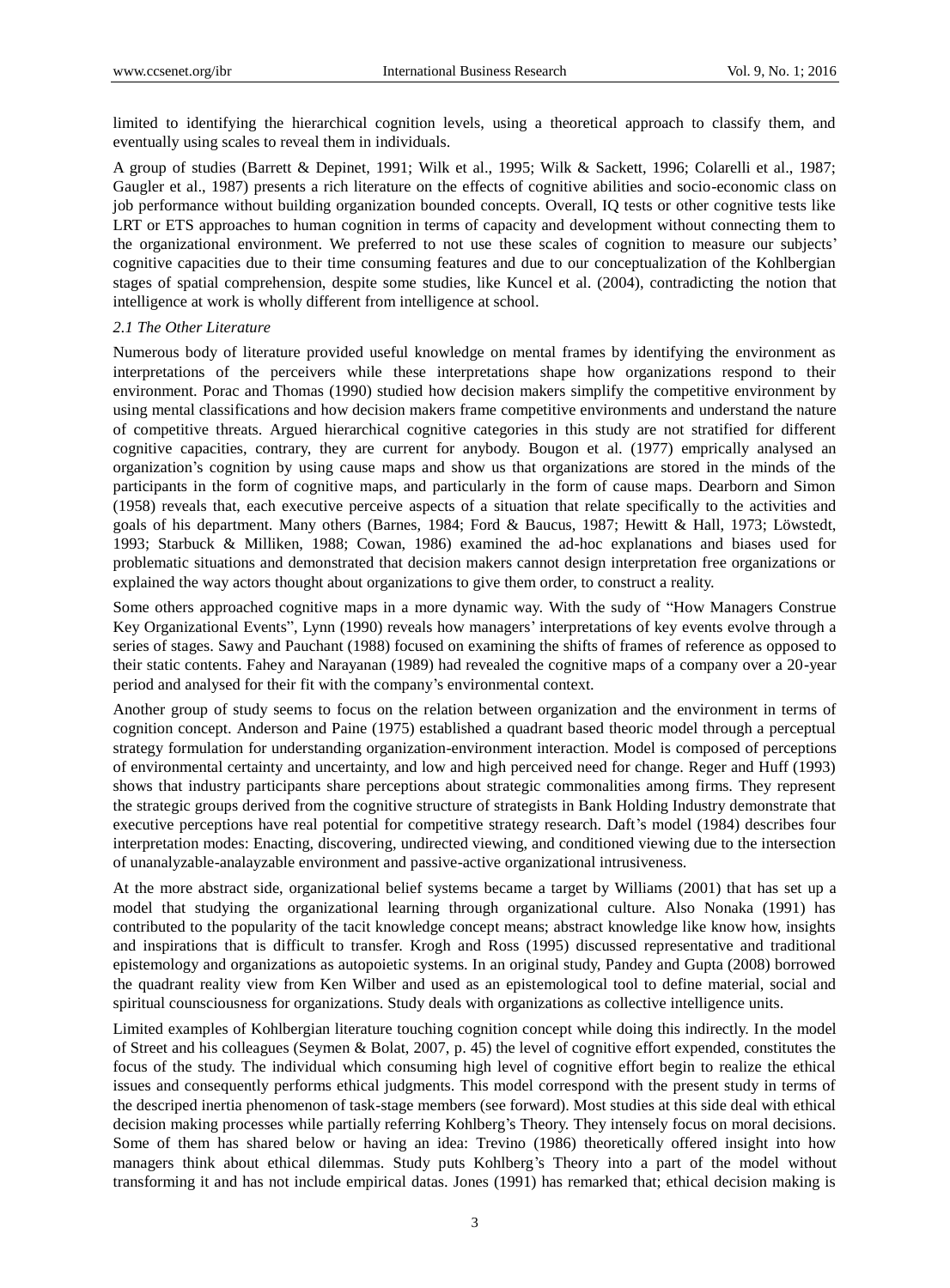limited to identifying the hierarchical cognition levels, using a theoretical approach to classify them, and eventually using scales to reveal them in individuals.

A group of studies (Barrett & Depinet, 1991; Wilk et al., 1995; Wilk & Sackett, 1996; Colarelli et al., 1987; Gaugler et al., 1987) presents a rich literature on the effects of cognitive abilities and socio-economic class on job performance without building organization bounded concepts. Overall, IQ tests or other cognitive tests like LRT or ETS approaches to human cognition in terms of capacity and development without connecting them to the organizational environment. We preferred to not use these scales of cognition to measure our subjects' cognitive capacities due to their time consuming features and due to our conceptualization of the Kohlbergian stages of spatial comprehension, despite some studies, like Kuncel et al. (2004), contradicting the notion that intelligence at work is wholly different from intelligence at school.

#### *2.1 The Other Literature*

Numerous body of literature provided useful knowledge on mental frames by identifying the environment as interpretations of the perceivers while these interpretations shape how organizations respond to their environment. Porac and Thomas (1990) studied how decision makers simplify the competitive environment by using mental classifications and how decision makers frame competitive environments and understand the nature of competitive threats. Argued hierarchical cognitive categories in this study are not stratified for different cognitive capacities, contrary, they are current for anybody. Bougon et al. (1977) emprically analysed an organization's cognition by using cause maps and show us that organizations are stored in the minds of the participants in the form of cognitive maps, and particularly in the form of cause maps. Dearborn and Simon (1958) reveals that, each executive perceive aspects of a situation that relate specifically to the activities and goals of his department. Many others (Barnes, 1984; Ford & Baucus, 1987; Hewitt & Hall, 1973; Löwstedt, 1993; Starbuck & Milliken, 1988; Cowan, 1986) examined the ad-hoc explanations and biases used for problematic situations and demonstrated that decision makers cannot design interpretation free organizations or explained the way actors thought about organizations to give them order, to construct a reality.

Some others approached cognitive maps in a more dynamic way. With the sudy of "How Managers Construe Key Organizational Events", Lynn (1990) reveals how managers' interpretations of key events evolve through a series of stages. Sawy and Pauchant (1988) focused on examining the shifts of frames of reference as opposed to their static contents. Fahey and Narayanan (1989) had revealed the cognitive maps of a company over a 20-year period and analysed for their fit with the company's environmental context.

Another group of study seems to focus on the relation between organization and the environment in terms of cognition concept. Anderson and Paine (1975) established a quadrant based theoric model through a perceptual strategy formulation for understanding organization-environment interaction. Model is composed of perceptions of environmental certainty and uncertainty, and low and high perceived need for change. Reger and Huff (1993) shows that industry participants share perceptions about strategic commonalities among firms. They represent the strategic groups derived from the cognitive structure of strategists in Bank Holding Industry demonstrate that executive perceptions have real potential for competitive strategy research. Daft's model (1984) describes four interpretation modes: Enacting, discovering, undirected viewing, and conditioned viewing due to the intersection of unanalyzable-analayzable environment and passive-active organizational intrusiveness.

At the more abstract side, organizational belief systems became a target by Williams (2001) that has set up a model that studying the organizational learning through organizational culture. Also Nonaka (1991) has contributed to the popularity of the tacit knowledge concept means; abstract knowledge like know how, insights and inspirations that is difficult to transfer. Krogh and Ross (1995) discussed representative and traditional epistemology and organizations as autopoietic systems. In an original study, Pandey and Gupta (2008) borrowed the quadrant reality view from Ken Wilber and used as an epistemological tool to define material, social and spiritual counsciousness for organizations. Study deals with organizations as collective intelligence units.

Limited examples of Kohlbergian literature touching cognition concept while doing this indirectly. In the model of Street and his colleagues (Seymen & Bolat, 2007, p. 45) the level of cognitive effort expended, constitutes the focus of the study. The individual which consuming high level of cognitive effort begin to realize the ethical issues and consequently performs ethical judgments. This model correspond with the present study in terms of the descriped inertia phenomenon of task-stage members (see forward). Most studies at this side deal with ethical decision making processes while partially referring Kohlberg's Theory. They intensely focus on moral decisions. Some of them has shared below or having an idea: Trevino (1986) theoretically offered insight into how managers think about ethical dilemmas. Study puts Kohlberg's Theory into a part of the model without transforming it and has not include empirical datas. Jones (1991) has remarked that; ethical decision making is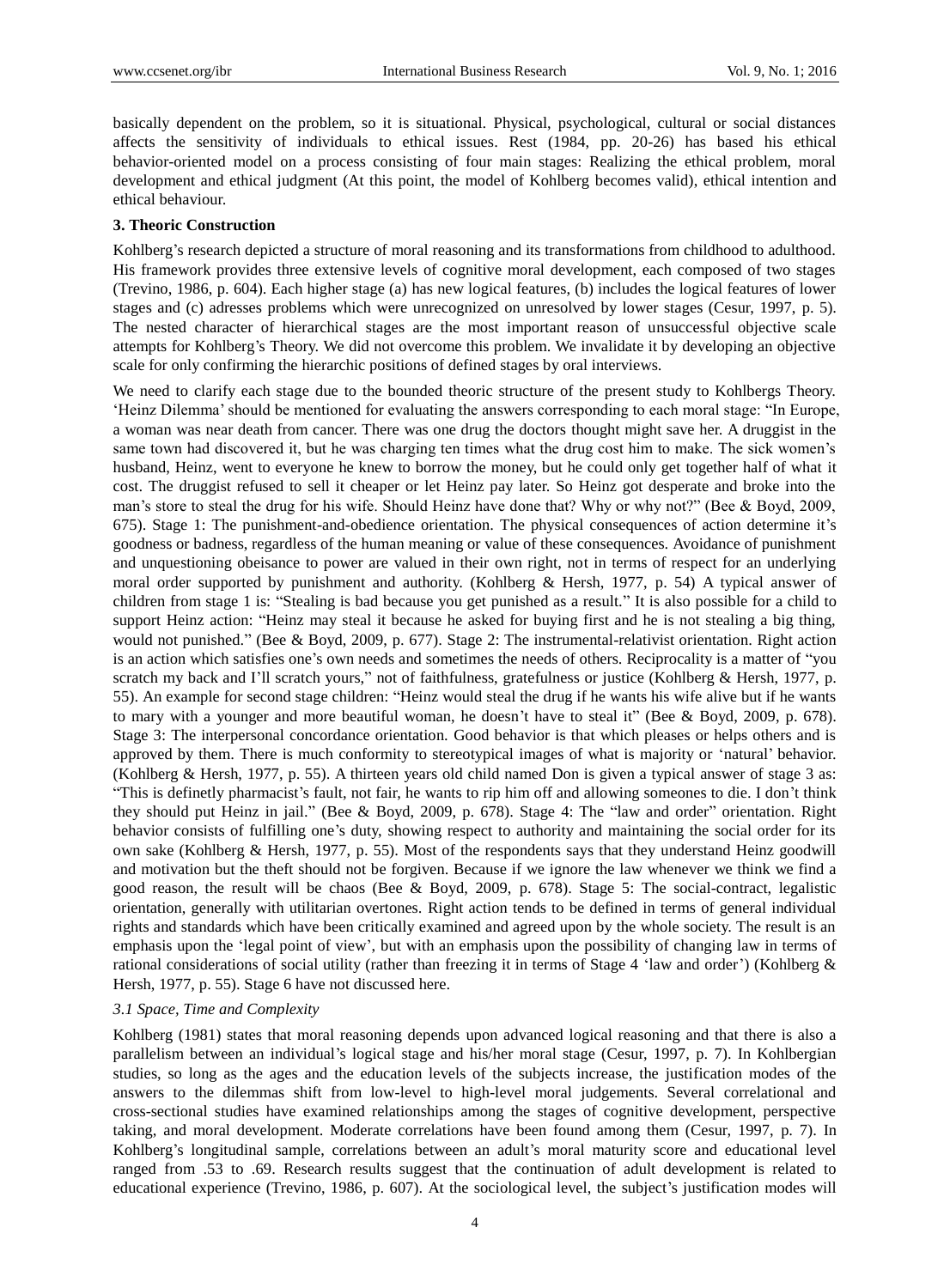basically dependent on the problem, so it is situational. Physical, psychological, cultural or social distances affects the sensitivity of individuals to ethical issues. Rest (1984, pp. 20-26) has based his ethical behavior-oriented model on a process consisting of four main stages: Realizing the ethical problem, moral development and ethical judgment (At this point, the model of Kohlberg becomes valid), ethical intention and ethical behaviour.

#### **3. Theoric Construction**

Kohlberg's research depicted a structure of moral reasoning and its transformations from childhood to adulthood. His framework provides three extensive levels of cognitive moral development, each composed of two stages (Trevino, 1986, p. 604). Each higher stage (a) has new logical features, (b) includes the logical features of lower stages and (c) adresses problems which were unrecognized on unresolved by lower stages (Cesur, 1997, p. 5). The nested character of hierarchical stages are the most important reason of unsuccessful objective scale attempts for Kohlberg's Theory. We did not overcome this problem. We invalidate it by developing an objective scale for only confirming the hierarchic positions of defined stages by oral interviews.

We need to clarify each stage due to the bounded theoric structure of the present study to Kohlbergs Theory. 'Heinz Dilemma' should be mentioned for evaluating the answers corresponding to each moral stage: "In Europe, a woman was near death from cancer. There was one drug the doctors thought might save her. A druggist in the same town had discovered it, but he was charging ten times what the drug cost him to make. The sick women's husband, Heinz, went to everyone he knew to borrow the money, but he could only get together half of what it cost. The druggist refused to sell it cheaper or let Heinz pay later. So Heinz got desperate and broke into the man's store to steal the drug for his wife. Should Heinz have done that? Why or why not?" (Bee & Boyd, 2009, 675). Stage 1: The punishment-and-obedience orientation. The physical consequences of action determine it's goodness or badness, regardless of the human meaning or value of these consequences. Avoidance of punishment and unquestioning obeisance to power are valued in their own right, not in terms of respect for an underlying moral order supported by punishment and authority. (Kohlberg & Hersh, 1977, p. 54) A typical answer of children from stage 1 is: "Stealing is bad because you get punished as a result." It is also possible for a child to support Heinz action: "Heinz may steal it because he asked for buying first and he is not stealing a big thing, would not punished." (Bee & Boyd, 2009, p. 677). Stage 2: The instrumental-relativist orientation. Right action is an action which satisfies one's own needs and sometimes the needs of others. Reciprocality is a matter of "you scratch my back and I'll scratch yours," not of faithfulness, gratefulness or justice (Kohlberg & Hersh, 1977, p. 55). An example for second stage children: "Heinz would steal the drug if he wants his wife alive but if he wants to mary with a younger and more beautiful woman, he doesn't have to steal it" (Bee & Boyd, 2009, p. 678). Stage 3: The interpersonal concordance orientation. Good behavior is that which pleases or helps others and is approved by them. There is much conformity to stereotypical images of what is majority or 'natural' behavior. (Kohlberg & Hersh, 1977, p. 55). A thirteen years old child named Don is given a typical answer of stage 3 as: "This is definetly pharmacist's fault, not fair, he wants to rip him off and allowing someones to die. I don't think they should put Heinz in jail." (Bee & Boyd, 2009, p. 678). Stage 4: The "law and order" orientation. Right behavior consists of fulfilling one's duty, showing respect to authority and maintaining the social order for its own sake (Kohlberg & Hersh, 1977, p. 55). Most of the respondents says that they understand Heinz goodwill and motivation but the theft should not be forgiven. Because if we ignore the law whenever we think we find a good reason, the result will be chaos (Bee & Boyd, 2009, p. 678). Stage 5: The social-contract, legalistic orientation, generally with utilitarian overtones. Right action tends to be defined in terms of general individual rights and standards which have been critically examined and agreed upon by the whole society. The result is an emphasis upon the 'legal point of view', but with an emphasis upon the possibility of changing law in terms of rational considerations of social utility (rather than freezing it in terms of Stage 4 'law and order') (Kohlberg & Hersh, 1977, p. 55). Stage 6 have not discussed here.

#### *3.1 Space, Time and Complexity*

Kohlberg (1981) states that moral reasoning depends upon advanced logical reasoning and that there is also a parallelism between an individual's logical stage and his/her moral stage (Cesur, 1997, p. 7). In Kohlbergian studies, so long as the ages and the education levels of the subjects increase, the justification modes of the answers to the dilemmas shift from low-level to high-level moral judgements. Several correlational and cross-sectional studies have examined relationships among the stages of cognitive development, perspective taking, and moral development. Moderate correlations have been found among them (Cesur, 1997, p. 7). In Kohlberg's longitudinal sample, correlations between an adult's moral maturity score and educational level ranged from .53 to .69. Research results suggest that the continuation of adult development is related to educational experience (Trevino, 1986, p. 607). At the sociological level, the subject's justification modes will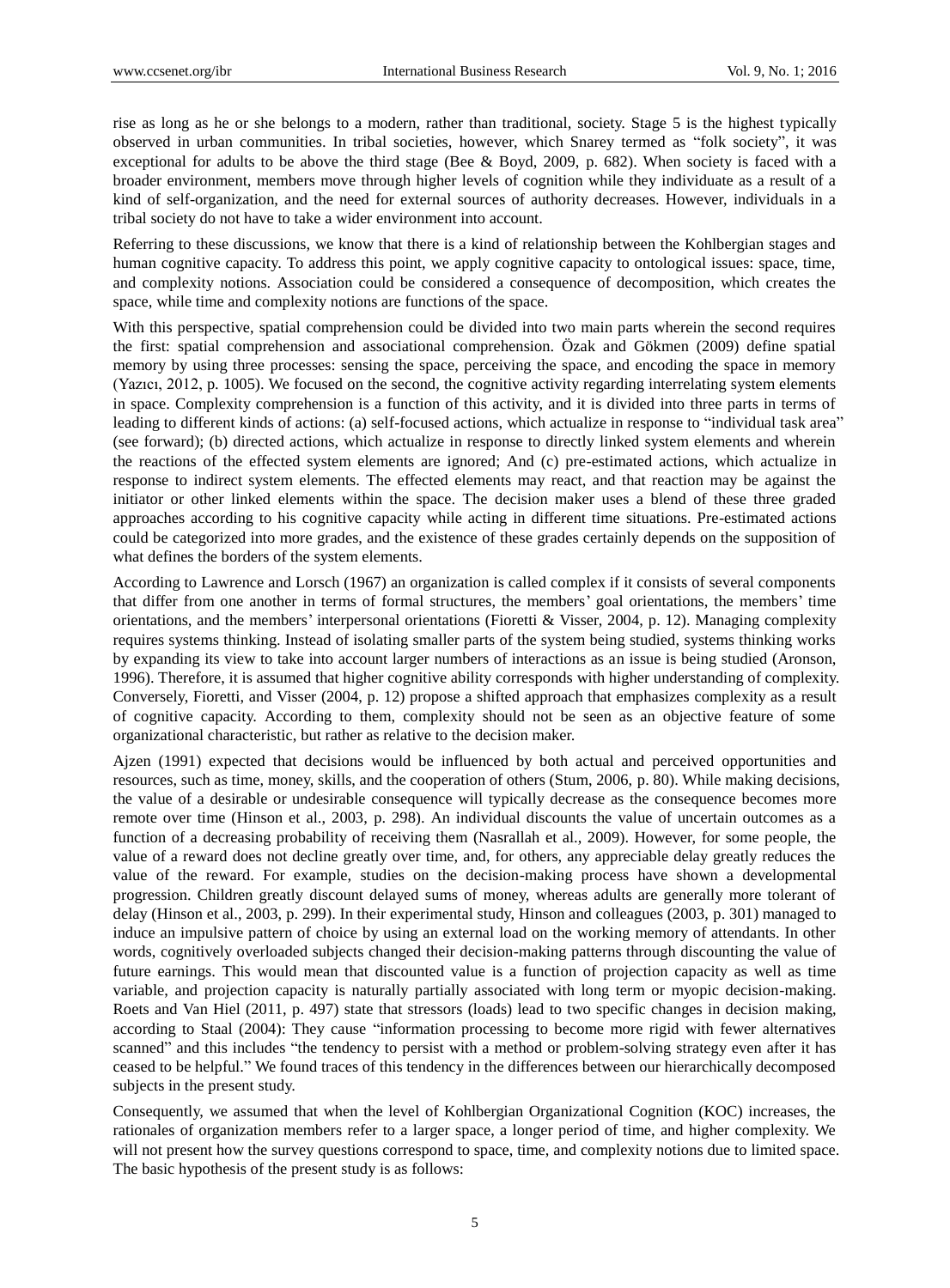rise as long as he or she belongs to a modern, rather than traditional, society. Stage 5 is the highest typically observed in urban communities. In tribal societies, however, which Snarey termed as "folk society", it was exceptional for adults to be above the third stage (Bee & Boyd, 2009, p. 682). When society is faced with a broader environment, members move through higher levels of cognition while they individuate as a result of a kind of self-organization, and the need for external sources of authority decreases. However, individuals in a tribal society do not have to take a wider environment into account.

Referring to these discussions, we know that there is a kind of relationship between the Kohlbergian stages and human cognitive capacity. To address this point, we apply cognitive capacity to ontological issues: space, time, and complexity notions. Association could be considered a consequence of decomposition, which creates the space, while time and complexity notions are functions of the space.

With this perspective, spatial comprehension could be divided into two main parts wherein the second requires the first: spatial comprehension and associational comprehension. Ö zak and Gökmen (2009) define spatial memory by using three processes: sensing the space, perceiving the space, and encoding the space in memory (Yazıcı, 2012, p. 1005). We focused on the second, the cognitive activity regarding interrelating system elements in space. Complexity comprehension is a function of this activity, and it is divided into three parts in terms of leading to different kinds of actions: (a) self-focused actions, which actualize in response to "individual task area" (see forward); (b) directed actions, which actualize in response to directly linked system elements and wherein the reactions of the effected system elements are ignored; And (c) pre-estimated actions, which actualize in response to indirect system elements. The effected elements may react, and that reaction may be against the initiator or other linked elements within the space. The decision maker uses a blend of these three graded approaches according to his cognitive capacity while acting in different time situations. Pre-estimated actions could be categorized into more grades, and the existence of these grades certainly depends on the supposition of what defines the borders of the system elements.

According to Lawrence and Lorsch (1967) an organization is called complex if it consists of several components that differ from one another in terms of formal structures, the members' goal orientations, the members' time orientations, and the members' interpersonal orientations (Fioretti & Visser, 2004, p. 12). Managing complexity requires systems thinking. Instead of isolating smaller parts of the system being studied, systems thinking works by expanding its view to take into account larger numbers of interactions as an issue is being studied (Aronson, 1996). Therefore, it is assumed that higher cognitive ability corresponds with higher understanding of complexity. Conversely, Fioretti, and Visser (2004, p. 12) propose a shifted approach that emphasizes complexity as a result of cognitive capacity. According to them, complexity should not be seen as an objective feature of some organizational characteristic, but rather as relative to the decision maker.

Ajzen (1991) expected that decisions would be influenced by both actual and perceived opportunities and resources, such as time, money, skills, and the cooperation of others (Stum, 2006, p. 80). While making decisions, the value of a desirable or undesirable consequence will typically decrease as the consequence becomes more remote over time (Hinson et al., 2003, p. 298). An individual discounts the value of uncertain outcomes as a function of a decreasing probability of receiving them (Nasrallah et al., 2009). However, for some people, the value of a reward does not decline greatly over time, and, for others, any appreciable delay greatly reduces the value of the reward. For example, studies on the decision-making process have shown a developmental progression. Children greatly discount delayed sums of money, whereas adults are generally more tolerant of delay (Hinson et al., 2003, p. 299). In their experimental study, Hinson and colleagues (2003, p. 301) managed to induce an impulsive pattern of choice by using an external load on the working memory of attendants. In other words, cognitively overloaded subjects changed their decision-making patterns through discounting the value of future earnings. This would mean that discounted value is a function of projection capacity as well as time variable, and projection capacity is naturally partially associated with long term or myopic decision-making. Roets and Van Hiel (2011, p. 497) state that stressors (loads) lead to two specific changes in decision making, according to Staal (2004): They cause "information processing to become more rigid with fewer alternatives scanned" and this includes "the tendency to persist with a method or problem-solving strategy even after it has ceased to be helpful." We found traces of this tendency in the differences between our hierarchically decomposed subjects in the present study.

Consequently, we assumed that when the level of Kohlbergian Organizational Cognition (KOC) increases, the rationales of organization members refer to a larger space, a longer period of time, and higher complexity. We will not present how the survey questions correspond to space, time, and complexity notions due to limited space. The basic hypothesis of the present study is as follows: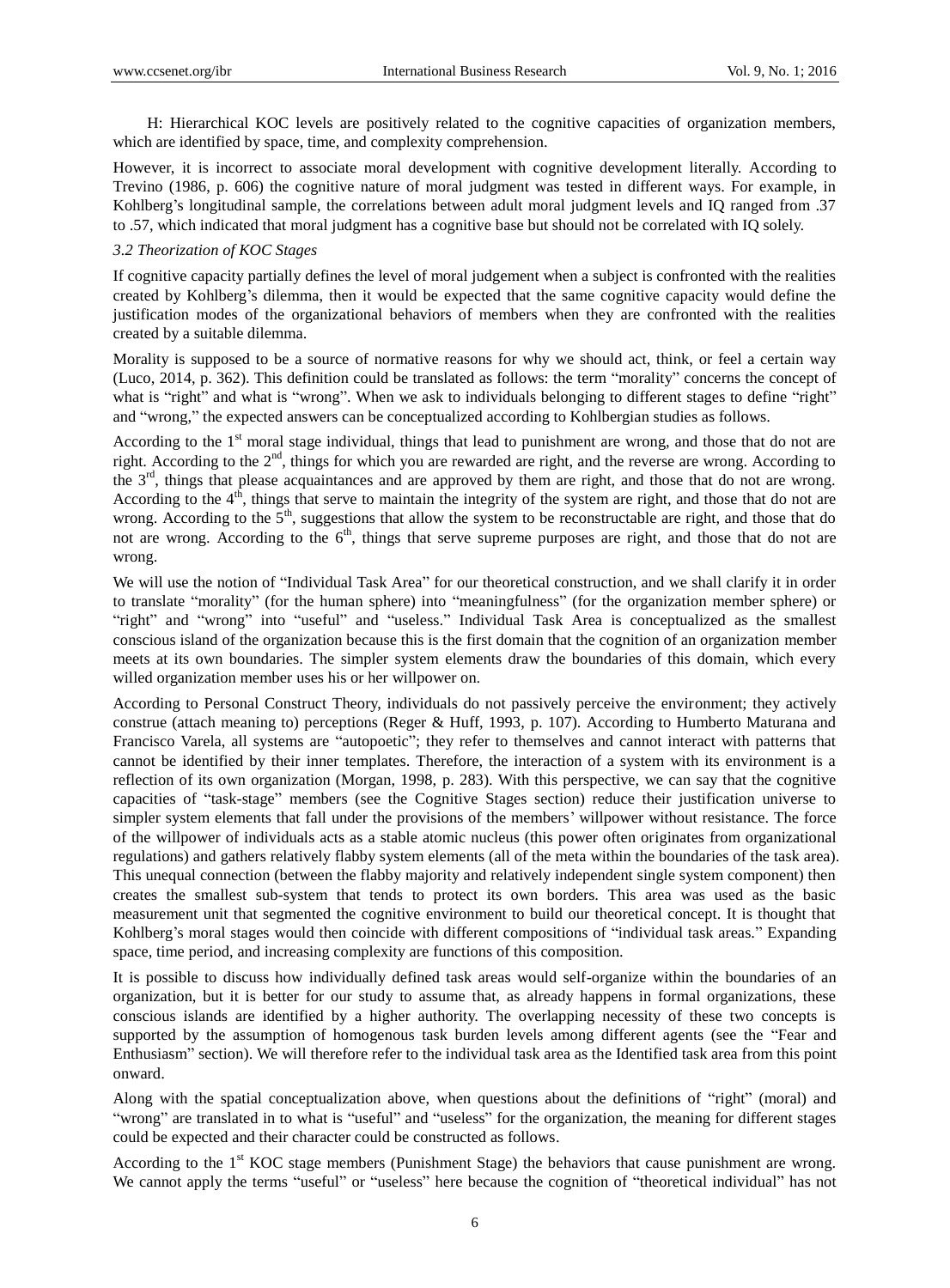H: Hierarchical KOC levels are positively related to the cognitive capacities of organization members, which are identified by space, time, and complexity comprehension.

However, it is incorrect to associate moral development with cognitive development literally. According to Trevino (1986, p. 606) the cognitive nature of moral judgment was tested in different ways. For example, in Kohlberg's longitudinal sample, the correlations between adult moral judgment levels and IQ ranged from .37 to .57, which indicated that moral judgment has a cognitive base but should not be correlated with IQ solely.

# *3.2 Theorization of KOC Stages*

If cognitive capacity partially defines the level of moral judgement when a subject is confronted with the realities created by Kohlberg's dilemma, then it would be expected that the same cognitive capacity would define the justification modes of the organizational behaviors of members when they are confronted with the realities created by a suitable dilemma.

Morality is supposed to be a source of normative reasons for why we should act, think, or feel a certain way (Luco, 2014, p. 362). This definition could be translated as follows: the term "morality" concerns the concept of what is "right" and what is "wrong". When we ask to individuals belonging to different stages to define "right" and "wrong," the expected answers can be conceptualized according to Kohlbergian studies as follows.

According to the  $1<sup>st</sup>$  moral stage individual, things that lead to punishment are wrong, and those that do not are right. According to the  $2<sup>nd</sup>$ , things for which you are rewarded are right, and the reverse are wrong. According to the 3rd, things that please acquaintances and are approved by them are right, and those that do not are wrong. According to the  $4<sup>th</sup>$ , things that serve to maintain the integrity of the system are right, and those that do not are wrong. According to the  $5<sup>th</sup>$ , suggestions that allow the system to be reconstructable are right, and those that do not are wrong. According to the 6<sup>th</sup>, things that serve supreme purposes are right, and those that do not are wrong.

We will use the notion of "Individual Task Area" for our theoretical construction, and we shall clarify it in order to translate "morality" (for the human sphere) into "meaningfulness" (for the organization member sphere) or "right" and "wrong" into "useful" and "useless." Individual Task Area is conceptualized as the smallest conscious island of the organization because this is the first domain that the cognition of an organization member meets at its own boundaries. The simpler system elements draw the boundaries of this domain, which every willed organization member uses his or her willpower on.

According to Personal Construct Theory, individuals do not passively perceive the environment; they actively construe (attach meaning to) perceptions (Reger & Huff, 1993, p. 107). According to Humberto Maturana and Francisco Varela, all systems are "autopoetic"; they refer to themselves and cannot interact with patterns that cannot be identified by their inner templates. Therefore, the interaction of a system with its environment is a reflection of its own organization (Morgan, 1998, p. 283). With this perspective, we can say that the cognitive capacities of "task-stage" members (see the Cognitive Stages section) reduce their justification universe to simpler system elements that fall under the provisions of the members' willpower without resistance. The force of the willpower of individuals acts as a stable atomic nucleus (this power often originates from organizational regulations) and gathers relatively flabby system elements (all of the meta within the boundaries of the task area). This unequal connection (between the flabby majority and relatively independent single system component) then creates the smallest sub-system that tends to protect its own borders. This area was used as the basic measurement unit that segmented the cognitive environment to build our theoretical concept. It is thought that Kohlberg's moral stages would then coincide with different compositions of "individual task areas." Expanding space, time period, and increasing complexity are functions of this composition.

It is possible to discuss how individually defined task areas would self-organize within the boundaries of an organization, but it is better for our study to assume that, as already happens in formal organizations, these conscious islands are identified by a higher authority. The overlapping necessity of these two concepts is supported by the assumption of homogenous task burden levels among different agents (see the "Fear and Enthusiasm" section). We will therefore refer to the individual task area as the Identified task area from this point onward.

Along with the spatial conceptualization above, when questions about the definitions of "right" (moral) and "wrong" are translated in to what is "useful" and "useless" for the organization, the meaning for different stages could be expected and their character could be constructed as follows.

According to the  $1<sup>st</sup> KOC$  stage members (Punishment Stage) the behaviors that cause punishment are wrong. We cannot apply the terms "useful" or "useless" here because the cognition of "theoretical individual" has not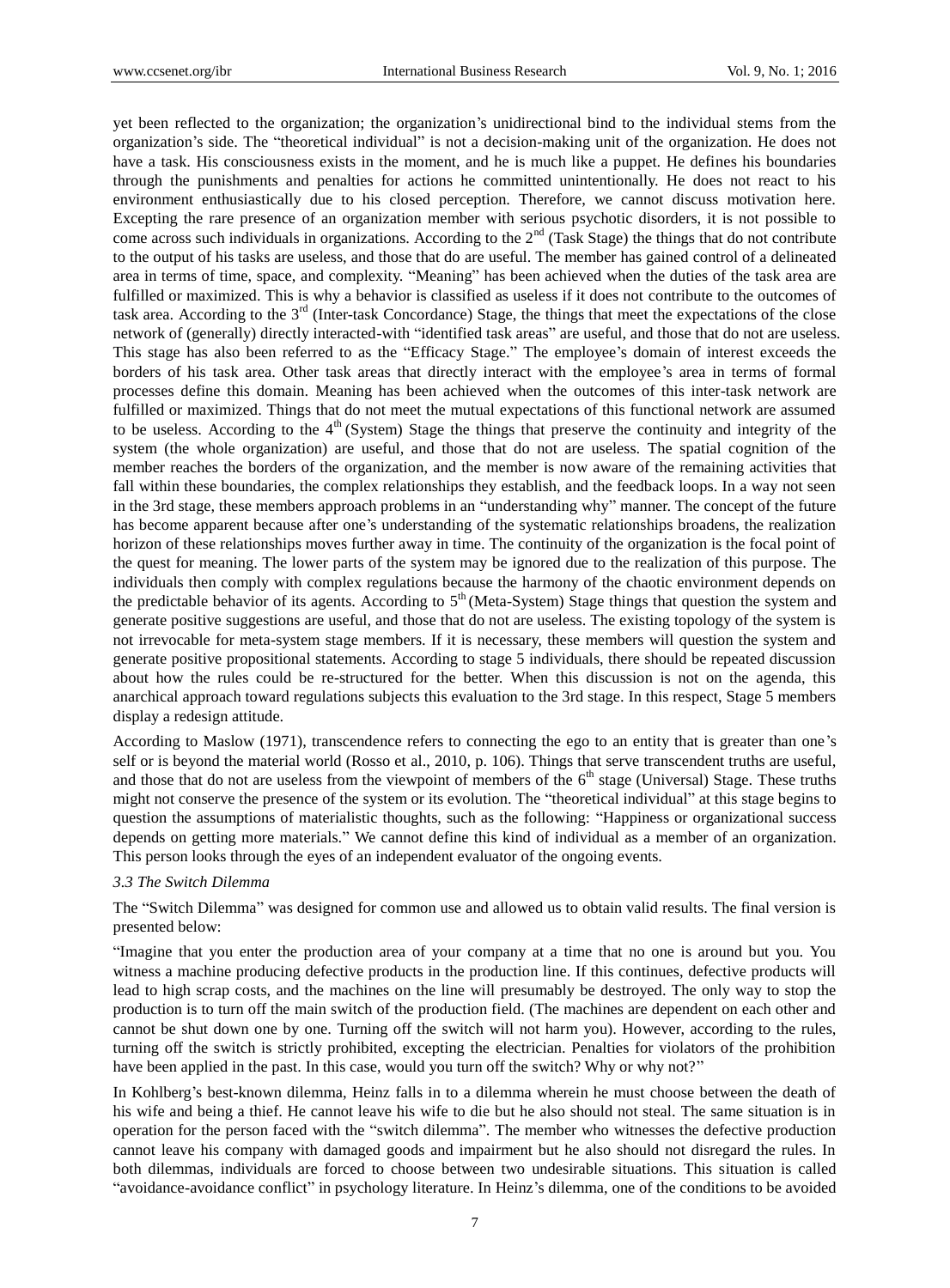yet been reflected to the organization; the organization's unidirectional bind to the individual stems from the organization's side. The "theoretical individual" is not a decision-making unit of the organization. He does not have a task. His consciousness exists in the moment, and he is much like a puppet. He defines his boundaries through the punishments and penalties for actions he committed unintentionally. He does not react to his environment enthusiastically due to his closed perception. Therefore, we cannot discuss motivation here. Excepting the rare presence of an organization member with serious psychotic disorders, it is not possible to come across such individuals in organizations. According to the  $2<sup>nd</sup>$  (Task Stage) the things that do not contribute to the output of his tasks are useless, and those that do are useful. The member has gained control of a delineated area in terms of time, space, and complexity. "Meaning" has been achieved when the duties of the task area are fulfilled or maximized. This is why a behavior is classified as useless if it does not contribute to the outcomes of task area. According to the  $3<sup>rd</sup>$  (Inter-task Concordance) Stage, the things that meet the expectations of the close network of (generally) directly interacted-with "identified task areas" are useful, and those that do not are useless. This stage has also been referred to as the "Efficacy Stage." The employee's domain of interest exceeds the borders of his task area. Other task areas that directly interact with the employee's area in terms of formal processes define this domain. Meaning has been achieved when the outcomes of this inter-task network are fulfilled or maximized. Things that do not meet the mutual expectations of this functional network are assumed to be useless. According to the  $4<sup>th</sup>$  (System) Stage the things that preserve the continuity and integrity of the system (the whole organization) are useful, and those that do not are useless. The spatial cognition of the member reaches the borders of the organization, and the member is now aware of the remaining activities that fall within these boundaries, the complex relationships they establish, and the feedback loops. In a way not seen in the 3rd stage, these members approach problems in an "understanding why" manner. The concept of the future has become apparent because after one's understanding of the systematic relationships broadens, the realization horizon of these relationships moves further away in time. The continuity of the organization is the focal point of the quest for meaning. The lower parts of the system may be ignored due to the realization of this purpose. The individuals then comply with complex regulations because the harmony of the chaotic environment depends on the predictable behavior of its agents. According to  $5<sup>th</sup>$  (Meta-System) Stage things that question the system and generate positive suggestions are useful, and those that do not are useless. The existing topology of the system is not irrevocable for meta-system stage members. If it is necessary, these members will question the system and generate positive propositional statements. According to stage 5 individuals, there should be repeated discussion about how the rules could be re-structured for the better. When this discussion is not on the agenda, this anarchical approach toward regulations subjects this evaluation to the 3rd stage. In this respect, Stage 5 members display a redesign attitude.

According to Maslow (1971), transcendence refers to connecting the ego to an entity that is greater than one's self or is beyond the material world (Rosso et al., 2010, p. 106). Things that serve transcendent truths are useful, and those that do not are useless from the viewpoint of members of the  $6<sup>th</sup>$  stage (Universal) Stage. These truths might not conserve the presence of the system or its evolution. The "theoretical individual" at this stage begins to question the assumptions of materialistic thoughts, such as the following: "Happiness or organizational success depends on getting more materials." We cannot define this kind of individual as a member of an organization. This person looks through the eyes of an independent evaluator of the ongoing events.

#### *3.3 The Switch Dilemma*

The "Switch Dilemma" was designed for common use and allowed us to obtain valid results. The final version is presented below:

"Imagine that you enter the production area of your company at a time that no one is around but you. You witness a machine producing defective products in the production line. If this continues, defective products will lead to high scrap costs, and the machines on the line will presumably be destroyed. The only way to stop the production is to turn off the main switch of the production field. (The machines are dependent on each other and cannot be shut down one by one. Turning off the switch will not harm you). However, according to the rules, turning off the switch is strictly prohibited, excepting the electrician. Penalties for violators of the prohibition have been applied in the past. In this case, would you turn off the switch? Why or why not?"

In Kohlberg's best-known dilemma, Heinz falls in to a dilemma wherein he must choose between the death of his wife and being a thief. He cannot leave his wife to die but he also should not steal. The same situation is in operation for the person faced with the "switch dilemma". The member who witnesses the defective production cannot leave his company with damaged goods and impairment but he also should not disregard the rules. In both dilemmas, individuals are forced to choose between two undesirable situations. This situation is called "avoidance-avoidance conflict" in psychology literature. In Heinz's dilemma, one of the conditions to be avoided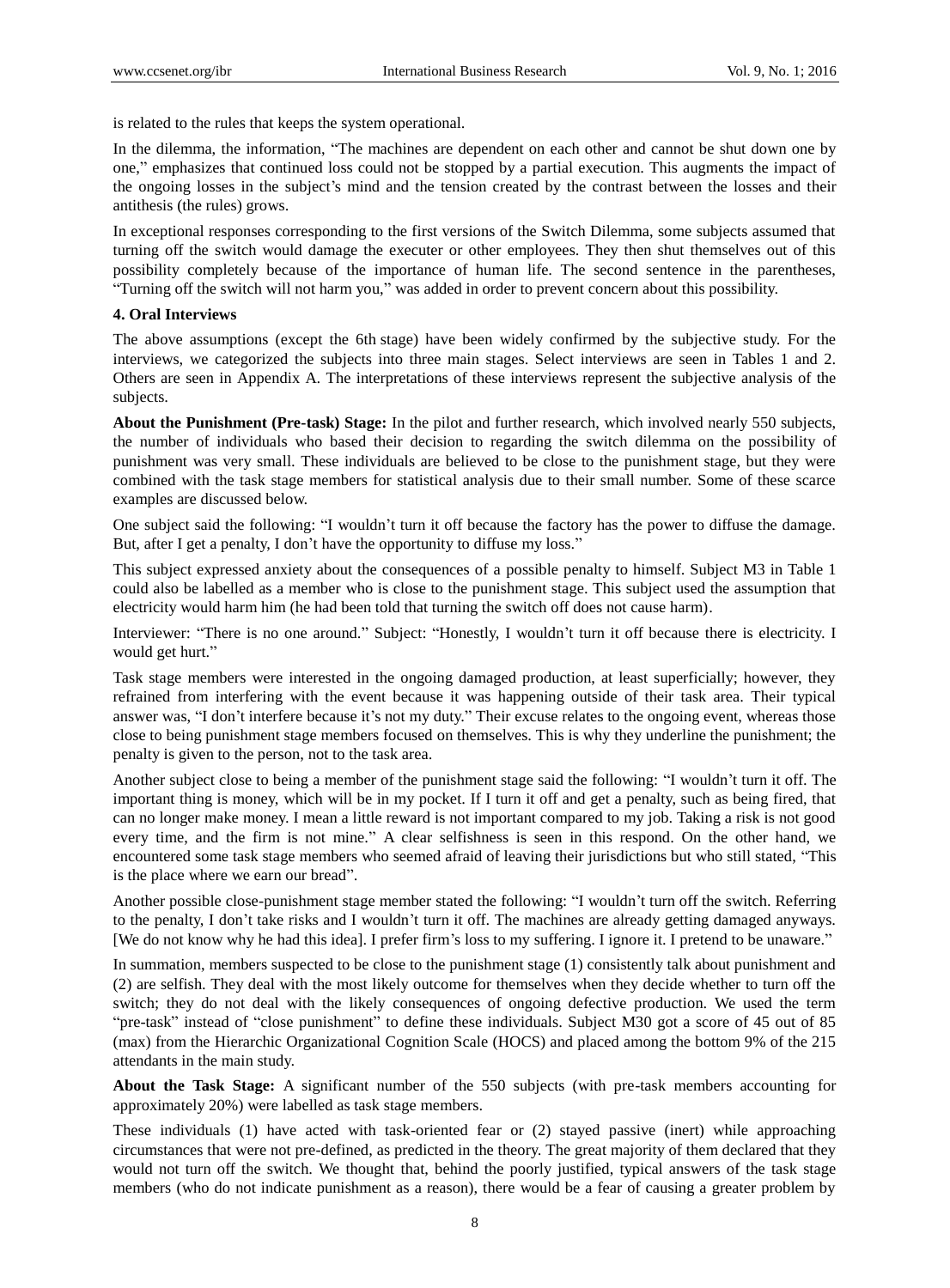is related to the rules that keeps the system operational.

In the dilemma, the information, "The machines are dependent on each other and cannot be shut down one by one," emphasizes that continued loss could not be stopped by a partial execution. This augments the impact of the ongoing losses in the subject's mind and the tension created by the contrast between the losses and their antithesis (the rules) grows.

In exceptional responses corresponding to the first versions of the Switch Dilemma, some subjects assumed that turning off the switch would damage the executer or other employees. They then shut themselves out of this possibility completely because of the importance of human life. The second sentence in the parentheses, "Turning off the switch will not harm you," was added in order to prevent concern about this possibility.

#### **4. Oral Interviews**

The above assumptions (except the 6th stage) have been widely confirmed by the subjective study. For the interviews, we categorized the subjects into three main stages. Select interviews are seen in Tables 1 and 2. Others are seen in Appendix A. The interpretations of these interviews represent the subjective analysis of the subjects.

**About the Punishment (Pre-task) Stage:** In the pilot and further research, which involved nearly 550 subjects, the number of individuals who based their decision to regarding the switch dilemma on the possibility of punishment was very small. These individuals are believed to be close to the punishment stage, but they were combined with the task stage members for statistical analysis due to their small number. Some of these scarce examples are discussed below.

One subject said the following: "I wouldn't turn it off because the factory has the power to diffuse the damage. But, after I get a penalty, I don't have the opportunity to diffuse my loss."

This subject expressed anxiety about the consequences of a possible penalty to himself. Subject M3 in Table 1 could also be labelled as a member who is close to the punishment stage. This subject used the assumption that electricity would harm him (he had been told that turning the switch off does not cause harm).

Interviewer: "There is no one around." Subject: "Honestly, I wouldn't turn it off because there is electricity. I would get hurt."

Task stage members were interested in the ongoing damaged production, at least superficially; however, they refrained from interfering with the event because it was happening outside of their task area. Their typical answer was, "I don't interfere because it's not my duty." Their excuse relates to the ongoing event, whereas those close to being punishment stage members focused on themselves. This is why they underline the punishment; the penalty is given to the person, not to the task area.

Another subject close to being a member of the punishment stage said the following: "I wouldn't turn it off. The important thing is money, which will be in my pocket. If I turn it off and get a penalty, such as being fired, that can no longer make money. I mean a little reward is not important compared to my job. Taking a risk is not good every time, and the firm is not mine." A clear selfishness is seen in this respond. On the other hand, we encountered some task stage members who seemed afraid of leaving their jurisdictions but who still stated, "This is the place where we earn our bread".

Another possible close-punishment stage member stated the following: "I wouldn't turn off the switch. Referring to the penalty, I don't take risks and I wouldn't turn it off. The machines are already getting damaged anyways. [We do not know why he had this idea]. I prefer firm's loss to my suffering. I ignore it. I pretend to be unaware."

In summation, members suspected to be close to the punishment stage (1) consistently talk about punishment and (2) are selfish. They deal with the most likely outcome for themselves when they decide whether to turn off the switch; they do not deal with the likely consequences of ongoing defective production. We used the term "pre-task" instead of "close punishment" to define these individuals. Subject M30 got a score of 45 out of 85 (max) from the Hierarchic Organizational Cognition Scale (HOCS) and placed among the bottom 9% of the 215 attendants in the main study.

**About the Task Stage:** A significant number of the 550 subjects (with pre-task members accounting for approximately 20%) were labelled as task stage members.

These individuals (1) have acted with task-oriented fear or (2) stayed passive (inert) while approaching circumstances that were not pre-defined, as predicted in the theory. The great majority of them declared that they would not turn off the switch. We thought that, behind the poorly justified, typical answers of the task stage members (who do not indicate punishment as a reason), there would be a fear of causing a greater problem by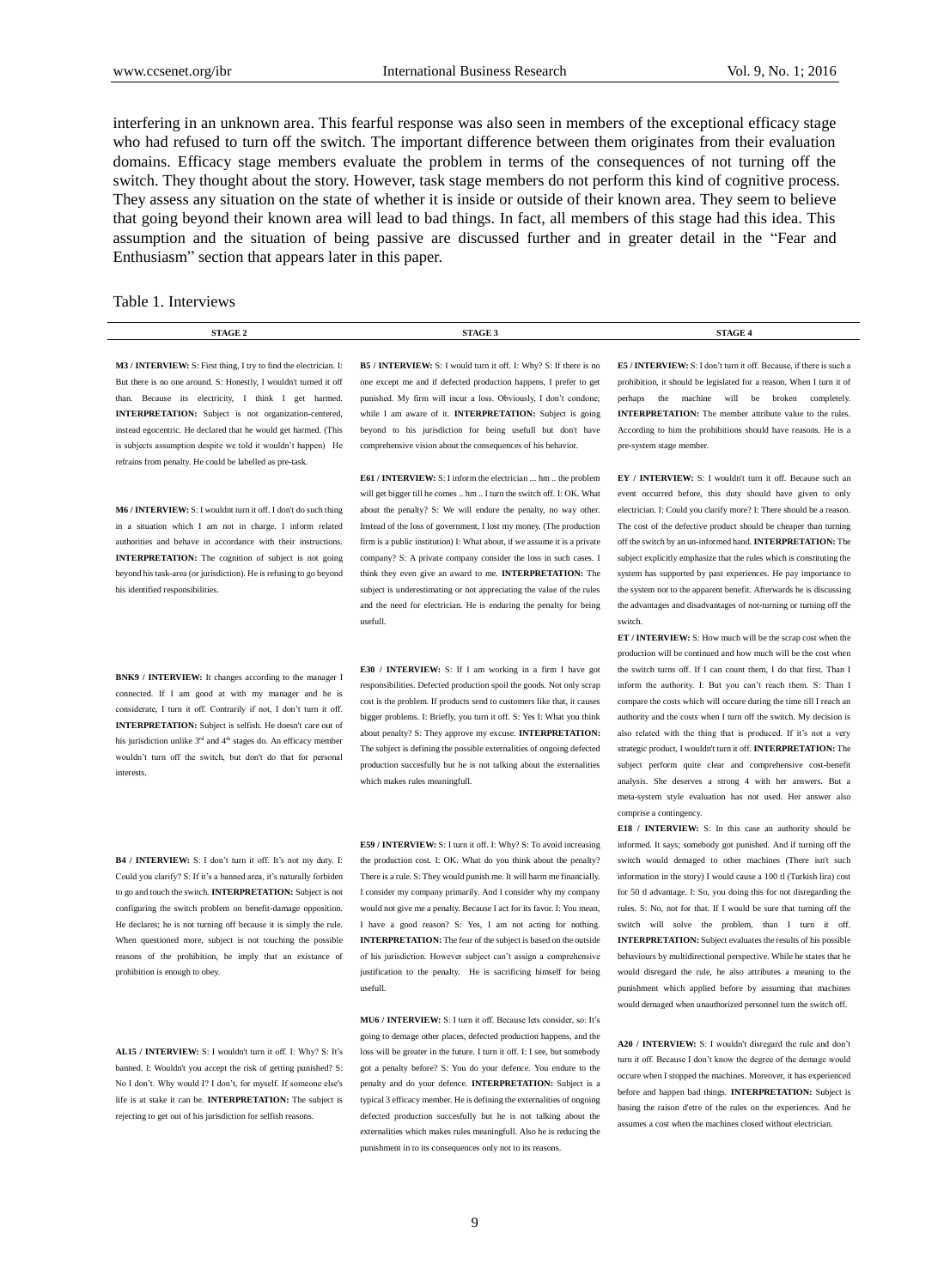interfering in an unknown area. This fearful response was also seen in members of the exceptional efficacy stage who had refused to turn off the switch. The important difference between them originates from their evaluation domains. Efficacy stage members evaluate the problem in terms of the consequences of not turning off the switch. They thought about the story. However, task stage members do not perform this kind of cognitive process. They assess any situation on the state of whether it is inside or outside of their known area. They seem to believe that going beyond their known area will lead to bad things. In fact, all members of this stage had this idea. This assumption and the situation of being passive are discussed further and in greater detail in the "Fear and Enthusiasm" section that appears later in this paper.

#### Table 1. Interviews

| <b>STAGE</b> | <b>STACK</b> | <b>STAGE</b> |
|--------------|--------------|--------------|
|              |              |              |

**M3 / INTERVIEW:** S: First thing, I try to find the electrician. I: But there is no one around. S: Honestly, I wouldn't turned it off than. Because its electricity, I think I get harmed. **INTERPRETATION:** Subject is not organization-centered, instead egocentric. He declared that he would get harmed. (This is subjects assumption despite we told it wouldn't happen) He refrains from penalty. He could be labelled as pre-task.

**M6 / INTERVIEW:** S: I wouldnt turn it off. I don't do such thing in a situation which I am not in charge. I inform related authorities and behave in accordance with their instructions. **INTERPRETATION:** The cognition of subject is not going beyond his task-area (or jurisdiction). He is refusing to go beyond his identified responsibilities.

**BNK9 / INTERVIEW:** It changes according to the manager I connected. If I am good at with my manager and he is considerate, I turn it off. Contrarily if not, I don't turn it off. **INTERPRETATION:** Subject is selfish. He doesn't care out of his jurisdiction unlike  $3<sup>rd</sup>$  and  $4<sup>th</sup>$  stages do. An efficacy member wouldn't turn off the switch, but don't do that for personal **interests** 

**B4 / INTERVIEW:** S: I don't turn it off. It's not my duty. I: Could you clarify? S: If it's a banned area, it's naturally forbiden to go and touch the switch. **INTERPRETATION:** Subject is not configuring the switch problem on benefit-damage opposition. He declares; he is not turning off because it is simply the rule. When questioned more, subject is not touching the possible reasons of the prohibition, he imply that an existance of prohibition is enough to obey.

**AL15 / INTERVIEW:** S: I wouldn't turn it off. I: Why? S: It's banned. I: Wouldn't you accept the risk of getting punished? S: No I don't. Why would I? I don't, for myself. If someone else's life is at stake it can be. **INTERPRETATION:** The subject is rejecting to get out of his jurisdiction for selfish reasons.

**B5 / INTERVIEW:** S: I would turn it off. I: Why? S: If there is no one except me and if defected production happens, I prefer to get punished. My firm will incur a loss. Obviously, I don't condone; while I am aware of it. **INTERPRETATION:** Subject is going beyond to his jurisdiction for being usefull but don't have comprehensive vision about the consequences of his behavior.

**E61 / INTERVIEW:** S: I inform the electrician ... hm .. the problem will get bigger till he comes .. hm .. I turn the switch off. I: OK. What about the penalty? S: We will endure the penalty, no way other. Instead of the loss of government, I lost my money. (The production firm is a public institution) I: What about, if we assume it is a private company? S: A private company consider the loss in such cases. I think they even give an award to me. **INTERPRETATION:** The subject is underestimating or not appreciating the value of the rules and the need for electrician. He is enduring the penalty for being usefull.

**E30 / INTERVIEW:** S: If I am working in a firm I have got responsibilities. Defected production spoil the goods. Not only scrap cost is the problem. If products send to customers like that, it causes bigger problems. I: Briefly, you turn it off. S: Yes I: What you think about penalty? S: They approve my excuse. **INTERPRETATION:** The subject is defining the possible externalities of ongoing defected production succesfully but he is not talking about the externalities which makes rules meaningfull.

**E59 / INTERVIEW:** S: I turn it off. I: Why? S: To avoid increasing the production cost. I: OK. What do you think about the penalty? There is a rule. S: They would punish me. It will harm me financially. I consider my company primarily. And I consider why my company would not give me a penalty. Because I act for its favor. I: You mean, I have a good reason? S: Yes, I am not acting for nothing. **INTERPRETATION:** The fear of the subject is based on the outside of his jurisdiction. However subject can't assign a comprehensive justification to the penalty. He is sacrificing himself for being usefull.

**MU6 / INTERVIEW:** S: I turn it off. Because lets consider, so: It's going to demage other places, defected production happens, and the loss will be greater in the future. I turn it off. I: I see, but somebody got a penalty before? S: You do your defence. You endure to the penalty and do your defence. **INTERPRETATION:** Subject is a typical 3 efficacy member. He is defining the externalities of ongoing defected production succesfully but he is not talking about the externalities which makes rules meaningfull. Also he is reducing the punishment in to its consequences only not to its reasons.

**E5 / INTERVIEW:** S: I don't turn it off. Because, if there is such a prohibition, it should be legislated for a reason. When I turn it of perhaps the machine will be broken completely. **INTERPRETATION:** The member attribute value to the rules. According to him the prohibitions should have reasons. He is a pre-system stage member.

**EY / INTERVIEW:** S: I wouldn't turn it off. Because such an event occurred before, this duty should have given to only electrician. I: Could you clarify more? I: There should be a reason. The cost of the defective product should be cheaper than turning off the switch by an un-informed hand. **INTERPRETATION:** The subject explicitly emphasize that the rules which is constituting the system has supported by past experiences. He pay importance to the system not to the apparent benefit. Afterwards he is discussing the advantages and disadvantages of not-turning or turning off the switch.

**ET / INTERVIEW:** S: How much will be the scrap cost when the production will be continued and how much will be the cost when the switch turns off. If I can count them, I do that first. Than I inform the authority. I: But you can't reach them. S: Than I compare the costs which will occure during the time till I reach an authority and the costs when I turn off the switch. My decision is also related with the thing that is produced. If it's not a very strategic product, I wouldn't turn it off. **INTERPRETATION:** The subject perform quite clear and comprehensive cost-benefit analysis. She deserves a strong 4 with her answers. But a meta-system style evaluation has not used. Her answer also comprise a contingency.

**E18 / INTERVIEW:** S: In this case an authority should be informed. It says; somebody got punished. And if turning off the switch would demaged to other machines (There isn't such information in the story) I would cause a 100 tl (Turkish lira) cost for 50 tl advantage. I: So, you doing this for not disregarding the rules. S: No, not for that. If I would be sure that turning off the switch will solve the problem, than I turn it off. **INTERPRETATION:** Subject evaluates the results of his possible behaviours by multidirectional perspective. While he states that he would disregard the rule, he also attributes a meaning to the punishment which applied before by assuming that machines would demaged when unauthorized personnel turn the switch off.

**A20 / INTERVIEW:** S: I wouldn't disregard the rule and don't turn it off. Because I don't know the degree of the demage would occure when I stopped the machines. Moreover, it has experienced before and happen bad things. **INTERPRETATION:** Subject is basing the raison d'etre of the rules on the experiences. And he assumes a cost when the machines closed without electrician.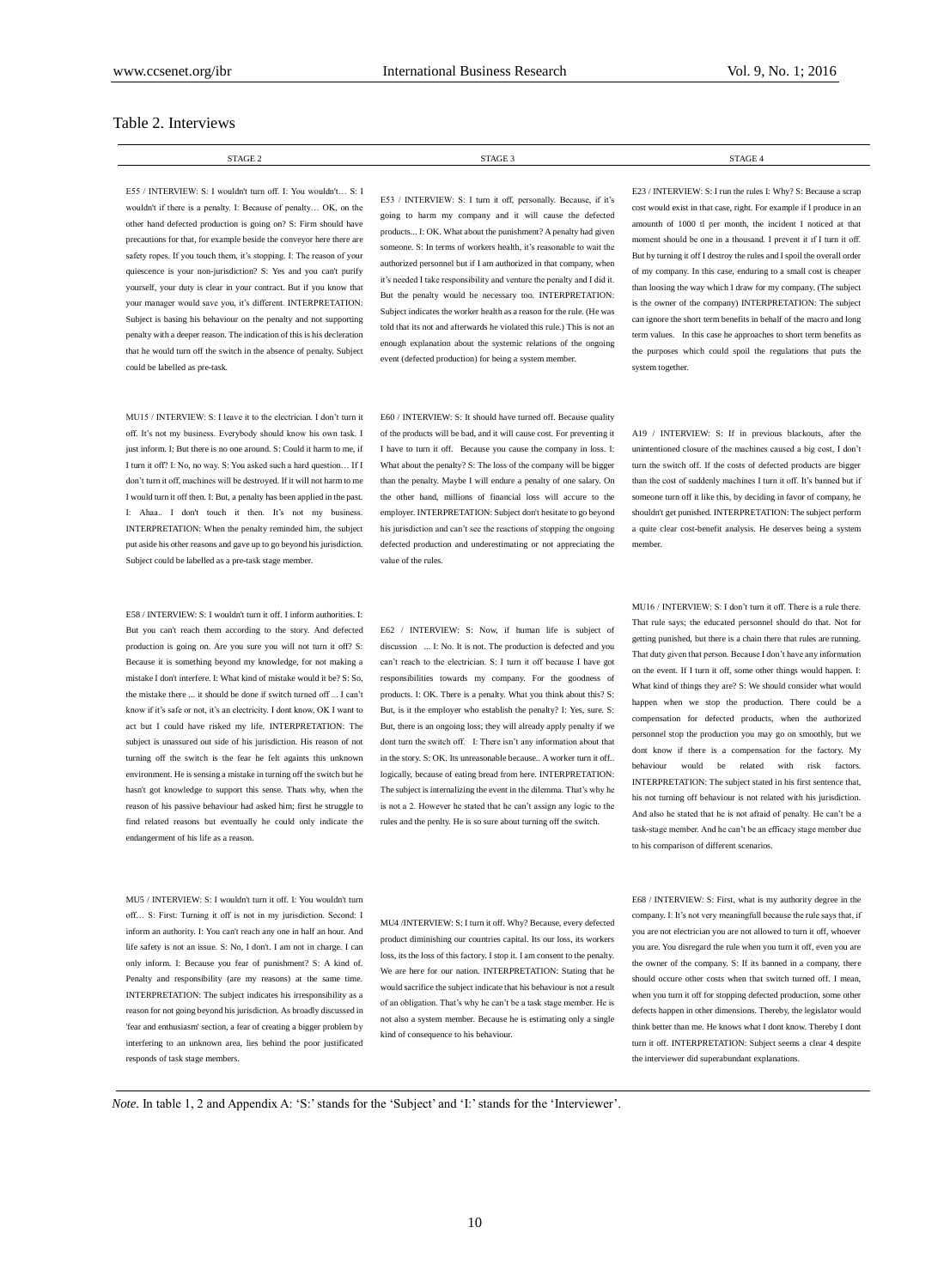#### Table 2. Interviews

STAGE 2 STAGE 3 STAGE 4 STAGE 4 STAGE 4 STAGE 4 STAGE 4 STAGE 4

E55 / INTERVIEW: S: I wouldn't turn off. I: You wouldn't… S: I wouldn't if there is a penalty. I: Because of penalty… OK, on the other hand defected production is going on? S: Firm should have precautions for that, for example beside the conveyor here there are safety ropes. If you touch them, it's stopping. I: The reason of your quiescence is your non-jurisdiction? S: Yes and you can't purify yourself, your duty is clear in your contract. But if you know that your manager would save you, it's different. INTERPRETATION: Subject is basing his behaviour on the penalty and not supporting penalty with a deeper reason. The indication of this is his decleration that he would turn off the switch in the absence of penalty. Subject could be labelled as pre-task.

E53 / INTERVIEW: S: I turn it off, personally. Because, if it's going to harm my company and it will cause the defected products... I: OK. What about the punishment? A penalty had given someone. S: In terms of workers health, it's reasonable to wait the authorized personnel but if I am authorized in that company, when it's needed I take responsibility and venture the penalty and I did it. But the penalty would be necessary too. INTERPRETATION: Subject indicates the worker health as a reason for the rule. (He was told that its not and afterwards he violated this rule.) This is not an enough explanation about the systemic relations of the ongoing event (defected production) for being a system member.

MU15 / INTERVIEW: S: I leave it to the electrician. I don't turn it off. It's not my business. Everybody should know his own task. I just inform. I: But there is no one around. S: Could it harm to me, if I turn it off? I: No, no way. S: You asked such a hard question… If I don't turn it off, machines will be destroyed. If it will not harm to me I would turn it off then. I: But, a penalty has been applied in the past. I: Ahaa.. I don't touch it then. It's not my business. INTERPRETATION: When the penalty reminded him, the subject put aside his other reasons and gave up to go beyond his jurisdiction. Subject could be labelled as a pre-task stage member.

E58 / INTERVIEW: S: I wouldn't turn it off. I inform authorities. I: But you can't reach them according to the story. And defected production is going on. Are you sure you will not turn it off? S: Because it is something beyond my knowledge, for not making a mistake I don't interfere. I: What kind of mistake would it be? S: So, the mistake there it should be done if switch turned off . I can't know if it's safe or not, it's an electricity. I dont know, OK I want to act but I could have risked my life. INTERPRETATION: The subject is unassured out side of his jurisdiction. His reason of not turning off the switch is the fear he felt againts this unknown environment. He is sensing a mistake in turning off the switch but he hasn't got knowledge to support this sense. Thats why, when the reason of his passive behaviour had asked him; first he struggle to find related reasons but eventually he could only indicate the endangerment of his life as a reason.

MU5 / INTERVIEW: S: I wouldn't turn it off. I: You wouldn't turn off… S: First: Turning it off is not in my jurisdiction. Second: I inform an authority. I: You can't reach any one in half an hour. And life safety is not an issue. S: No, I don't. I am not in charge. I can only inform. I: Because you fear of punishment? S: A kind of. Penalty and responsibility (are my reasons) at the same time. INTERPRETATION: The subject indicates his irresponsibility as a reason for not going beyond his jurisdiction. As broadly discussed in 'fear and enthusiasm' section, a fear of creating a bigger problem by interfering to an unknown area, lies behind the poor justificated responds of task stage members.

E60 / INTERVIEW: S: It should have turned off. Because quality of the products will be bad, and it will cause cost. For preventing it I have to turn it off. Because you cause the company in loss. I: What about the penalty? S: The loss of the company will be bigger than the penalty. Maybe I will endure a penalty of one salary. On the other hand, millions of financial loss will accure to the employer. INTERPRETATION: Subject don't hesitate to go beyond his jurisdiction and can't see the reactions of stopping the ongoing defected production and underestimating or not appreciating the

value of the rules.

A19 / INTERVIEW: S: If in previous blackouts, after the unintentioned closure of the machines caused a big cost. I don't turn the switch off. If the costs of defected products are bigger than the cost of suddenly machines I turn it off. It's banned but if someone turn off it like this, by deciding in favor of company, he shouldn't get punished. INTERPRETATION: The subject perform a quite clear cost-benefit analysis. He deserves being a system member.

system together

E23 / INTERVIEW: S: I run the rules I: Why? S: Because a scrap cost would exist in that case, right. For example if I produce in an amounth of 1000 tl per month, the incident I noticed at that moment should be one in a thousand. I prevent it if I turn it off. But by turning it off I destroy the rules and I spoil the overall order of my company. In this case, enduring to a small cost is cheaper than loosing the way which I draw for my company. (The subject is the owner of the company) INTERPRETATION: The subject can ignore the short term benefits in behalf of the macro and long term values. In this case he approaches to short term benefits as the purposes which could spoil the regulations that puts the

E62 / INTERVIEW: S: Now, if human life is subject of discussion ... I: No. It is not. The production is defected and you can't reach to the electrician. S: I turn it off because I have got responsibilities towards my company. For the goodness of products. I: OK. There is a penalty. What you think about this? S: But, is it the employer who establish the penalty? I: Yes, sure. S: But, there is an ongoing loss; they will already apply penalty if we dont turn the switch off. I: There isn't any information about that in the story.  $S: OK$  Its unreasonable because. A worker turn it off. logically, because of eating bread from here. INTERPRETATION: The subject is internalizing the event in the dilemma. That's why he is not a 2. However he stated that he can't assign any logic to the rules and the penlty. He is so sure about turning off the switch.

MU16 / INTERVIEW: S: I don't turn it off. There is a rule there. That rule says; the educated personnel should do that. Not for getting punished, but there is a chain there that rules are running. That duty given that person. Because I don't have any information on the event. If I turn it off, some other things would happen. I: What kind of things they are? S: We should consider what would happen when we stop the production. There could be a compensation for defected products, when the authorized personnel stop the production you may go on smoothly, but we dont know if there is a compensation for the factory. My behaviour would be related with risk factors. INTERPRETATION: The subject stated in his first sentence that, his not turning off behaviour is not related with his jurisdiction. And also he stated that he is not afraid of penalty. He can't be a task-stage member. And he can't be an efficacy stage member due to his comparison of different scenarios.

MU4 /INTERVIEW: S: I turn it off. Why? Because, every defected product diminishing our countries capital. Its our loss, its workers loss, its the loss of this factory. I stop it. I am consent to the penalty. We are here for our nation. INTERPRETATION: Stating that he would sacrifice the subject indicate that his behaviour is not a result of an obligation. That's why he can't be a task stage member. He is not also a system member. Because he is estimating only a single kind of consequence to his behaviour.

E68 / INTERVIEW: S: First, what is my authority degree in the company. I: It's not very meaningfull because the rule says that, if you are not electrician you are not allowed to turn it off, whoever you are. You disregard the rule when you turn it off, even you are the owner of the company. S: If its banned in a company, there should occure other costs when that switch turned off. I mean, when you turn it off for stopping defected production, some other defects happen in other dimensions. Thereby, the legislator would think better than me. He knows what I dont know. Thereby I dont turn it off. INTERPRETATION: Subject seems a clear 4 despite the interviewer did superabundant explanations.

*Note.* In table 1, 2 and Appendix A: 'S:' stands for the 'Subject' and 'I:' stands for the 'Interviewer'.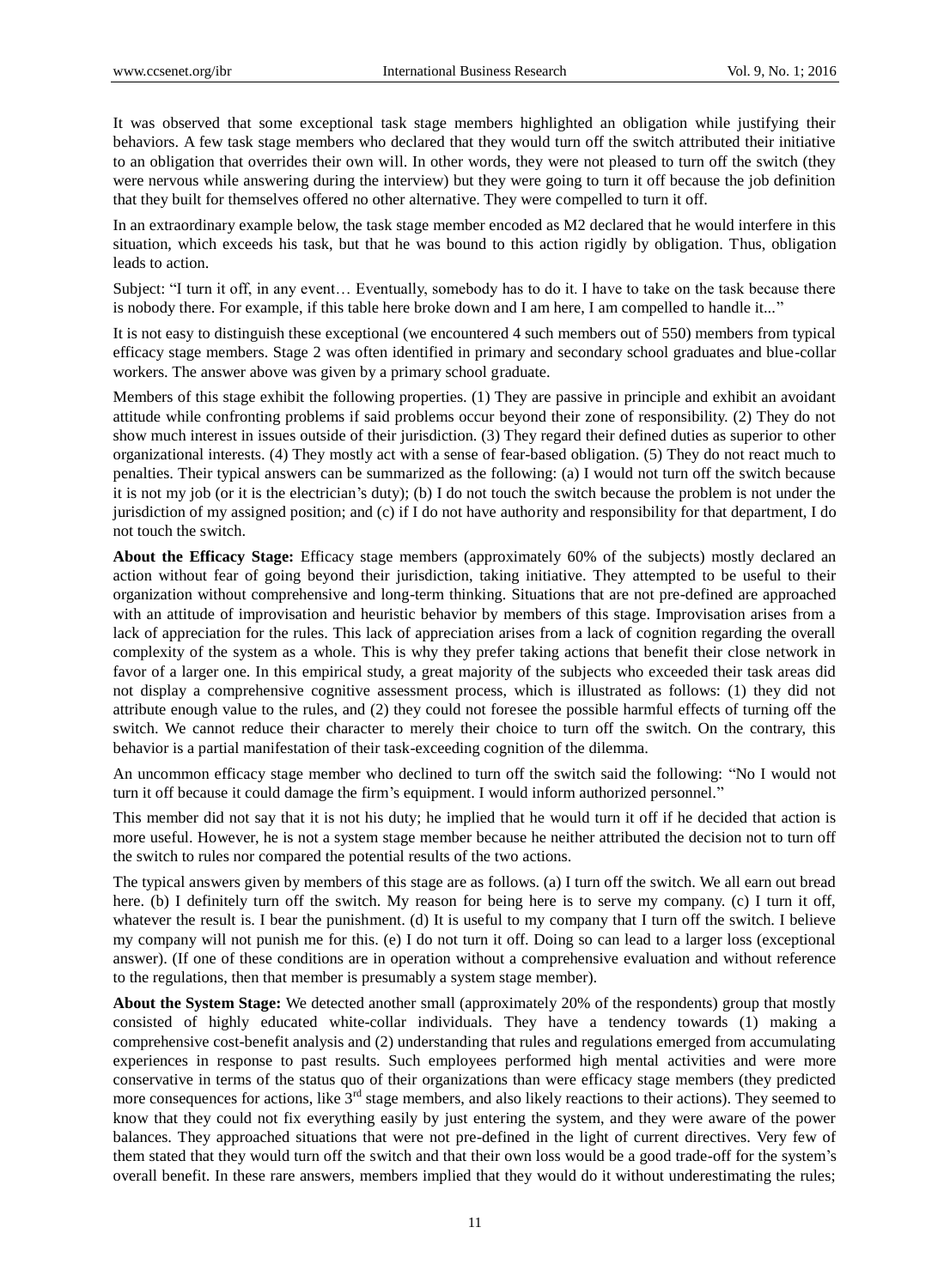It was observed that some exceptional task stage members highlighted an obligation while justifying their behaviors. A few task stage members who declared that they would turn off the switch attributed their initiative to an obligation that overrides their own will. In other words, they were not pleased to turn off the switch (they were nervous while answering during the interview) but they were going to turn it off because the job definition that they built for themselves offered no other alternative. They were compelled to turn it off.

In an extraordinary example below, the task stage member encoded as M2 declared that he would interfere in this situation, which exceeds his task, but that he was bound to this action rigidly by obligation. Thus, obligation leads to action.

Subject: "I turn it off, in any event… Eventually, somebody has to do it. I have to take on the task because there is nobody there. For example, if this table here broke down and I am here, I am compelled to handle it..."

It is not easy to distinguish these exceptional (we encountered 4 such members out of 550) members from typical efficacy stage members. Stage 2 was often identified in primary and secondary school graduates and blue-collar workers. The answer above was given by a primary school graduate.

Members of this stage exhibit the following properties. (1) They are passive in principle and exhibit an avoidant attitude while confronting problems if said problems occur beyond their zone of responsibility. (2) They do not show much interest in issues outside of their jurisdiction. (3) They regard their defined duties as superior to other organizational interests. (4) They mostly act with a sense of fear-based obligation. (5) They do not react much to penalties. Their typical answers can be summarized as the following: (a) I would not turn off the switch because it is not my job (or it is the electrician's duty); (b) I do not touch the switch because the problem is not under the jurisdiction of my assigned position; and (c) if I do not have authority and responsibility for that department, I do not touch the switch.

**About the Efficacy Stage:** Efficacy stage members (approximately 60% of the subjects) mostly declared an action without fear of going beyond their jurisdiction, taking initiative. They attempted to be useful to their organization without comprehensive and long-term thinking. Situations that are not pre-defined are approached with an attitude of improvisation and heuristic behavior by members of this stage. Improvisation arises from a lack of appreciation for the rules. This lack of appreciation arises from a lack of cognition regarding the overall complexity of the system as a whole. This is why they prefer taking actions that benefit their close network in favor of a larger one. In this empirical study, a great majority of the subjects who exceeded their task areas did not display a comprehensive cognitive assessment process, which is illustrated as follows: (1) they did not attribute enough value to the rules, and (2) they could not foresee the possible harmful effects of turning off the switch. We cannot reduce their character to merely their choice to turn off the switch. On the contrary, this behavior is a partial manifestation of their task-exceeding cognition of the dilemma.

An uncommon efficacy stage member who declined to turn off the switch said the following: "No I would not turn it off because it could damage the firm's equipment. I would inform authorized personnel."

This member did not say that it is not his duty; he implied that he would turn it off if he decided that action is more useful. However, he is not a system stage member because he neither attributed the decision not to turn off the switch to rules nor compared the potential results of the two actions.

The typical answers given by members of this stage are as follows. (a) I turn off the switch. We all earn out bread here. (b) I definitely turn off the switch. My reason for being here is to serve my company. (c) I turn it off, whatever the result is. I bear the punishment. (d) It is useful to my company that I turn off the switch. I believe my company will not punish me for this. (e) I do not turn it off. Doing so can lead to a larger loss (exceptional answer). (If one of these conditions are in operation without a comprehensive evaluation and without reference to the regulations, then that member is presumably a system stage member).

**About the System Stage:** We detected another small (approximately 20% of the respondents) group that mostly consisted of highly educated white-collar individuals. They have a tendency towards (1) making a comprehensive cost-benefit analysis and (2) understanding that rules and regulations emerged from accumulating experiences in response to past results. Such employees performed high mental activities and were more conservative in terms of the status quo of their organizations than were efficacy stage members (they predicted more consequences for actions, like  $3<sup>rd</sup>$  stage members, and also likely reactions to their actions). They seemed to know that they could not fix everything easily by just entering the system, and they were aware of the power balances. They approached situations that were not pre-defined in the light of current directives. Very few of them stated that they would turn off the switch and that their own loss would be a good trade-off for the system's overall benefit. In these rare answers, members implied that they would do it without underestimating the rules;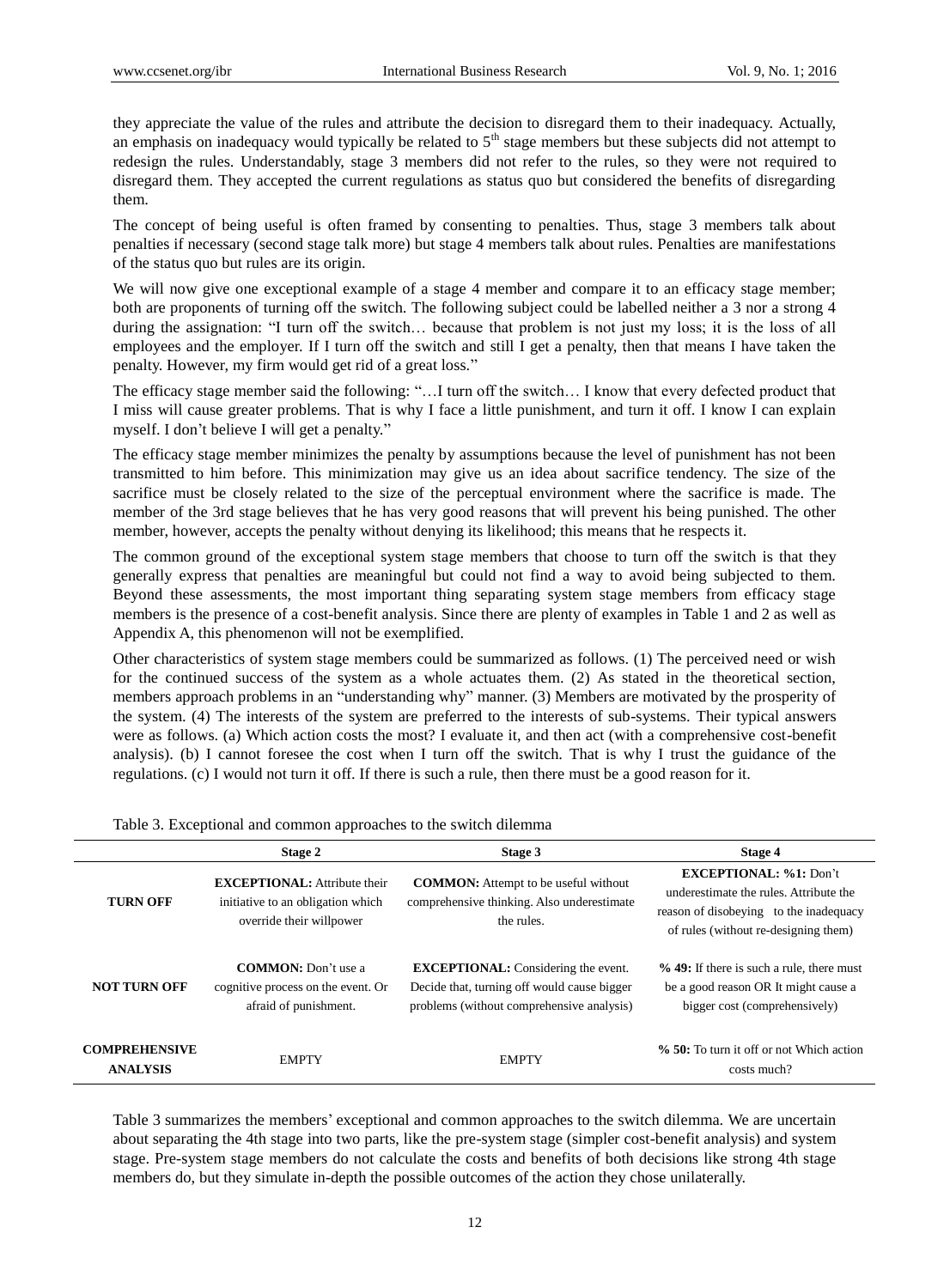they appreciate the value of the rules and attribute the decision to disregard them to their inadequacy. Actually, an emphasis on inadequacy would typically be related to  $5<sup>th</sup>$  stage members but these subjects did not attempt to redesign the rules. Understandably, stage 3 members did not refer to the rules, so they were not required to disregard them. They accepted the current regulations as status quo but considered the benefits of disregarding them.

The concept of being useful is often framed by consenting to penalties. Thus, stage 3 members talk about penalties if necessary (second stage talk more) but stage 4 members talk about rules. Penalties are manifestations of the status quo but rules are its origin.

We will now give one exceptional example of a stage 4 member and compare it to an efficacy stage member; both are proponents of turning off the switch. The following subject could be labelled neither a 3 nor a strong 4 during the assignation: "I turn off the switch… because that problem is not just my loss; it is the loss of all employees and the employer. If I turn off the switch and still I get a penalty, then that means I have taken the penalty. However, my firm would get rid of a great loss."

The efficacy stage member said the following: "…I turn off the switch… I know that every defected product that I miss will cause greater problems. That is why I face a little punishment, and turn it off. I know I can explain myself. I don't believe I will get a penalty."

The efficacy stage member minimizes the penalty by assumptions because the level of punishment has not been transmitted to him before. This minimization may give us an idea about sacrifice tendency. The size of the sacrifice must be closely related to the size of the perceptual environment where the sacrifice is made. The member of the 3rd stage believes that he has very good reasons that will prevent his being punished. The other member, however, accepts the penalty without denying its likelihood; this means that he respects it.

The common ground of the exceptional system stage members that choose to turn off the switch is that they generally express that penalties are meaningful but could not find a way to avoid being subjected to them. Beyond these assessments, the most important thing separating system stage members from efficacy stage members is the presence of a cost-benefit analysis. Since there are plenty of examples in Table 1 and 2 as well as Appendix A, this phenomenon will not be exemplified.

Other characteristics of system stage members could be summarized as follows. (1) The perceived need or wish for the continued success of the system as a whole actuates them. (2) As stated in the theoretical section, members approach problems in an "understanding why" manner. (3) Members are motivated by the prosperity of the system. (4) The interests of the system are preferred to the interests of sub-systems. Their typical answers were as follows. (a) Which action costs the most? I evaluate it, and then act (with a comprehensive cost-benefit analysis). (b) I cannot foresee the cost when I turn off the switch. That is why I trust the guidance of the regulations. (c) I would not turn it off. If there is such a rule, then there must be a good reason for it.

|                                         | $\mathbf{r}$                                                                                         |                                                                                                                                        |                                                                                                                                                           |
|-----------------------------------------|------------------------------------------------------------------------------------------------------|----------------------------------------------------------------------------------------------------------------------------------------|-----------------------------------------------------------------------------------------------------------------------------------------------------------|
|                                         | Stage 2                                                                                              | Stage 3                                                                                                                                | Stage 4                                                                                                                                                   |
| <b>TURN OFF</b>                         | <b>EXCEPTIONAL:</b> Attribute their<br>initiative to an obligation which<br>override their willpower | <b>COMMON:</b> Attempt to be useful without<br>comprehensive thinking. Also underestimate<br>the rules.                                | <b>EXCEPTIONAL: %1: Don't</b><br>underestimate the rules. Attribute the<br>reason of disobeying to the inadequacy<br>of rules (without re-designing them) |
| <b>NOT TURN OFF</b>                     | <b>COMMON:</b> Don't use a<br>cognitive process on the event. Or<br>afraid of punishment.            | <b>EXCEPTIONAL:</b> Considering the event.<br>Decide that, turning off would cause bigger<br>problems (without comprehensive analysis) | % 49: If there is such a rule, there must<br>be a good reason OR It might cause a<br>bigger cost (comprehensively)                                        |
| <b>COMPREHENSIVE</b><br><b>ANALYSIS</b> | <b>EMPTY</b>                                                                                         | <b>EMPTY</b>                                                                                                                           | % 50: To turn it off or not Which action<br>costs much?                                                                                                   |

Table 3. Exceptional and common approaches to the switch dilemma

Table 3 summarizes the members' exceptional and common approaches to the switch dilemma. We are uncertain about separating the 4th stage into two parts, like the pre-system stage (simpler cost-benefit analysis) and system stage. Pre-system stage members do not calculate the costs and benefits of both decisions like strong 4th stage members do, but they simulate in-depth the possible outcomes of the action they chose unilaterally.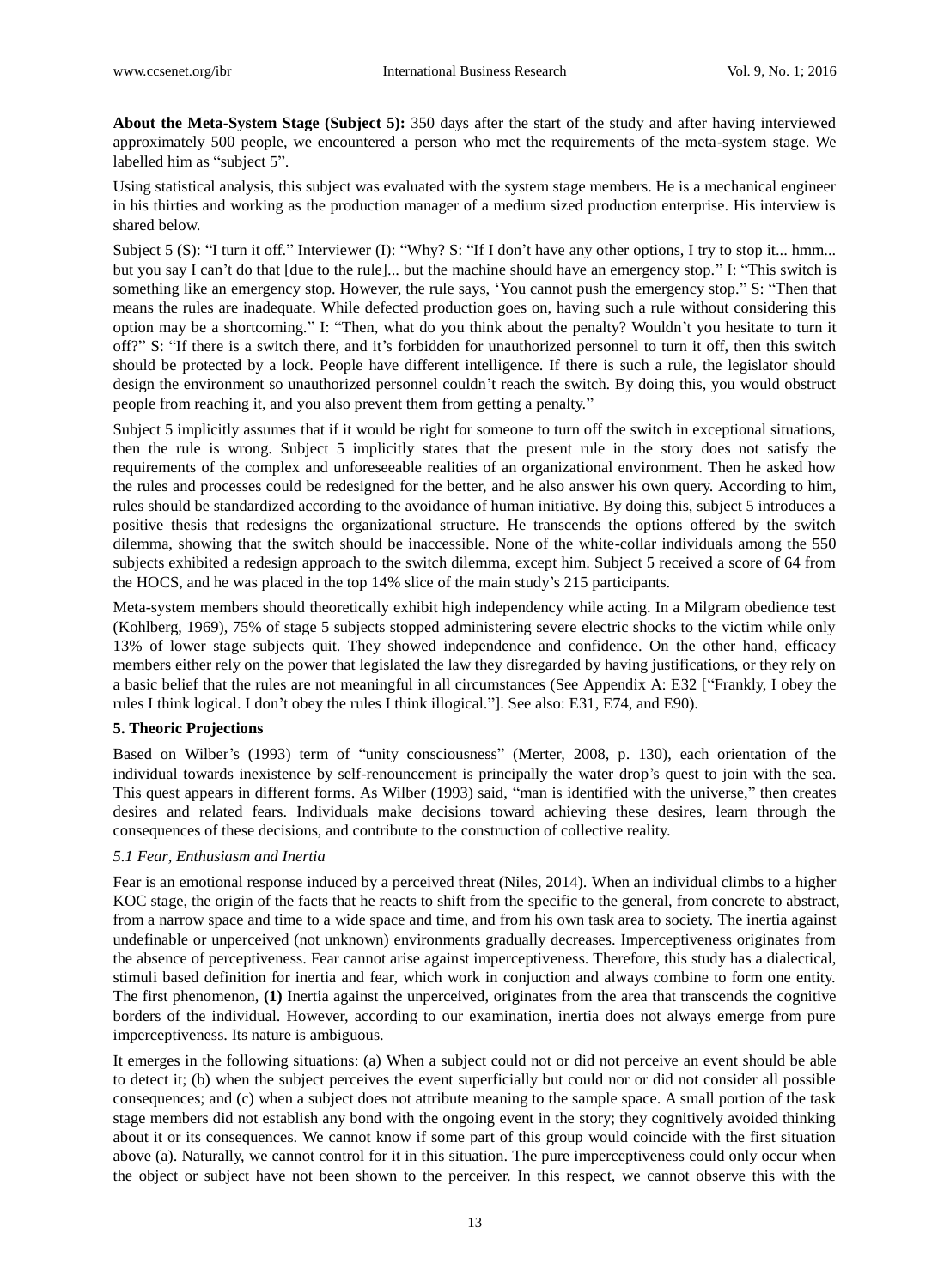**About the Meta-System Stage (Subject 5):** 350 days after the start of the study and after having interviewed approximately 500 people, we encountered a person who met the requirements of the meta-system stage. We labelled him as "subject 5".

Using statistical analysis, this subject was evaluated with the system stage members. He is a mechanical engineer in his thirties and working as the production manager of a medium sized production enterprise. His interview is shared below.

Subject 5 (S): "I turn it off." Interviewer (I): "Why? S: "If I don't have any other options, I try to stop it... hmm... but you say I can't do that [due to the rule]... but the machine should have an emergency stop." I: "This switch is something like an emergency stop. However, the rule says, 'You cannot push the emergency stop." S: "Then that means the rules are inadequate. While defected production goes on, having such a rule without considering this option may be a shortcoming." I: "Then, what do you think about the penalty? Wouldn't you hesitate to turn it off?" S: "If there is a switch there, and it's forbidden for unauthorized personnel to turn it off, then this switch should be protected by a lock. People have different intelligence. If there is such a rule, the legislator should design the environment so unauthorized personnel couldn't reach the switch. By doing this, you would obstruct people from reaching it, and you also prevent them from getting a penalty."

Subject 5 implicitly assumes that if it would be right for someone to turn off the switch in exceptional situations, then the rule is wrong. Subject 5 implicitly states that the present rule in the story does not satisfy the requirements of the complex and unforeseeable realities of an organizational environment. Then he asked how the rules and processes could be redesigned for the better, and he also answer his own query. According to him, rules should be standardized according to the avoidance of human initiative. By doing this, subject 5 introduces a positive thesis that redesigns the organizational structure. He transcends the options offered by the switch dilemma, showing that the switch should be inaccessible. None of the white-collar individuals among the 550 subjects exhibited a redesign approach to the switch dilemma, except him. Subject 5 received a score of 64 from the HOCS, and he was placed in the top 14% slice of the main study's 215 participants.

Meta-system members should theoretically exhibit high independency while acting. In a Milgram obedience test (Kohlberg, 1969), 75% of stage 5 subjects stopped administering severe electric shocks to the victim while only 13% of lower stage subjects quit. They showed independence and confidence. On the other hand, efficacy members either rely on the power that legislated the law they disregarded by having justifications, or they rely on a basic belief that the rules are not meaningful in all circumstances (See Appendix A: E32 ["Frankly, I obey the rules I think logical. I don't obey the rules I think illogical."]. See also: E31, E74, and E90).

# **5. Theoric Projections**

Based on Wilber's (1993) term of "unity consciousness" (Merter, 2008, p. 130), each orientation of the individual towards inexistence by self-renouncement is principally the water drop's quest to join with the sea. This quest appears in different forms. As Wilber (1993) said, "man is identified with the universe," then creates desires and related fears. Individuals make decisions toward achieving these desires, learn through the consequences of these decisions, and contribute to the construction of collective reality.

# *5.1 Fear, Enthusiasm and Inertia*

Fear is an emotional response induced by a perceived threat (Niles, 2014). When an individual climbs to a higher KOC stage, the origin of the facts that he reacts to shift from the specific to the general, from concrete to abstract, from a narrow space and time to a wide space and time, and from his own task area to society. The inertia against undefinable or unperceived (not unknown) environments gradually decreases. Imperceptiveness originates from the absence of perceptiveness. Fear cannot arise against imperceptiveness. Therefore, this study has a dialectical, stimuli based definition for inertia and fear, which work in conjuction and always combine to form one entity. The first phenomenon, **(1)** Inertia against the unperceived, originates from the area that transcends the cognitive borders of the individual. However, according to our examination, inertia does not always emerge from pure imperceptiveness. Its nature is ambiguous.

It emerges in the following situations: (a) When a subject could not or did not perceive an event should be able to detect it; (b) when the subject perceives the event superficially but could nor or did not consider all possible consequences; and (c) when a subject does not attribute meaning to the sample space. A small portion of the task stage members did not establish any bond with the ongoing event in the story; they cognitively avoided thinking about it or its consequences. We cannot know if some part of this group would coincide with the first situation above (a). Naturally, we cannot control for it in this situation. The pure imperceptiveness could only occur when the object or subject have not been shown to the perceiver. In this respect, we cannot observe this with the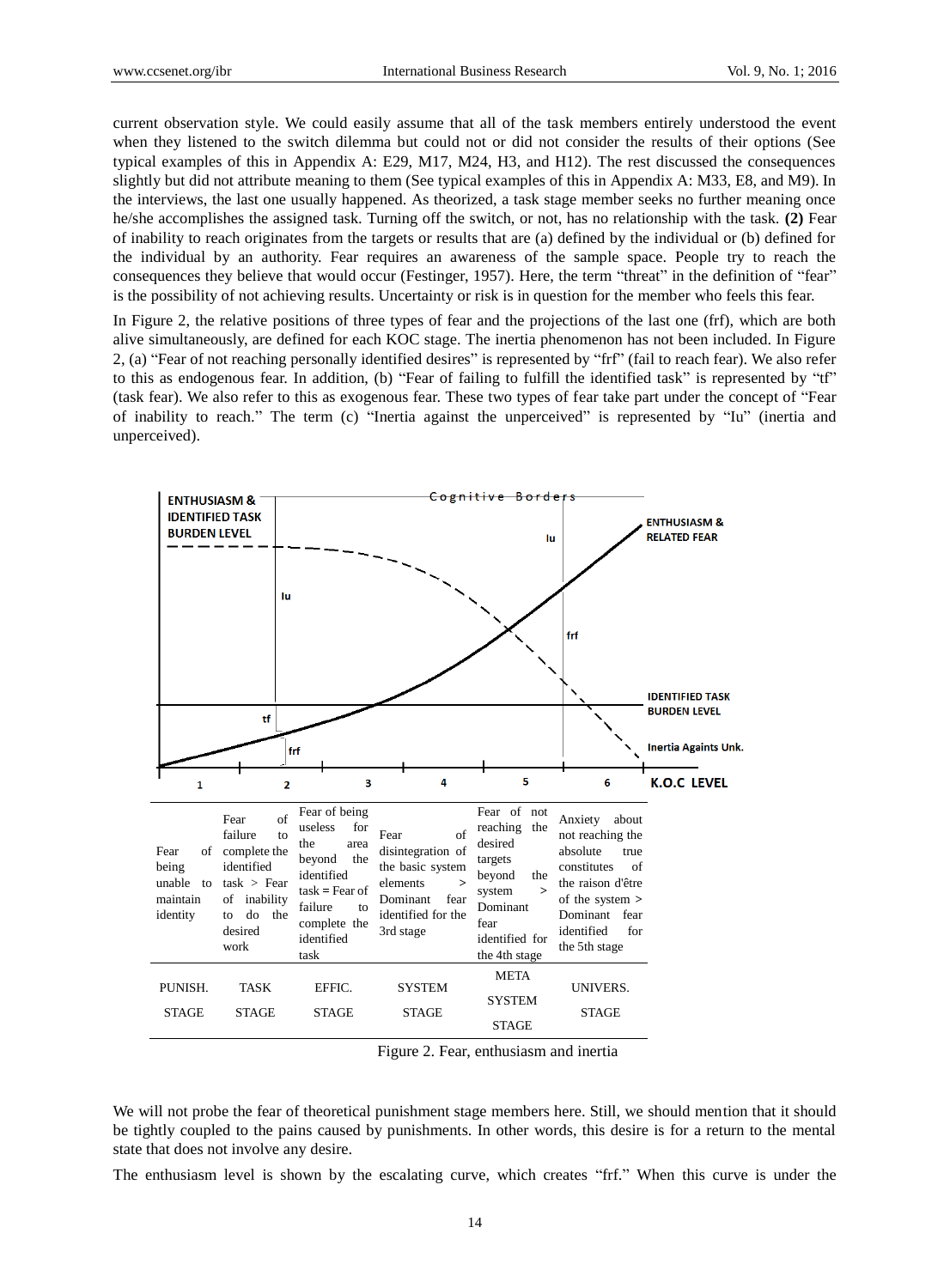current observation style. We could easily assume that all of the task members entirely understood the event when they listened to the switch dilemma but could not or did not consider the results of their options (See typical examples of this in Appendix A: E29, M17, M24, H3, and H12). The rest discussed the consequences slightly but did not attribute meaning to them (See typical examples of this in Appendix A: M33, E8, and M9). In the interviews, the last one usually happened. As theorized, a task stage member seeks no further meaning once he/she accomplishes the assigned task. Turning off the switch, or not, has no relationship with the task. **(2)** Fear of inability to reach originates from the targets or results that are (a) defined by the individual or (b) defined for the individual by an authority. Fear requires an awareness of the sample space. People try to reach the consequences they believe that would occur (Festinger, 1957). Here, the term "threat" in the definition of "fear" is the possibility of not achieving results. Uncertainty or risk is in question for the member who feels this fear.

In Figure 2, the relative positions of three types of fear and the projections of the last one (frf), which are both alive simultaneously, are defined for each KOC stage. The inertia phenomenon has not been included. In Figure 2, (a) "Fear of not reaching personally identified desires" is represented by "frf" (fail to reach fear). We also refer to this as endogenous fear. In addition, (b) "Fear of failing to fulfill the identified task" is represented by "tf" (task fear). We also refer to this as exogenous fear. These two types of fear take part under the concept of "Fear of inability to reach." The term (c) "Inertia against the unperceived" is represented by "Iu" (inertia and unperceived).



Figure 2. Fear, enthusiasm and inertia

We will not probe the fear of theoretical punishment stage members here. Still, we should mention that it should be tightly coupled to the pains caused by punishments. In other words, this desire is for a return to the mental state that does not involve any desire.

The enthusiasm level is shown by the escalating curve, which creates "frf." When this curve is under the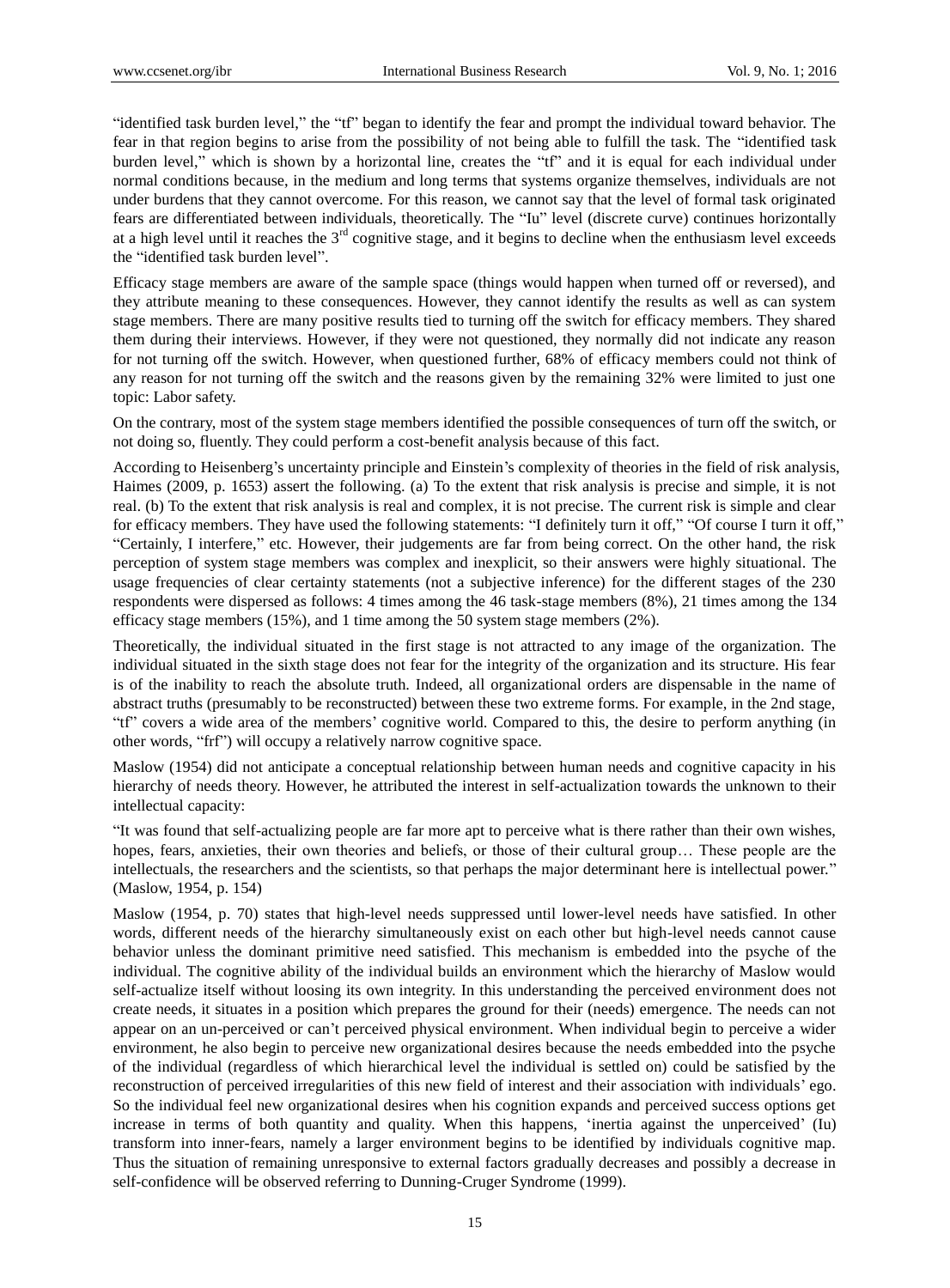"identified task burden level," the "tf" began to identify the fear and prompt the individual toward behavior. The fear in that region begins to arise from the possibility of not being able to fulfill the task. The "identified task burden level," which is shown by a horizontal line, creates the "tf" and it is equal for each individual under normal conditions because, in the medium and long terms that systems organize themselves, individuals are not under burdens that they cannot overcome. For this reason, we cannot say that the level of formal task originated fears are differentiated between individuals, theoretically. The "Iu" level (discrete curve) continues horizontally at a high level until it reaches the  $3<sup>rd</sup>$  cognitive stage, and it begins to decline when the enthusiasm level exceeds the "identified task burden level".

Efficacy stage members are aware of the sample space (things would happen when turned off or reversed), and they attribute meaning to these consequences. However, they cannot identify the results as well as can system stage members. There are many positive results tied to turning off the switch for efficacy members. They shared them during their interviews. However, if they were not questioned, they normally did not indicate any reason for not turning off the switch. However, when questioned further, 68% of efficacy members could not think of any reason for not turning off the switch and the reasons given by the remaining 32% were limited to just one topic: Labor safety.

On the contrary, most of the system stage members identified the possible consequences of turn off the switch, or not doing so, fluently. They could perform a cost-benefit analysis because of this fact.

According to Heisenberg's uncertainty principle and Einstein's complexity of theories in the field of risk analysis, Haimes (2009, p. 1653) assert the following. (a) To the extent that risk analysis is precise and simple, it is not real. (b) To the extent that risk analysis is real and complex, it is not precise. The current risk is simple and clear for efficacy members. They have used the following statements: "I definitely turn it off," "Of course I turn it off," "Certainly, I interfere," etc. However, their judgements are far from being correct. On the other hand, the risk perception of system stage members was complex and inexplicit, so their answers were highly situational. The usage frequencies of clear certainty statements (not a subjective inference) for the different stages of the 230 respondents were dispersed as follows: 4 times among the 46 task-stage members (8%), 21 times among the 134 efficacy stage members (15%), and 1 time among the 50 system stage members (2%).

Theoretically, the individual situated in the first stage is not attracted to any image of the organization. The individual situated in the sixth stage does not fear for the integrity of the organization and its structure. His fear is of the inability to reach the absolute truth. Indeed, all organizational orders are dispensable in the name of abstract truths (presumably to be reconstructed) between these two extreme forms. For example, in the 2nd stage, "tf" covers a wide area of the members' cognitive world. Compared to this, the desire to perform anything (in other words, "frf") will occupy a relatively narrow cognitive space.

Maslow (1954) did not anticipate a conceptual relationship between human needs and cognitive capacity in his hierarchy of needs theory. However, he attributed the interest in self-actualization towards the unknown to their intellectual capacity:

"It was found that self-actualizing people are far more apt to perceive what is there rather than their own wishes, hopes, fears, anxieties, their own theories and beliefs, or those of their cultural group… These people are the intellectuals, the researchers and the scientists, so that perhaps the major determinant here is intellectual power." (Maslow, 1954, p. 154)

Maslow (1954, p. 70) states that high-level needs suppressed until lower-level needs have satisfied. In other words, different needs of the hierarchy simultaneously exist on each other but high-level needs cannot cause behavior unless the dominant primitive need satisfied. This mechanism is embedded into the psyche of the individual. The cognitive ability of the individual builds an environment which the hierarchy of Maslow would self-actualize itself without loosing its own integrity. In this understanding the perceived environment does not create needs, it situates in a position which prepares the ground for their (needs) emergence. The needs can not appear on an un-perceived or can't perceived physical environment. When individual begin to perceive a wider environment, he also begin to perceive new organizational desires because the needs embedded into the psyche of the individual (regardless of which hierarchical level the individual is settled on) could be satisfied by the reconstruction of perceived irregularities of this new field of interest and their association with individuals' ego. So the individual feel new organizational desires when his cognition expands and perceived success options get increase in terms of both quantity and quality. When this happens, 'inertia against the unperceived' (Iu) transform into inner-fears, namely a larger environment begins to be identified by individuals cognitive map. Thus the situation of remaining unresponsive to external factors gradually decreases and possibly a decrease in self-confidence will be observed referring to Dunning-Cruger Syndrome (1999).

15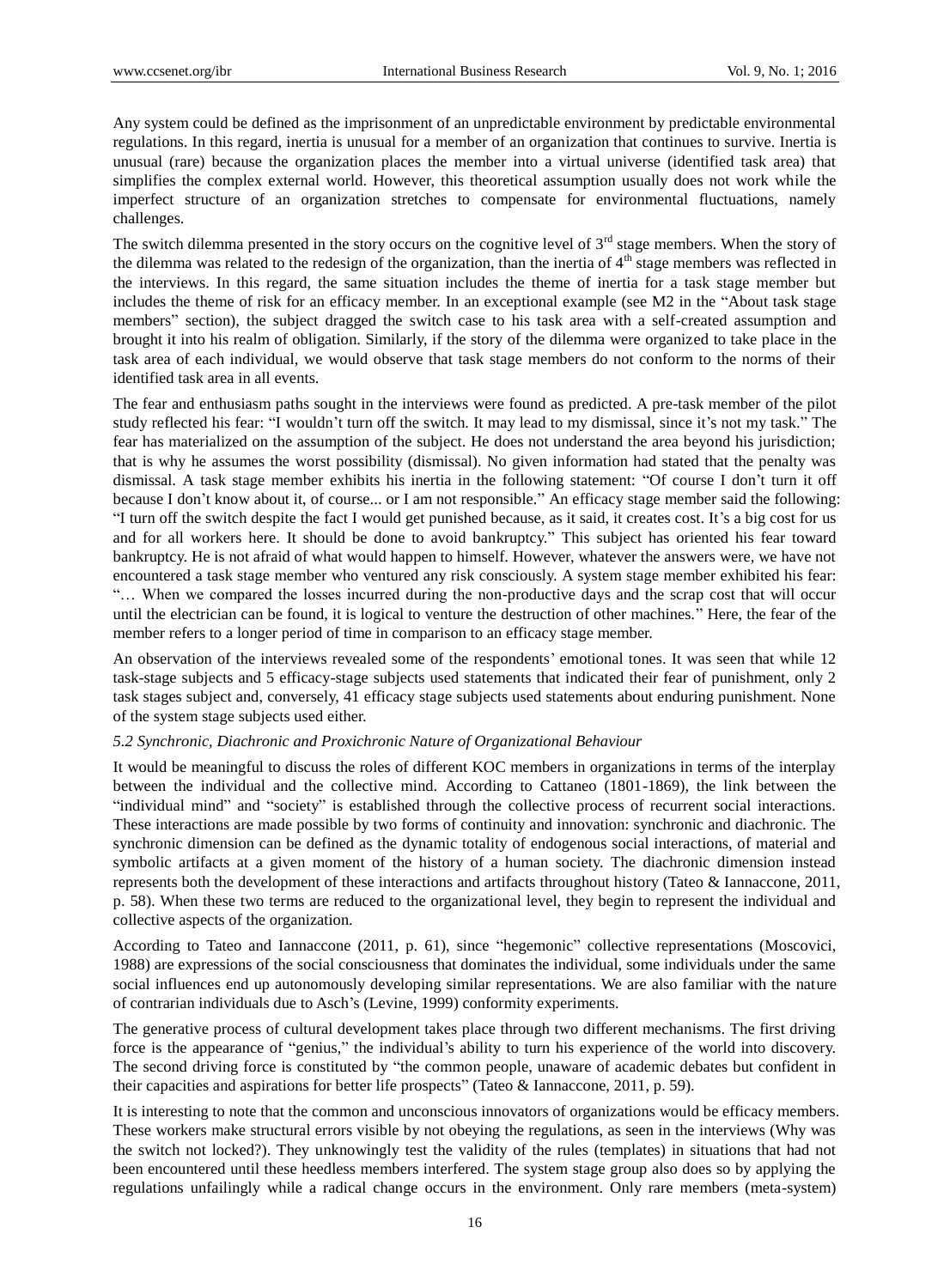Any system could be defined as the imprisonment of an unpredictable environment by predictable environmental regulations. In this regard, inertia is unusual for a member of an organization that continues to survive. Inertia is unusual (rare) because the organization places the member into a virtual universe (identified task area) that simplifies the complex external world. However, this theoretical assumption usually does not work while the imperfect structure of an organization stretches to compensate for environmental fluctuations, namely challenges.

The switch dilemma presented in the story occurs on the cognitive level of  $3<sup>rd</sup>$  stage members. When the story of the dilemma was related to the redesign of the organization, than the inertia of  $4<sup>th</sup>$  stage members was reflected in the interviews. In this regard, the same situation includes the theme of inertia for a task stage member but includes the theme of risk for an efficacy member. In an exceptional example (see M2 in the "About task stage members" section), the subject dragged the switch case to his task area with a self-created assumption and brought it into his realm of obligation. Similarly, if the story of the dilemma were organized to take place in the task area of each individual, we would observe that task stage members do not conform to the norms of their identified task area in all events.

The fear and enthusiasm paths sought in the interviews were found as predicted. A pre-task member of the pilot study reflected his fear: "I wouldn't turn off the switch. It may lead to my dismissal, since it's not my task." The fear has materialized on the assumption of the subject. He does not understand the area beyond his jurisdiction; that is why he assumes the worst possibility (dismissal). No given information had stated that the penalty was dismissal. A task stage member exhibits his inertia in the following statement: "Of course I don't turn it off because I don't know about it, of course... or I am not responsible." An efficacy stage member said the following: "I turn off the switch despite the fact I would get punished because, as it said, it creates cost. It's a big cost for us and for all workers here. It should be done to avoid bankruptcy." This subject has oriented his fear toward bankruptcy. He is not afraid of what would happen to himself. However, whatever the answers were, we have not encountered a task stage member who ventured any risk consciously. A system stage member exhibited his fear: "… When we compared the losses incurred during the non-productive days and the scrap cost that will occur until the electrician can be found, it is logical to venture the destruction of other machines." Here, the fear of the member refers to a longer period of time in comparison to an efficacy stage member.

An observation of the interviews revealed some of the respondents' emotional tones. It was seen that while 12 task-stage subjects and 5 efficacy-stage subjects used statements that indicated their fear of punishment, only 2 task stages subject and, conversely, 41 efficacy stage subjects used statements about enduring punishment. None of the system stage subjects used either.

#### *5.2 Synchronic, Diachronic and Proxichronic Nature of Organizational Behaviour*

It would be meaningful to discuss the roles of different KOC members in organizations in terms of the interplay between the individual and the collective mind. According to Cattaneo (1801-1869), the link between the "individual mind" and "society" is established through the collective process of recurrent social interactions. These interactions are made possible by two forms of continuity and innovation: synchronic and diachronic. The synchronic dimension can be defined as the dynamic totality of endogenous social interactions, of material and symbolic artifacts at a given moment of the history of a human society. The diachronic dimension instead represents both the development of these interactions and artifacts throughout history (Tateo & Iannaccone, 2011, p. 58). When these two terms are reduced to the organizational level, they begin to represent the individual and collective aspects of the organization.

According to Tateo and Iannaccone (2011, p. 61), since "hegemonic" collective representations (Moscovici, 1988) are expressions of the social consciousness that dominates the individual, some individuals under the same social influences end up autonomously developing similar representations. We are also familiar with the nature of contrarian individuals due to Asch's (Levine, 1999) conformity experiments.

The generative process of cultural development takes place through two different mechanisms. The first driving force is the appearance of "genius," the individual's ability to turn his experience of the world into discovery. The second driving force is constituted by "the common people, unaware of academic debates but confident in their capacities and aspirations for better life prospects" (Tateo & Iannaccone, 2011, p. 59).

It is interesting to note that the common and unconscious innovators of organizations would be efficacy members. These workers make structural errors visible by not obeying the regulations, as seen in the interviews (Why was the switch not locked?). They unknowingly test the validity of the rules (templates) in situations that had not been encountered until these heedless members interfered. The system stage group also does so by applying the regulations unfailingly while a radical change occurs in the environment. Only rare members (meta-system)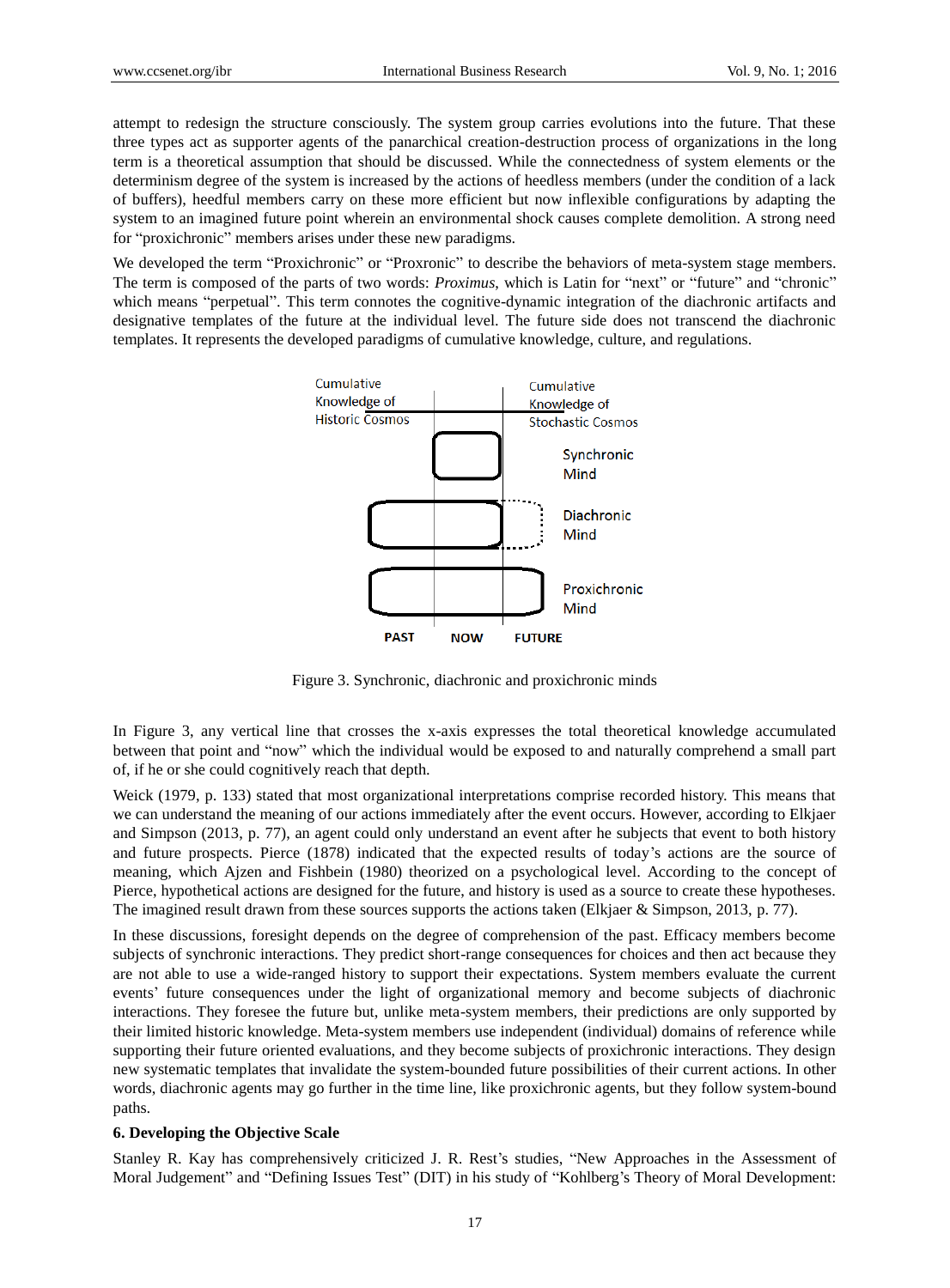attempt to redesign the structure consciously. The system group carries evolutions into the future. That these three types act as supporter agents of the panarchical creation-destruction process of organizations in the long term is a theoretical assumption that should be discussed. While the connectedness of system elements or the determinism degree of the system is increased by the actions of heedless members (under the condition of a lack of buffers), heedful members carry on these more efficient but now inflexible configurations by adapting the system to an imagined future point wherein an environmental shock causes complete demolition. A strong need for "proxichronic" members arises under these new paradigms.

We developed the term "Proxichronic" or "Proxronic" to describe the behaviors of meta-system stage members. The term is composed of the parts of two words: *Proximus*, which is Latin for "next" or "future" and "chronic" which means "perpetual". This term connotes the cognitive-dynamic integration of the diachronic artifacts and designative templates of the future at the individual level. The future side does not transcend the diachronic templates. It represents the developed paradigms of cumulative knowledge, culture, and regulations.



Figure 3. Synchronic, diachronic and proxichronic minds

In Figure 3, any vertical line that crosses the x-axis expresses the total theoretical knowledge accumulated between that point and "now" which the individual would be exposed to and naturally comprehend a small part of, if he or she could cognitively reach that depth.

Weick (1979, p. 133) stated that most organizational interpretations comprise recorded history. This means that we can understand the meaning of our actions immediately after the event occurs. However, according to Elkjaer and Simpson (2013, p. 77), an agent could only understand an event after he subjects that event to both history and future prospects. Pierce (1878) indicated that the expected results of today's actions are the source of meaning, which Ajzen and Fishbein (1980) theorized on a psychological level. According to the concept of Pierce, hypothetical actions are designed for the future, and history is used as a source to create these hypotheses. The imagined result drawn from these sources supports the actions taken (Elkjaer & Simpson, 2013, p. 77).

In these discussions, foresight depends on the degree of comprehension of the past. Efficacy members become subjects of synchronic interactions. They predict short-range consequences for choices and then act because they are not able to use a wide-ranged history to support their expectations. System members evaluate the current events' future consequences under the light of organizational memory and become subjects of diachronic interactions. They foresee the future but, unlike meta-system members, their predictions are only supported by their limited historic knowledge. Meta-system members use independent (individual) domains of reference while supporting their future oriented evaluations, and they become subjects of proxichronic interactions. They design new systematic templates that invalidate the system-bounded future possibilities of their current actions. In other words, diachronic agents may go further in the time line, like proxichronic agents, but they follow system-bound paths.

#### **6. Developing the Objective Scale**

Stanley R. Kay has comprehensively criticized J. R. Rest's studies, "New Approaches in the Assessment of Moral Judgement" and "Defining Issues Test" (DIT) in his study of "Kohlberg's Theory of Moral Development: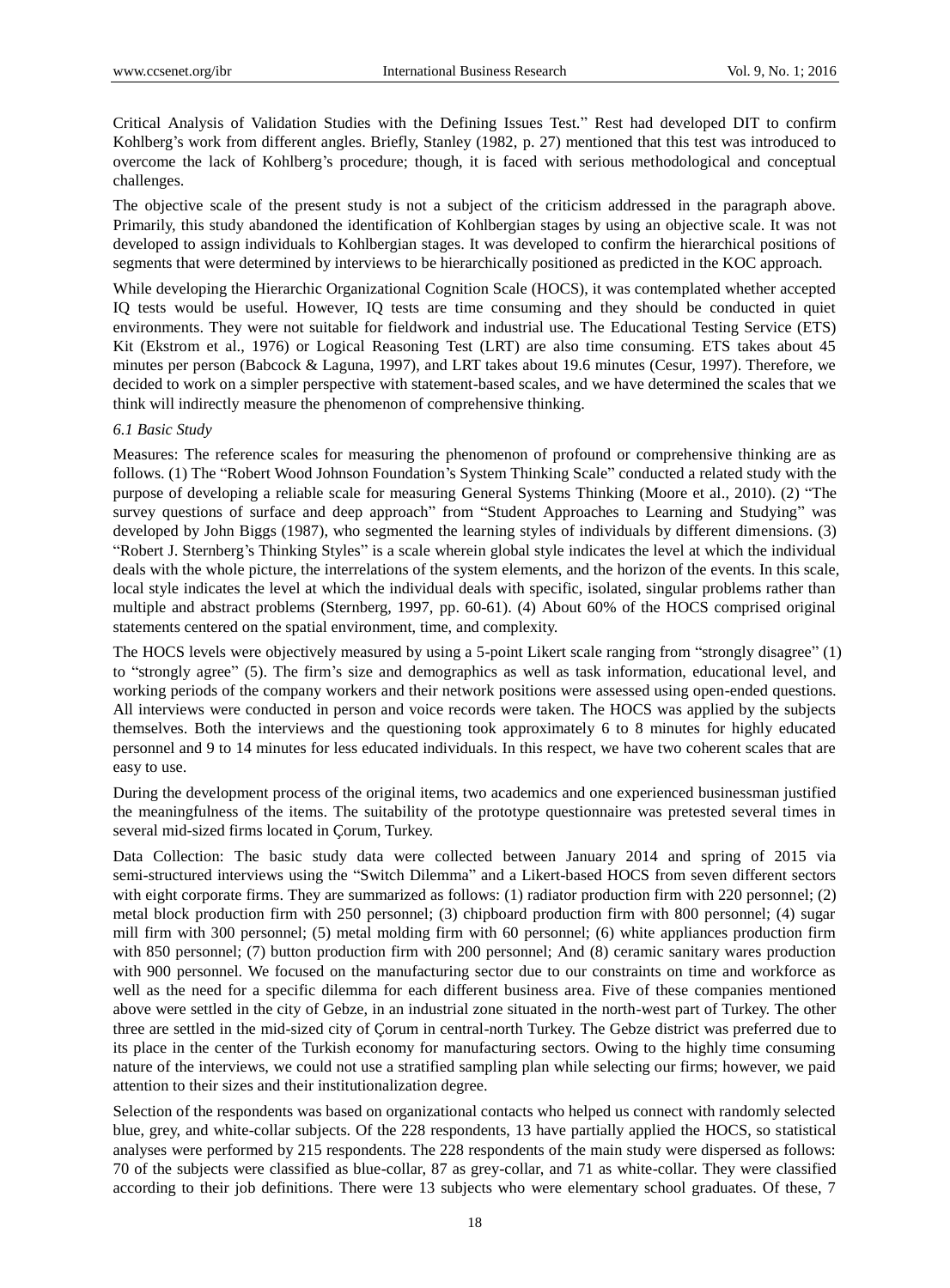Critical Analysis of Validation Studies with the Defining Issues Test." Rest had developed DIT to confirm Kohlberg's work from different angles. Briefly, Stanley (1982, p. 27) mentioned that this test was introduced to overcome the lack of Kohlberg's procedure; though, it is faced with serious methodological and conceptual challenges.

The objective scale of the present study is not a subject of the criticism addressed in the paragraph above. Primarily, this study abandoned the identification of Kohlbergian stages by using an objective scale. It was not developed to assign individuals to Kohlbergian stages. It was developed to confirm the hierarchical positions of segments that were determined by interviews to be hierarchically positioned as predicted in the KOC approach.

While developing the Hierarchic Organizational Cognition Scale (HOCS), it was contemplated whether accepted IQ tests would be useful. However, IQ tests are time consuming and they should be conducted in quiet environments. They were not suitable for fieldwork and industrial use. The Educational Testing Service (ETS) Kit (Ekstrom et al., 1976) or Logical Reasoning Test (LRT) are also time consuming. ETS takes about 45 minutes per person (Babcock & Laguna, 1997), and LRT takes about 19.6 minutes (Cesur, 1997). Therefore, we decided to work on a simpler perspective with statement-based scales, and we have determined the scales that we think will indirectly measure the phenomenon of comprehensive thinking.

#### *6.1 Basic Study*

Measures: The reference scales for measuring the phenomenon of profound or comprehensive thinking are as follows. (1) The "Robert Wood Johnson Foundation's System Thinking Scale" conducted a related study with the purpose of developing a reliable scale for measuring General Systems Thinking (Moore et al., 2010). (2) "The survey questions of surface and deep approach" from "Student Approaches to Learning and Studying" was developed by John Biggs (1987), who segmented the learning styles of individuals by different dimensions. (3) "Robert J. Sternberg's Thinking Styles" is a scale wherein global style indicates the level at which the individual deals with the whole picture, the interrelations of the system elements, and the horizon of the events. In this scale, local style indicates the level at which the individual deals with specific, isolated, singular problems rather than multiple and abstract problems (Sternberg, 1997, pp. 60-61). (4) About 60% of the HOCS comprised original statements centered on the spatial environment, time, and complexity.

The HOCS levels were objectively measured by using a 5-point Likert scale ranging from "strongly disagree" (1) to "strongly agree" (5). The firm's size and demographics as well as task information, educational level, and working periods of the company workers and their network positions were assessed using open-ended questions. All interviews were conducted in person and voice records were taken. The HOCS was applied by the subjects themselves. Both the interviews and the questioning took approximately 6 to 8 minutes for highly educated personnel and 9 to 14 minutes for less educated individuals. In this respect, we have two coherent scales that are easy to use.

During the development process of the original items, two academics and one experienced businessman justified the meaningfulness of the items. The suitability of the prototype questionnaire was pretested several times in several mid-sized firms located in Ç orum, Turkey.

Data Collection: The basic study data were collected between January 2014 and spring of 2015 via semi-structured interviews using the "Switch Dilemma" and a Likert-based HOCS from seven different sectors with eight corporate firms. They are summarized as follows: (1) radiator production firm with 220 personnel; (2) metal block production firm with 250 personnel; (3) chipboard production firm with 800 personnel; (4) sugar mill firm with 300 personnel; (5) metal molding firm with 60 personnel; (6) white appliances production firm with 850 personnel; (7) button production firm with 200 personnel; And (8) ceramic sanitary wares production with 900 personnel. We focused on the manufacturing sector due to our constraints on time and workforce as well as the need for a specific dilemma for each different business area. Five of these companies mentioned above were settled in the city of Gebze, in an industrial zone situated in the north-west part of Turkey. The other three are settled in the mid-sized city of Ç orum in central-north Turkey. The Gebze district was preferred due to its place in the center of the Turkish economy for manufacturing sectors. Owing to the highly time consuming nature of the interviews, we could not use a stratified sampling plan while selecting our firms; however, we paid attention to their sizes and their institutionalization degree.

Selection of the respondents was based on organizational contacts who helped us connect with randomly selected blue, grey, and white-collar subjects. Of the 228 respondents, 13 have partially applied the HOCS, so statistical analyses were performed by 215 respondents. The 228 respondents of the main study were dispersed as follows: 70 of the subjects were classified as blue-collar, 87 as grey-collar, and 71 as white-collar. They were classified according to their job definitions. There were 13 subjects who were elementary school graduates. Of these, 7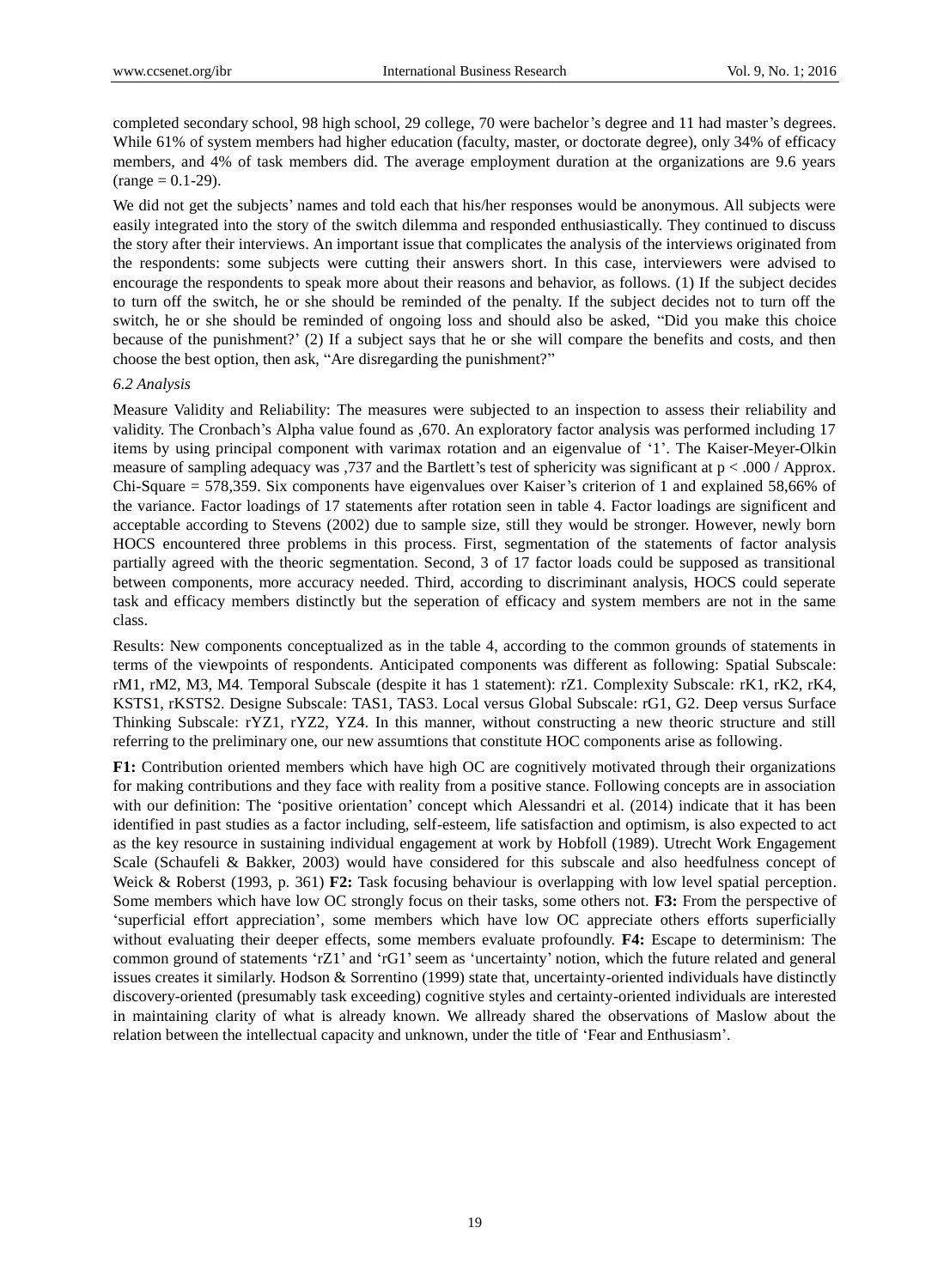completed secondary school, 98 high school, 29 college, 70 were bachelor's degree and 11 had master's degrees. While 61% of system members had higher education (faculty, master, or doctorate degree), only 34% of efficacy members, and 4% of task members did. The average employment duration at the organizations are 9.6 years  $(range = 0.1-29)$ .

We did not get the subjects' names and told each that his/her responses would be anonymous. All subjects were easily integrated into the story of the switch dilemma and responded enthusiastically. They continued to discuss the story after their interviews. An important issue that complicates the analysis of the interviews originated from the respondents: some subjects were cutting their answers short. In this case, interviewers were advised to encourage the respondents to speak more about their reasons and behavior, as follows. (1) If the subject decides to turn off the switch, he or she should be reminded of the penalty. If the subject decides not to turn off the switch, he or she should be reminded of ongoing loss and should also be asked, "Did you make this choice because of the punishment?' (2) If a subject says that he or she will compare the benefits and costs, and then choose the best option, then ask, "Are disregarding the punishment?"

#### *6.2 Analysis*

Measure Validity and Reliability: The measures were subjected to an inspection to assess their reliability and validity. The Cronbach's Alpha value found as ,670. An exploratory factor analysis was performed including 17 items by using principal component with varimax rotation and an eigenvalue of '1'. The Kaiser-Meyer-Olkin measure of sampling adequacy was ,737 and the Bartlett's test of sphericity was significant at  $p < .000$  / Approx. Chi-Square = 578,359. Six components have eigenvalues over Kaiser's criterion of 1 and explained 58,66% of the variance. Factor loadings of 17 statements after rotation seen in table 4. Factor loadings are significent and acceptable according to Stevens (2002) due to sample size, still they would be stronger. However, newly born HOCS encountered three problems in this process. First, segmentation of the statements of factor analysis partially agreed with the theoric segmentation. Second, 3 of 17 factor loads could be supposed as transitional between components, more accuracy needed. Third, according to discriminant analysis, HOCS could seperate task and efficacy members distinctly but the seperation of efficacy and system members are not in the same class.

Results: New components conceptualized as in the table 4, according to the common grounds of statements in terms of the viewpoints of respondents. Anticipated components was different as following: Spatial Subscale: rM1, rM2, M3, M4. Temporal Subscale (despite it has 1 statement): rZ1. Complexity Subscale: rK1, rK2, rK4, KSTS1, rKSTS2. Designe Subscale: TAS1, TAS3. Local versus Global Subscale: rG1, G2. Deep versus Surface Thinking Subscale: rYZ1, rYZ2, YZ4. In this manner, without constructing a new theoric structure and still referring to the preliminary one, our new assumtions that constitute HOC components arise as following.

**F1:** Contribution oriented members which have high OC are cognitively motivated through their organizations for making contributions and they face with reality from a positive stance. Following concepts are in association with our definition: The 'positive orientation' concept which Alessandri et al. (2014) indicate that it has been identified in past studies as a factor including, self-esteem, life satisfaction and optimism, is also expected to act as the key resource in sustaining individual engagement at work by Hobfoll (1989). Utrecht Work Engagement Scale (Schaufeli & Bakker, 2003) would have considered for this subscale and also heedfulness concept of Weick & Roberst (1993, p. 361) **F2:** Task focusing behaviour is overlapping with low level spatial perception. Some members which have low OC strongly focus on their tasks, some others not. **F3:** From the perspective of 'superficial effort appreciation', some members which have low OC appreciate others efforts superficially without evaluating their deeper effects, some members evaluate profoundly. **F4:** Escape to determinism: The common ground of statements 'rZ1' and 'rG1' seem as 'uncertainty' notion, which the future related and general issues creates it similarly. Hodson & Sorrentino (1999) state that, uncertainty-oriented individuals have distinctly discovery-oriented (presumably task exceeding) cognitive styles and certainty-oriented individuals are interested in maintaining clarity of what is already known. We allready shared the observations of Maslow about the relation between the intellectual capacity and unknown, under the title of 'Fear and Enthusiasm'.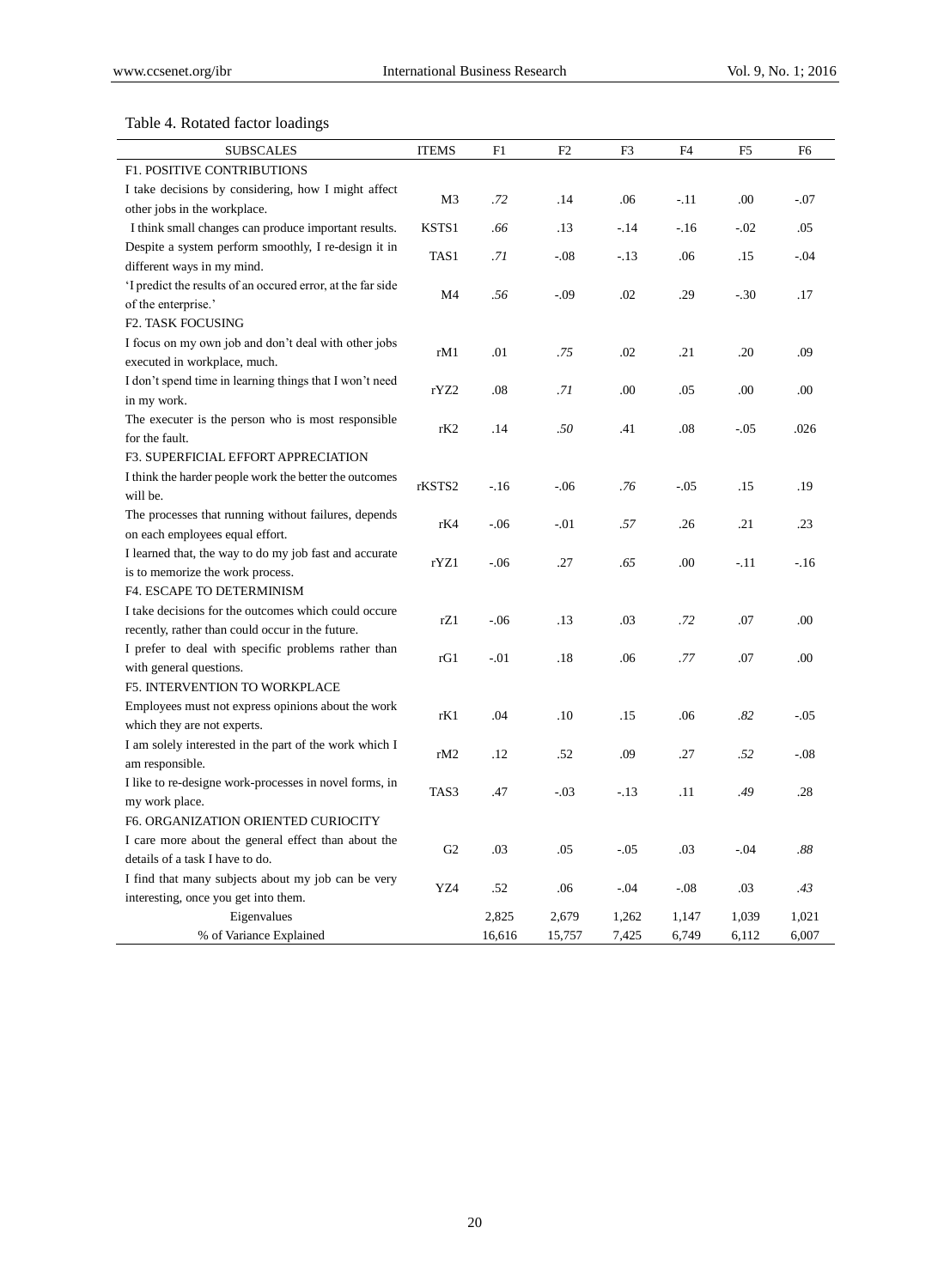# Table 4. Rotated factor loadings

| <b>SUBSCALES</b>                                                                           | <b>ITEMS</b>    | F1      | F <sub>2</sub> | F <sub>3</sub> | F4     | F <sub>5</sub> | F <sub>6</sub> |
|--------------------------------------------------------------------------------------------|-----------------|---------|----------------|----------------|--------|----------------|----------------|
| F1. POSITIVE CONTRIBUTIONS                                                                 |                 |         |                |                |        |                |                |
| I take decisions by considering, how I might affect                                        |                 |         |                |                |        |                |                |
| other jobs in the workplace.                                                               | M3              | .72     | .14            | .06            | $-.11$ | .00            | $-.07$         |
| I think small changes can produce important results.                                       | KSTS1           | .66     | .13            | $-.14$         | $-16$  | $-.02$         | .05            |
| Despite a system perform smoothly, I re-design it in                                       | TAS1            | .71     | $-.08$         | $-.13$         | .06    | .15            | $-.04$         |
| different ways in my mind.                                                                 |                 |         |                |                |        |                |                |
| I predict the results of an occured error, at the far side                                 | M4              | .56     | $-.09$         | .02            | .29    | $-.30$         | .17            |
| of the enterprise.'                                                                        |                 |         |                |                |        |                |                |
| <b>F2. TASK FOCUSING</b>                                                                   |                 |         |                |                |        |                |                |
| I focus on my own job and don't deal with other jobs                                       | rM1             | .01     | .75            | .02            | .21    | .20            | .09            |
| executed in workplace, much.                                                               |                 |         |                |                |        |                |                |
| I don't spend time in learning things that I won't need                                    | rYZ2            | .08     | .71            | .00            | .05    | .00            | .00.           |
| in my work.                                                                                |                 |         |                |                |        |                |                |
| The executer is the person who is most responsible<br>for the fault.                       | rK <sub>2</sub> | .14     | .50            | .41            | .08    | $-0.05$        | .026           |
| <b>F3. SUPERFICIAL EFFORT APPRECIATION</b>                                                 |                 |         |                |                |        |                |                |
| I think the harder people work the better the outcomes                                     |                 |         |                |                |        |                |                |
| will be.                                                                                   | rKSTS2          | $-16$   | $-06$          | .76            | $-.05$ | .15            | .19            |
| The processes that running without failures, depends                                       |                 |         |                |                |        |                |                |
| on each employees equal effort.                                                            | rK4             | $-.06$  | $-.01$         | .57            | .26    | .21            | .23            |
| I learned that, the way to do my job fast and accurate                                     |                 |         |                |                |        |                |                |
| is to memorize the work process.                                                           | rYZ1            | $-0.06$ | .27            | .65            | .00    | $-.11$         | $-16$          |
| F4. ESCAPE TO DETERMINISM                                                                  |                 |         |                |                |        |                |                |
| I take decisions for the outcomes which could occure                                       |                 |         |                |                |        |                |                |
| recently, rather than could occur in the future.                                           | rZ1             | $-0.06$ | .13            | .03            | .72    | .07            | .00            |
| I prefer to deal with specific problems rather than                                        | rG1             | $-.01$  | .18            | .06            | .77    | .07            | .00            |
| with general questions.                                                                    |                 |         |                |                |        |                |                |
| F5. INTERVENTION TO WORKPLACE                                                              |                 |         |                |                |        |                |                |
| Employees must not express opinions about the work                                         | rK1             | .04     | .10            | .15            | .06    | .82            | $-.05$         |
| which they are not experts.                                                                |                 |         |                |                |        |                |                |
| I am solely interested in the part of the work which I                                     | rM2             | .12     | .52            | .09            | .27    | .52            | $-.08$         |
| am responsible.                                                                            |                 |         |                |                |        |                |                |
| I like to re-designe work-processes in novel forms, in                                     | TAS3            | .47     | $-.03$         | $-13$          | .11    | .49            | .28            |
| my work place.                                                                             |                 |         |                |                |        |                |                |
| F6. ORGANIZATION ORIENTED CURIOCITY                                                        |                 |         |                |                |        |                |                |
| I care more about the general effect than about the                                        | G2              | .03     | .05            | $-.05$         | .03    | $-.04$         | .88            |
| details of a task I have to do.                                                            |                 |         |                |                |        |                |                |
| I find that many subjects about my job can be very<br>interesting, once you get into them. | YZ4             | .52     | .06            | $-.04$         | $-.08$ | .03            | .43            |
| Eigenvalues                                                                                |                 | 2,825   | 2,679          | 1,262          | 1,147  | 1,039          | 1,021          |
| % of Variance Explained                                                                    |                 | 16,616  | 15,757         | 7,425          | 6,749  | 6,112          | 6,007          |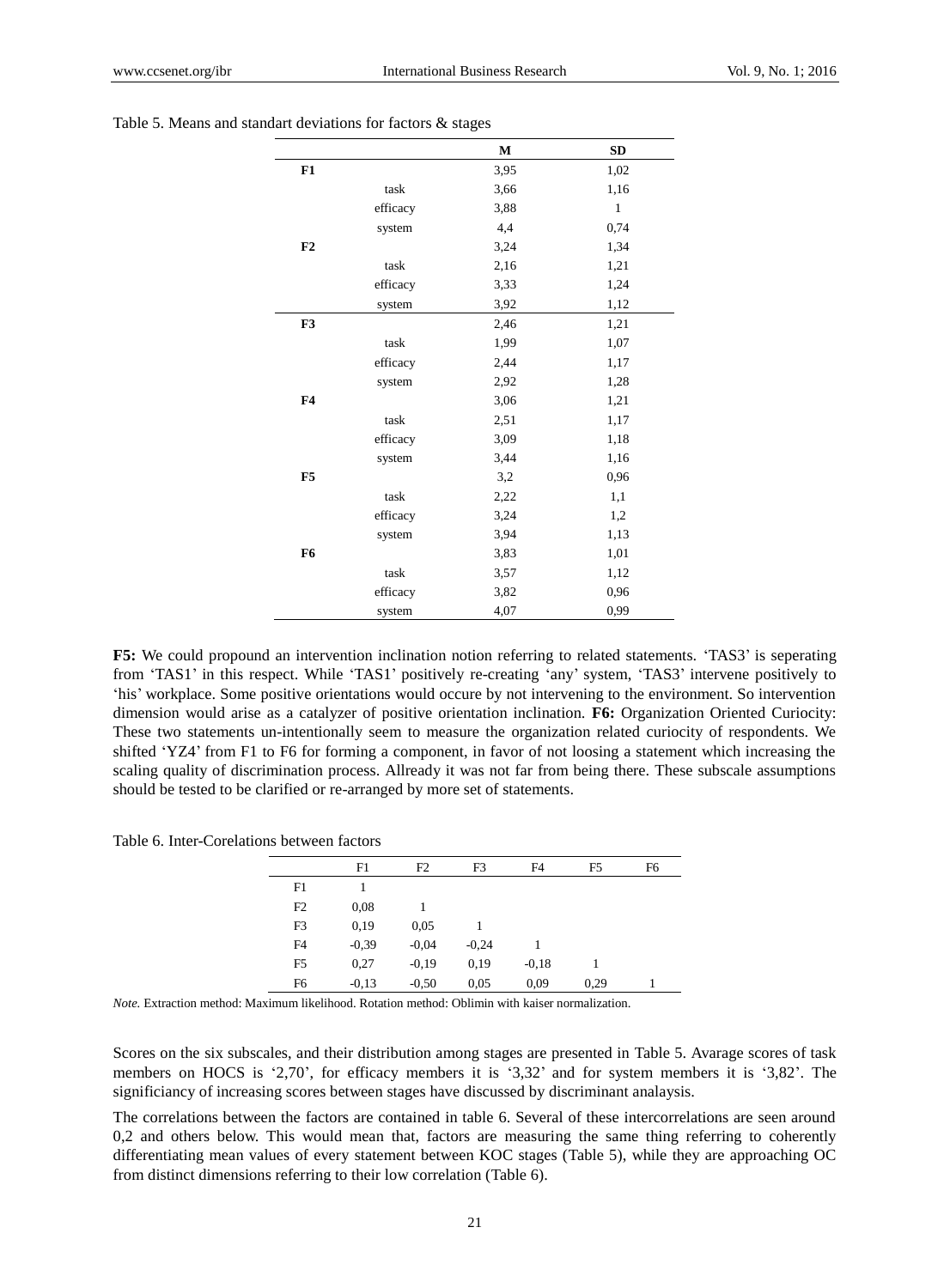|                |          | $\mathbf M$ | <b>SD</b> |
|----------------|----------|-------------|-----------|
| F1             |          | 3,95        | 1,02      |
|                | task     | 3,66        | 1,16      |
|                | efficacy | 3,88        | 1         |
|                | system   | 4,4         | 0,74      |
| F2             |          | 3,24        | 1,34      |
|                | task     | 2,16        | 1,21      |
|                | efficacy | 3,33        | 1,24      |
|                | system   | 3,92        | 1,12      |
| F3             |          | 2,46        | 1,21      |
|                | task     | 1,99        | 1,07      |
|                | efficacy | 2,44        | 1,17      |
|                | system   | 2,92        | 1,28      |
| F <sub>4</sub> |          | 3,06        | 1,21      |
|                | task     | 2,51        | 1,17      |
|                | efficacy | 3,09        | 1,18      |
|                | system   | 3,44        | 1,16      |
| F5             |          | 3,2         | 0,96      |
|                | task     | 2,22        | 1,1       |
|                | efficacy | 3,24        | 1,2       |
|                | system   | 3,94        | 1,13      |
| F6             |          | 3,83        | 1,01      |
|                | task     | 3,57        | 1,12      |
|                | efficacy | 3,82        | 0,96      |
|                | system   | 4,07        | 0,99      |

Table 5. Means and standart deviations for factors & stages

**F5:** We could propound an intervention inclination notion referring to related statements. 'TAS3' is seperating from 'TAS1' in this respect. While 'TAS1' positively re-creating 'any' system, 'TAS3' intervene positively to 'his' workplace. Some positive orientations would occure by not intervening to the environment. So intervention dimension would arise as a catalyzer of positive orientation inclination. **F6:** Organization Oriented Curiocity: These two statements un-intentionally seem to measure the organization related curiocity of respondents. We shifted 'YZ4' from F1 to F6 for forming a component, in favor of not loosing a statement which increasing the scaling quality of discrimination process. Allready it was not far from being there. These subscale assumptions should be tested to be clarified or re-arranged by more set of statements.

Table 6. Inter-Corelations between factors

|                | F1      | F <sub>2</sub> | F3      | F <sub>4</sub> | F5   | F6 |
|----------------|---------|----------------|---------|----------------|------|----|
| F1             |         |                |         |                |      |    |
| F2             | 0.08    |                |         |                |      |    |
| F3             | 0.19    | 0.05           |         |                |      |    |
| F <sub>4</sub> | $-0.39$ | $-0.04$        | $-0,24$ |                |      |    |
| F <sub>5</sub> | 0,27    | $-0.19$        | 0,19    | $-0.18$        |      |    |
| F6             | $-0.13$ | $-0.50$        | 0,05    | 0.09           | 0.29 |    |

*Note.* Extraction method: Maximum likelihood. Rotation method: Oblimin with kaiser normalization.

Scores on the six subscales, and their distribution among stages are presented in Table 5. Avarage scores of task members on HOCS is '2,70', for efficacy members it is '3,32' and for system members it is '3,82'. The significiancy of increasing scores between stages have discussed by discriminant analaysis.

The correlations between the factors are contained in table 6. Several of these intercorrelations are seen around 0,2 and others below. This would mean that, factors are measuring the same thing referring to coherently differentiating mean values of every statement between KOC stages (Table 5), while they are approaching OC from distinct dimensions referring to their low correlation (Table 6).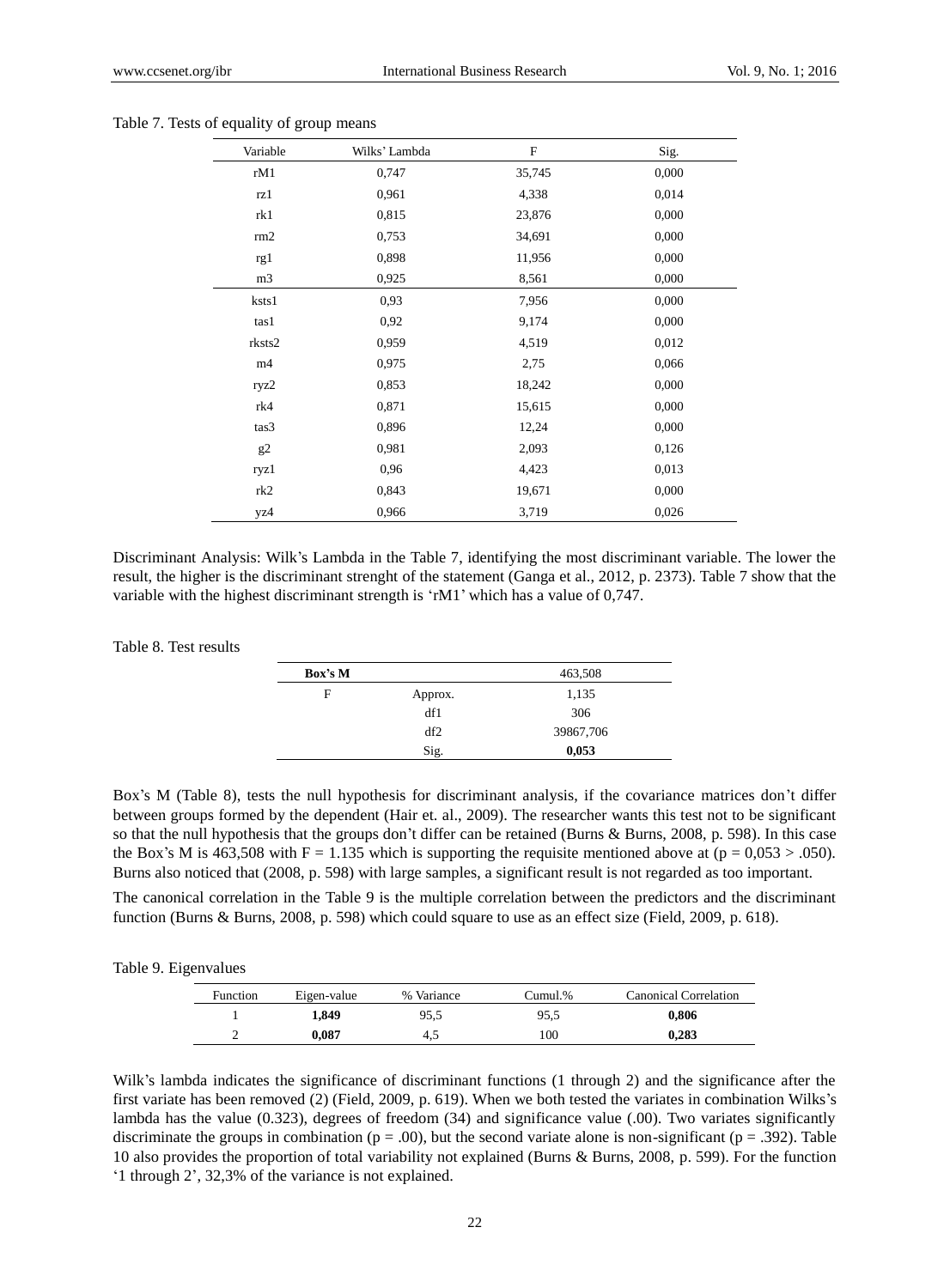| Variable       | Wilks' Lambda | $\mathbf F$ | Sig.  |
|----------------|---------------|-------------|-------|
| rM1            | 0,747         | 35,745      | 0,000 |
| rz1            | 0,961         | 4,338       | 0,014 |
| rk1            | 0,815         | 23,876      | 0,000 |
| rm2            | 0,753         | 34,691      | 0,000 |
| rg1            | 0,898         | 11,956      | 0,000 |
| m <sub>3</sub> | 0,925         | 8,561       | 0,000 |
| ksts1          | 0,93          | 7,956       | 0,000 |
| tas1           | 0,92          | 9,174       | 0,000 |
| rksts2         | 0,959         | 4,519       | 0,012 |
| m4             | 0,975         | 2,75        | 0,066 |
| ryz2           | 0,853         | 18,242      | 0,000 |
| rk4            | 0,871         | 15,615      | 0,000 |
| tas3           | 0,896         | 12,24       | 0,000 |
| g2             | 0,981         | 2,093       | 0,126 |
| ryz1           | 0,96          | 4,423       | 0,013 |
| rk2            | 0,843         | 19,671      | 0,000 |
| yz4            | 0,966         | 3,719       | 0,026 |

| Table 7. Tests of equality of group means |  |  |  |
|-------------------------------------------|--|--|--|
|                                           |  |  |  |

Discriminant Analysis: Wilk's Lambda in the Table 7, identifying the most discriminant variable. The lower the result, the higher is the discriminant strenght of the statement (Ganga et al., 2012, p. 2373). Table 7 show that the variable with the highest discriminant strength is 'rM1' which has a value of 0,747.

Table 8. Test results

| Box's M |         | 463,508   |  |
|---------|---------|-----------|--|
| F       | Approx. | 1,135     |  |
|         | df1     | 306       |  |
|         | df2     | 39867,706 |  |
|         | Sig.    | 0,053     |  |

Box's M (Table 8), tests the null hypothesis for discriminant analysis, if the covariance matrices don't differ between groups formed by the dependent (Hair et. al., 2009). The researcher wants this test not to be significant so that the null hypothesis that the groups don't differ can be retained (Burns & Burns, 2008, p. 598). In this case the Box's M is 463,508 with F = 1.135 which is supporting the requisite mentioned above at ( $p = 0.053 > 0.050$ ). Burns also noticed that (2008, p. 598) with large samples, a significant result is not regarded as too important.

The canonical correlation in the Table 9 is the multiple correlation between the predictors and the discriminant function (Burns & Burns, 2008, p. 598) which could square to use as an effect size (Field, 2009, p. 618).

|  | Table 9. Eigenvalues |
|--|----------------------|
|--|----------------------|

| Function | Eigen-value | % Variance | Cumul.% | <b>Canonical Correlation</b> |
|----------|-------------|------------|---------|------------------------------|
|          | 1.849       | 95.5       | 95,5    | 0.806                        |
|          | 0.087       | 4.5        | 100     | 0.283                        |

Wilk's lambda indicates the significance of discriminant functions (1 through 2) and the significance after the first variate has been removed (2) (Field, 2009, p. 619). When we both tested the variates in combination Wilks's lambda has the value (0.323), degrees of freedom (34) and significance value (.00). Two variates significantly discriminate the groups in combination ( $p = .00$ ), but the second variate alone is non-significant ( $p = .392$ ). Table 10 also provides the proportion of total variability not explained (Burns & Burns, 2008, p. 599). For the function '1 through 2', 32,3% of the variance is not explained.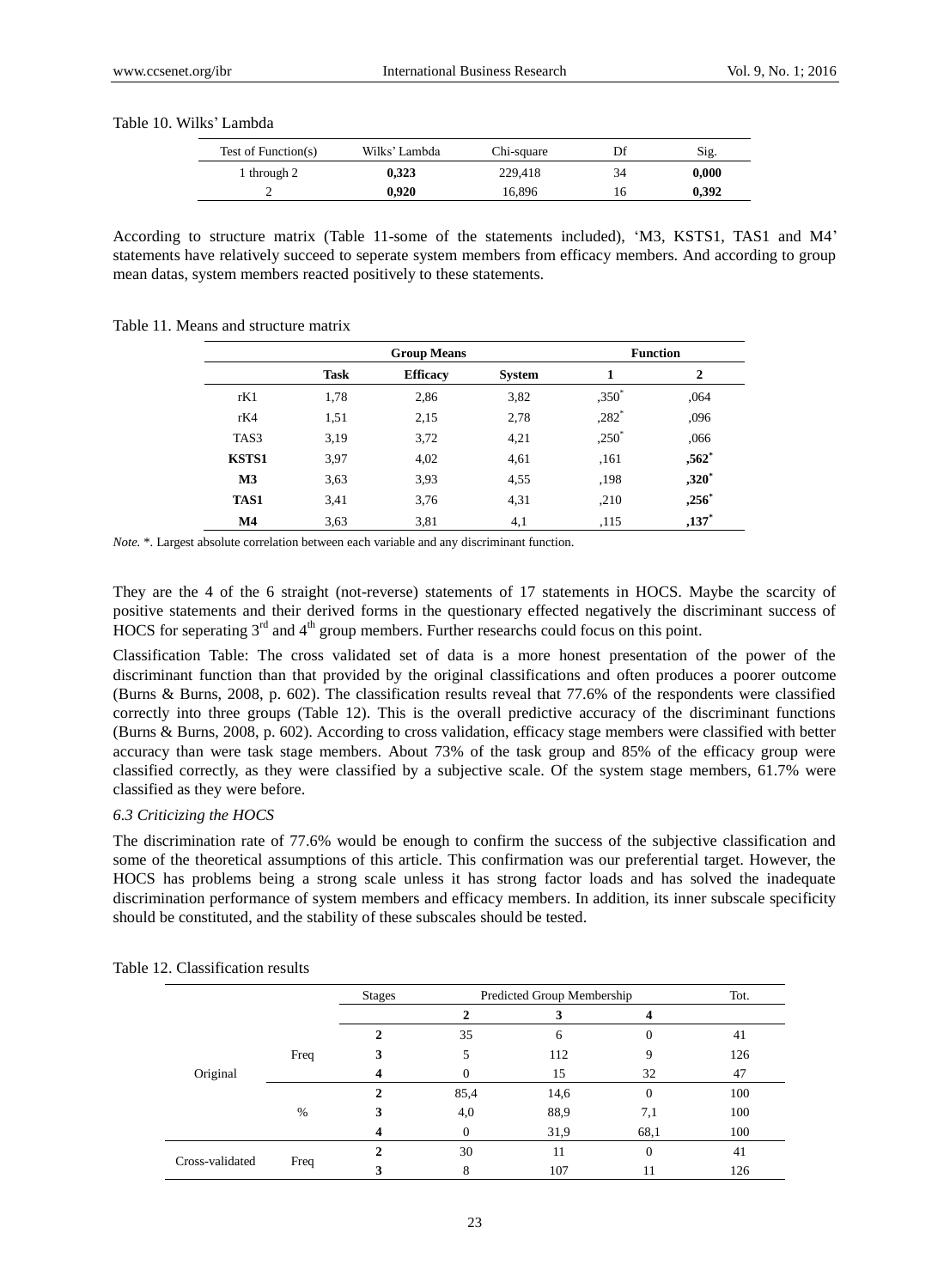#### Table 10. Wilks' Lambda

| Test of Function(s) | Wilks' Lambda | Chi-square |    | Sig.  |
|---------------------|---------------|------------|----|-------|
| $\pm$ through 2     | 0.323         | 229.418    | 34 | 0.000 |
|                     | 0.920         | 16,896     |    | 0.392 |

According to structure matrix (Table 11-some of the statements included), 'M3, KSTS1, TAS1 and M4' statements have relatively succeed to seperate system members from efficacy members. And according to group mean datas, system members reacted positively to these statements.

Table 11. Means and structure matrix

|                | <b>Group Means</b> |                 |               | <b>Function</b> |                |  |
|----------------|--------------------|-----------------|---------------|-----------------|----------------|--|
|                | <b>Task</b>        | <b>Efficacy</b> | <b>System</b> |                 | $\overline{2}$ |  |
| rK1            | 1,78               | 2,86            | 3,82          | $,350^*$        | .064           |  |
| rK4            | 1,51               | 2,15            | 2,78          | $,282*$         | ,096           |  |
| TAS3           | 3,19               | 3,72            | 4,21          | $,250^*$        | ,066           |  |
| <b>KSTS1</b>   | 3.97               | 4,02            | 4,61          | ,161            | $,562^*$       |  |
| M <sub>3</sub> | 3,63               | 3.93            | 4,55          | .198            | $,320^*$       |  |
| TAS1           | 3,41               | 3,76            | 4,31          | ,210            | $,256*$        |  |
| M <sub>4</sub> | 3.63               | 3,81            | 4,1           | ,115            | $,137*$        |  |

*Note.* \*. Largest absolute correlation between each variable and any discriminant function.

They are the 4 of the 6 straight (not-reverse) statements of 17 statements in HOCS. Maybe the scarcity of positive statements and their derived forms in the questionary effected negatively the discriminant success of HOCS for seperating  $3<sup>rd</sup>$  and  $4<sup>th</sup>$  group members. Further researchs could focus on this point.

Classification Table: The cross validated set of data is a more honest presentation of the power of the discriminant function than that provided by the original classifications and often produces a poorer outcome (Burns & Burns, 2008, p. 602). The classification results reveal that 77.6% of the respondents were classified correctly into three groups (Table 12). This is the overall predictive accuracy of the discriminant functions (Burns & Burns, 2008, p. 602). According to cross validation, efficacy stage members were classified with better accuracy than were task stage members. About 73% of the task group and 85% of the efficacy group were classified correctly, as they were classified by a subjective scale. Of the system stage members, 61.7% were classified as they were before.

#### *6.3 Criticizing the HOCS*

The discrimination rate of 77.6% would be enough to confirm the success of the subjective classification and some of the theoretical assumptions of this article. This confirmation was our preferential target. However, the HOCS has problems being a strong scale unless it has strong factor loads and has solved the inadequate discrimination performance of system members and efficacy members. In addition, its inner subscale specificity should be constituted, and the stability of these subscales should be tested.

|                 |      | <b>Stages</b> | Predicted Group Membership | Tot. |          |     |
|-----------------|------|---------------|----------------------------|------|----------|-----|
|                 |      |               |                            |      |          |     |
| Original        | Freq |               | 35                         | 6    | $\Omega$ | 41  |
|                 |      |               |                            | 112  |          | 126 |
|                 |      |               |                            | 15   | 32       | 47  |
|                 | $\%$ |               | 85,4                       | 14,6 | $\Omega$ | 100 |
|                 |      |               | 4,0                        | 88,9 | 7,1      | 100 |
|                 |      |               | 0                          | 31,9 | 68,1     | 100 |
| Cross-validated | Freq |               | 30                         | 11   | 0        | 41  |
|                 |      |               | 8                          | 107  | 11       | 126 |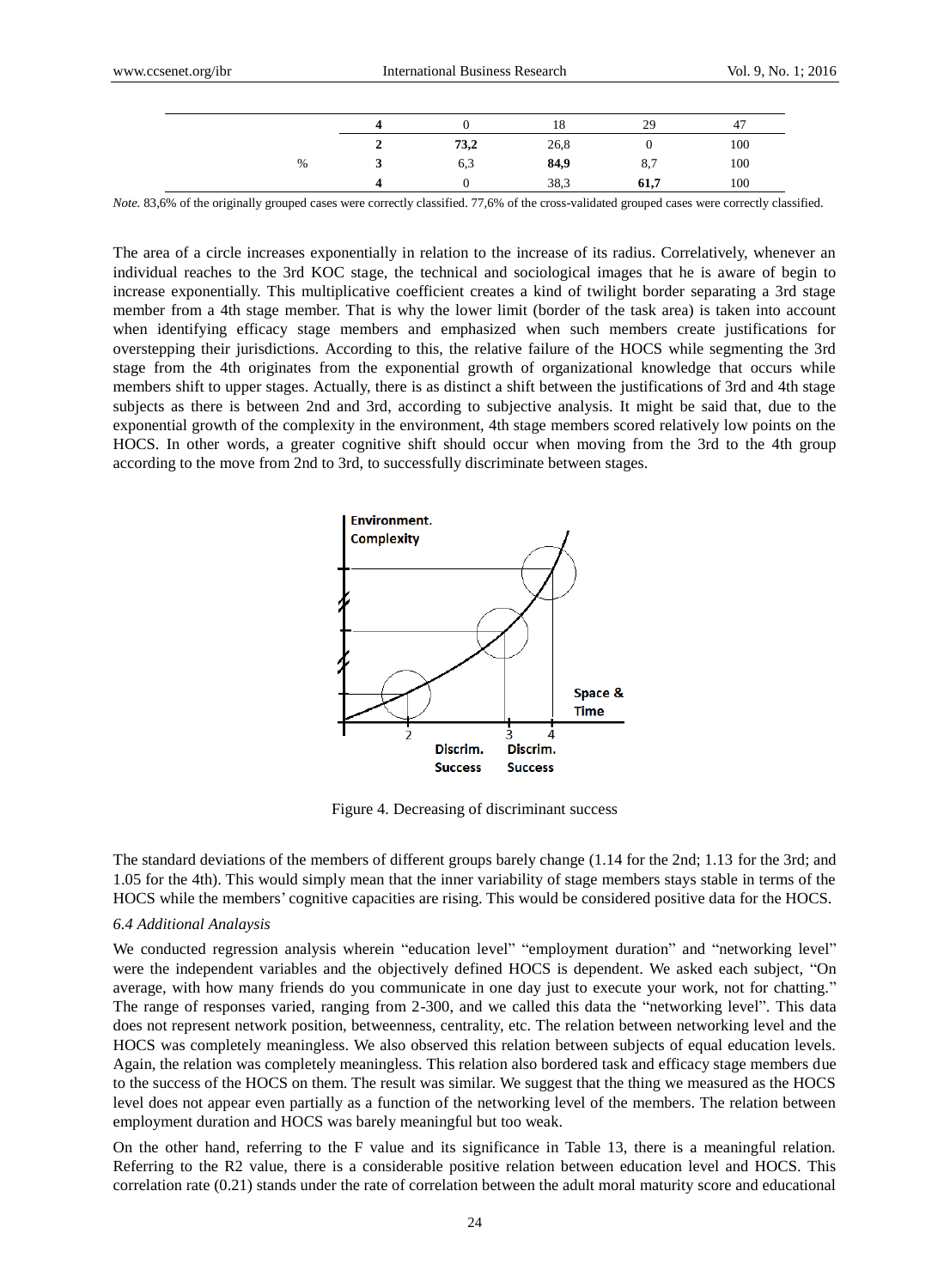|   |   |      | 18   | 29   | 47  |
|---|---|------|------|------|-----|
|   |   | 73,2 | 26,8 |      | 100 |
| % | ◡ | 6,3  | 84,9 | 8,7  | 100 |
|   |   |      | 38,3 | 61,7 | 100 |

*Note.* 83,6% of the originally grouped cases were correctly classified. 77,6% of the cross-validated grouped cases were correctly classified.

The area of a circle increases exponentially in relation to the increase of its radius. Correlatively, whenever an individual reaches to the 3rd KOC stage, the technical and sociological images that he is aware of begin to increase exponentially. This multiplicative coefficient creates a kind of twilight border separating a 3rd stage member from a 4th stage member. That is why the lower limit (border of the task area) is taken into account when identifying efficacy stage members and emphasized when such members create justifications for overstepping their jurisdictions. According to this, the relative failure of the HOCS while segmenting the 3rd stage from the 4th originates from the exponential growth of organizational knowledge that occurs while members shift to upper stages. Actually, there is as distinct a shift between the justifications of 3rd and 4th stage subjects as there is between 2nd and 3rd, according to subjective analysis. It might be said that, due to the exponential growth of the complexity in the environment, 4th stage members scored relatively low points on the HOCS. In other words, a greater cognitive shift should occur when moving from the 3rd to the 4th group according to the move from 2nd to 3rd, to successfully discriminate between stages.



Figure 4. Decreasing of discriminant success

The standard deviations of the members of different groups barely change (1.14 for the 2nd; 1.13 for the 3rd; and 1.05 for the 4th). This would simply mean that the inner variability of stage members stays stable in terms of the HOCS while the members' cognitive capacities are rising. This would be considered positive data for the HOCS.

#### *6.4 Additional Analaysis*

We conducted regression analysis wherein "education level" "employment duration" and "networking level" were the independent variables and the objectively defined HOCS is dependent. We asked each subject, "On average, with how many friends do you communicate in one day just to execute your work, not for chatting." The range of responses varied, ranging from 2-300, and we called this data the "networking level". This data does not represent network position, betweenness, centrality, etc. The relation between networking level and the HOCS was completely meaningless. We also observed this relation between subjects of equal education levels. Again, the relation was completely meaningless. This relation also bordered task and efficacy stage members due to the success of the HOCS on them. The result was similar. We suggest that the thing we measured as the HOCS level does not appear even partially as a function of the networking level of the members. The relation between employment duration and HOCS was barely meaningful but too weak.

On the other hand, referring to the F value and its significance in Table 13, there is a meaningful relation. Referring to the R2 value, there is a considerable positive relation between education level and HOCS. This correlation rate (0.21) stands under the rate of correlation between the adult moral maturity score and educational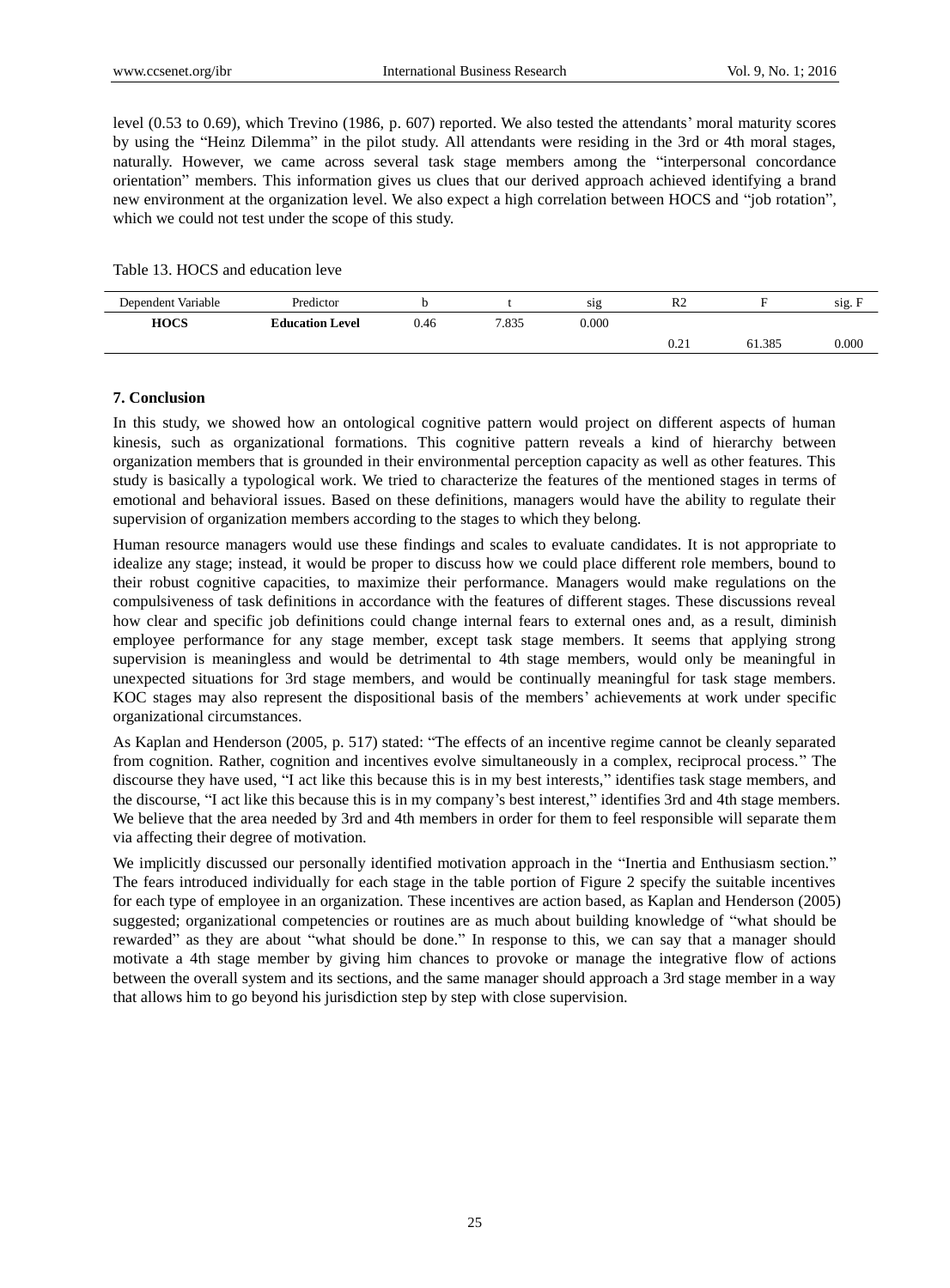level (0.53 to 0.69), which Trevino (1986, p. 607) reported. We also tested the attendants' moral maturity scores by using the "Heinz Dilemma" in the pilot study. All attendants were residing in the 3rd or 4th moral stages, naturally. However, we came across several task stage members among the "interpersonal concordance orientation" members. This information gives us clues that our derived approach achieved identifying a brand new environment at the organization level. We also expect a high correlation between HOCS and "job rotation", which we could not test under the scope of this study.

### Table 13. HOCS and education leve

| <b>HOCS</b><br>0.000<br>7.835<br><b>Education Level</b><br>9.46 | Dependent Variable | Predictor |  | S <sub>1</sub> g | R <sub>2</sub> |        | sig. I     |
|-----------------------------------------------------------------|--------------------|-----------|--|------------------|----------------|--------|------------|
|                                                                 |                    |           |  |                  |                |        |            |
|                                                                 |                    |           |  |                  | 0.2            | 61.385 | $_{0.000}$ |

# **7. Conclusion**

In this study, we showed how an ontological cognitive pattern would project on different aspects of human kinesis, such as organizational formations. This cognitive pattern reveals a kind of hierarchy between organization members that is grounded in their environmental perception capacity as well as other features. This study is basically a typological work. We tried to characterize the features of the mentioned stages in terms of emotional and behavioral issues. Based on these definitions, managers would have the ability to regulate their supervision of organization members according to the stages to which they belong.

Human resource managers would use these findings and scales to evaluate candidates. It is not appropriate to idealize any stage; instead, it would be proper to discuss how we could place different role members, bound to their robust cognitive capacities, to maximize their performance. Managers would make regulations on the compulsiveness of task definitions in accordance with the features of different stages. These discussions reveal how clear and specific job definitions could change internal fears to external ones and, as a result, diminish employee performance for any stage member, except task stage members. It seems that applying strong supervision is meaningless and would be detrimental to 4th stage members, would only be meaningful in unexpected situations for 3rd stage members, and would be continually meaningful for task stage members. KOC stages may also represent the dispositional basis of the members' achievements at work under specific organizational circumstances.

As Kaplan and Henderson (2005, p. 517) stated: "The effects of an incentive regime cannot be cleanly separated from cognition. Rather, cognition and incentives evolve simultaneously in a complex, reciprocal process." The discourse they have used, "I act like this because this is in my best interests," identifies task stage members, and the discourse, "I act like this because this is in my company's best interest," identifies 3rd and 4th stage members. We believe that the area needed by 3rd and 4th members in order for them to feel responsible will separate them via affecting their degree of motivation.

We implicitly discussed our personally identified motivation approach in the "Inertia and Enthusiasm section." The fears introduced individually for each stage in the table portion of Figure 2 specify the suitable incentives for each type of employee in an organization. These incentives are action based, as Kaplan and Henderson (2005) suggested; organizational competencies or routines are as much about building knowledge of "what should be rewarded" as they are about "what should be done." In response to this, we can say that a manager should motivate a 4th stage member by giving him chances to provoke or manage the integrative flow of actions between the overall system and its sections, and the same manager should approach a 3rd stage member in a way that allows him to go beyond his jurisdiction step by step with close supervision.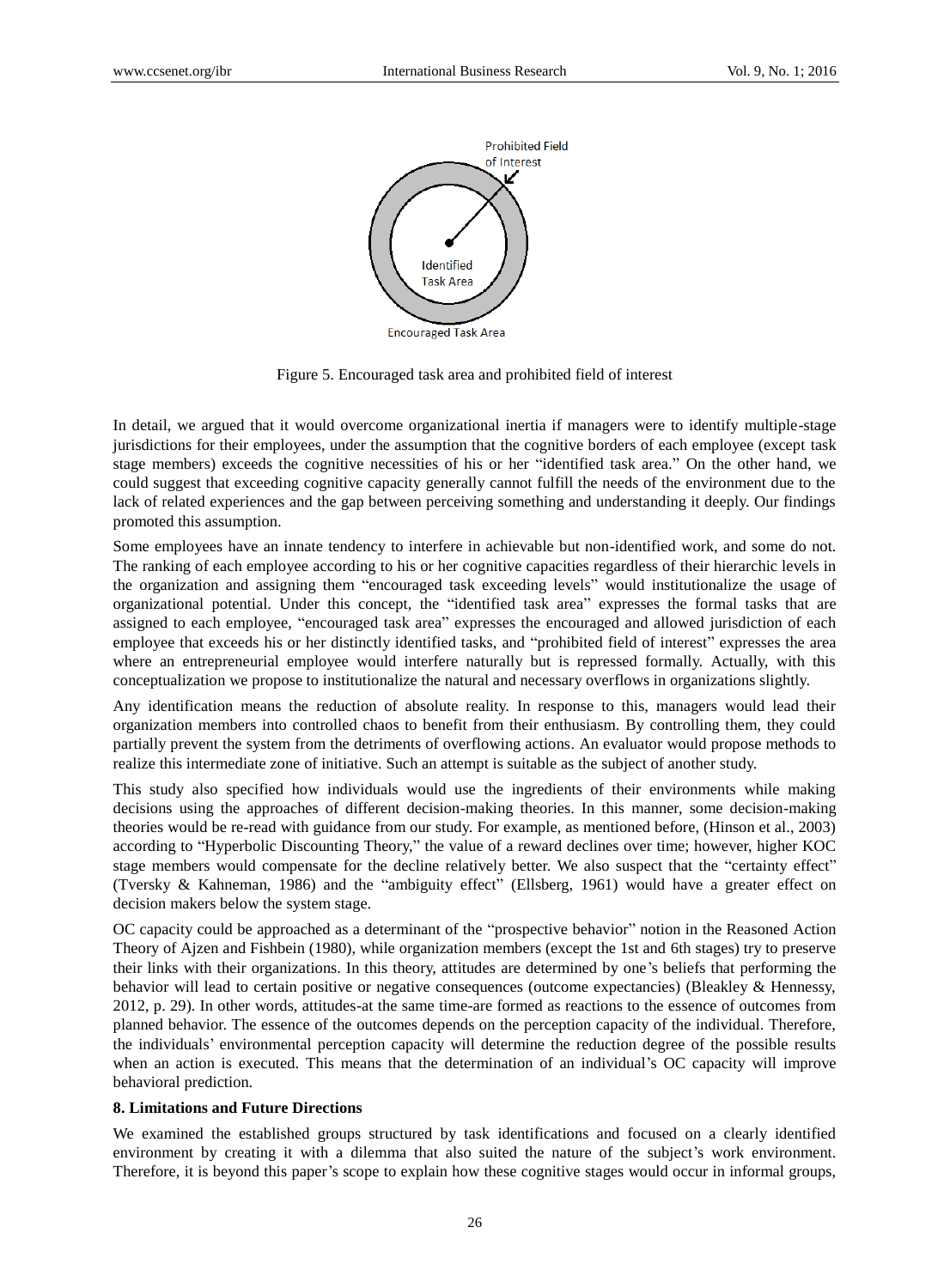

Figure 5. Encouraged task area and prohibited field of interest

In detail, we argued that it would overcome organizational inertia if managers were to identify multiple-stage jurisdictions for their employees, under the assumption that the cognitive borders of each employee (except task stage members) exceeds the cognitive necessities of his or her "identified task area." On the other hand, we could suggest that exceeding cognitive capacity generally cannot fulfill the needs of the environment due to the lack of related experiences and the gap between perceiving something and understanding it deeply. Our findings promoted this assumption.

Some employees have an innate tendency to interfere in achievable but non-identified work, and some do not. The ranking of each employee according to his or her cognitive capacities regardless of their hierarchic levels in the organization and assigning them "encouraged task exceeding levels" would institutionalize the usage of organizational potential. Under this concept, the "identified task area" expresses the formal tasks that are assigned to each employee, "encouraged task area" expresses the encouraged and allowed jurisdiction of each employee that exceeds his or her distinctly identified tasks, and "prohibited field of interest" expresses the area where an entrepreneurial employee would interfere naturally but is repressed formally. Actually, with this conceptualization we propose to institutionalize the natural and necessary overflows in organizations slightly.

Any identification means the reduction of absolute reality. In response to this, managers would lead their organization members into controlled chaos to benefit from their enthusiasm. By controlling them, they could partially prevent the system from the detriments of overflowing actions. An evaluator would propose methods to realize this intermediate zone of initiative. Such an attempt is suitable as the subject of another study.

This study also specified how individuals would use the ingredients of their environments while making decisions using the approaches of different decision-making theories. In this manner, some decision-making theories would be re-read with guidance from our study. For example, as mentioned before, (Hinson et al., 2003) according to "Hyperbolic Discounting Theory," the value of a reward declines over time; however, higher KOC stage members would compensate for the decline relatively better. We also suspect that the "certainty effect" (Tversky & Kahneman, 1986) and the "ambiguity effect" (Ellsberg, 1961) would have a greater effect on decision makers below the system stage.

OC capacity could be approached as a determinant of the "prospective behavior" notion in the Reasoned Action Theory of Ajzen and Fishbein (1980), while organization members (except the 1st and 6th stages) try to preserve their links with their organizations. In this theory, attitudes are determined by one's beliefs that performing the behavior will lead to certain positive or negative consequences (outcome expectancies) (Bleakley & Hennessy, 2012, p. 29). In other words, attitudes-at the same time-are formed as reactions to the essence of outcomes from planned behavior. The essence of the outcomes depends on the perception capacity of the individual. Therefore, the individuals' environmental perception capacity will determine the reduction degree of the possible results when an action is executed. This means that the determination of an individual's OC capacity will improve behavioral prediction.

#### **8. Limitations and Future Directions**

We examined the established groups structured by task identifications and focused on a clearly identified environment by creating it with a dilemma that also suited the nature of the subject's work environment. Therefore, it is beyond this paper's scope to explain how these cognitive stages would occur in informal groups,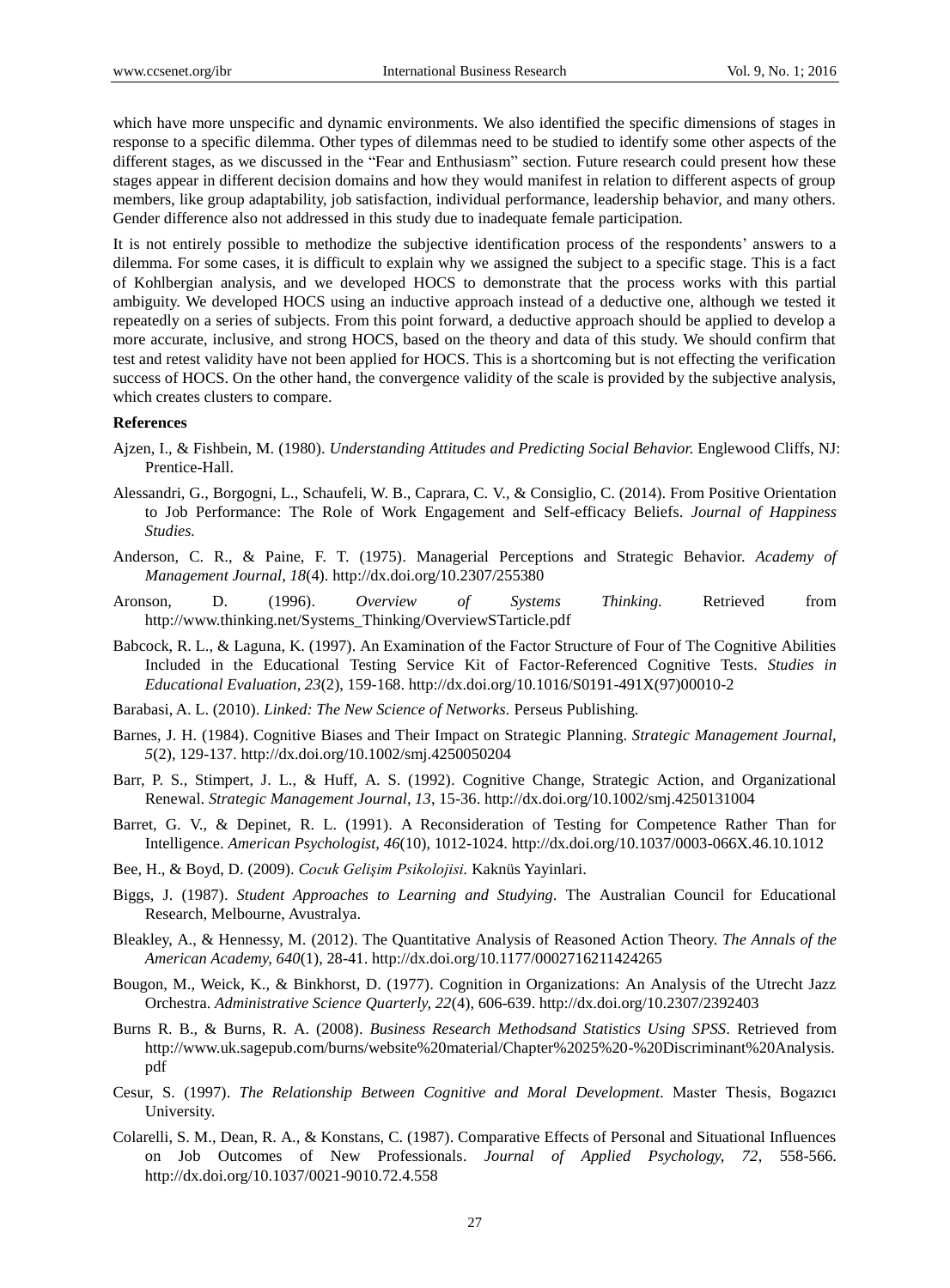which have more unspecific and dynamic environments. We also identified the specific dimensions of stages in response to a specific dilemma. Other types of dilemmas need to be studied to identify some other aspects of the different stages, as we discussed in the "Fear and Enthusiasm" section. Future research could present how these stages appear in different decision domains and how they would manifest in relation to different aspects of group members, like group adaptability, job satisfaction, individual performance, leadership behavior, and many others. Gender difference also not addressed in this study due to inadequate female participation.

It is not entirely possible to methodize the subjective identification process of the respondents' answers to a dilemma. For some cases, it is difficult to explain why we assigned the subject to a specific stage. This is a fact of Kohlbergian analysis, and we developed HOCS to demonstrate that the process works with this partial ambiguity. We developed HOCS using an inductive approach instead of a deductive one, although we tested it repeatedly on a series of subjects. From this point forward, a deductive approach should be applied to develop a more accurate, inclusive, and strong HOCS, based on the theory and data of this study. We should confirm that test and retest validity have not been applied for HOCS. This is a shortcoming but is not effecting the verification success of HOCS. On the other hand, the convergence validity of the scale is provided by the subjective analysis, which creates clusters to compare.

#### **References**

- Ajzen, I., & Fishbein, M. (1980). *Understanding Attitudes and Predicting Social Behavior.* Englewood Cliffs, NJ: Prentice-Hall.
- Alessandri, G., Borgogni, L., Schaufeli, W. B., Caprara, C. V., & Consiglio, C. (2014). From Positive Orientation to Job Performance: The Role of Work Engagement and Self-efficacy Beliefs. *Journal of Happiness Studies.*
- Anderson, C. R., & Paine, F. T. (1975). Managerial Perceptions and Strategic Behavior. *Academy of Management Journal, 18*(4). http://dx.doi.org/10.2307/255380
- Aronson, D. (1996). *Overview of Systems Thinking.* Retrieved from [http://www.thinking.net/Systems\\_Thinking/OverviewSTarticle.pdf](http://www.thinking.net/Systems_Thinking/OverviewSTarticle.pdf)
- Babcock, R. L., & Laguna, K. (1997). An Examination of the Factor Structure of Four of The Cognitive Abilities Included in the Educational Testing Service Kit of Factor-Referenced Cognitive Tests. *Studies in Educational Evaluation, 23*(2), 159-168. http://dx.doi.org/10.1016/S0191-491X(97)00010-2
- Barabasi, A. L. (2010). *Linked: The New Science of Networks.* Perseus Publishing.
- Barnes, J. H. (1984). Cognitive Biases and Their Impact on Strategic Planning. *Strategic Management Journal, 5*(2), 129-137. http://dx.doi.org/10.1002/smj.4250050204
- Barr, P. S., Stimpert, J. L., & Huff, A. S. (1992). Cognitive Change, Strategic Action, and Organizational Renewal. *Strategic Management Journal, 13*, 15-36. http://dx.doi.org/10.1002/smj.4250131004
- Barret, G. V., & Depinet, R. L. (1991). A Reconsideration of Testing for Competence Rather Than for Intelligence. *American Psychologist, 46*(10), 1012-1024. http://dx.doi.org/10.1037/0003-066X.46.10.1012
- Bee, H., & Boyd, D. (2009). *Cocuk Gelişim Psikolojisi.* Kaknüs Yayinlari.
- Biggs, J. (1987). *Student Approaches to Learning and Studying.* The Australian Council for Educational Research, Melbourne, Avustralya.
- Bleakley, A., & Hennessy, M. (2012). The Quantitative Analysis of Reasoned Action Theory. *The Annals of the American Academy, 640*(1), 28-41. http://dx.doi.org/10.1177/0002716211424265
- Bougon, M., Weick, K., & Binkhorst, D. (1977). Cognition in Organizations: An Analysis of the Utrecht Jazz Orchestra. *Administrative Science Quarterly, 22*(4), 606-639. http://dx.doi.org/10.2307/2392403
- Burns R. B., & Burns, R. A. (2008). *Business Research Methodsand Statistics Using SPSS.* Retrieved from [http://www.uk.sagepub.com/burns/website%20material/Chapter%2025%20-%20Discriminant%20Analysis.](http://www.uk.sagepub.com/burns/website%20material/Chapter%2025%20-%20Discriminant%20Analysis.pdf) [pdf](http://www.uk.sagepub.com/burns/website%20material/Chapter%2025%20-%20Discriminant%20Analysis.pdf)
- Cesur, S. (1997). *The Relationship Between Cognitive and Moral Development.* Master Thesis, Bogazıcı University.
- Colarelli, S. M., Dean, R. A., & Konstans, C. (1987). Comparative Effects of Personal and Situational Influences on Job Outcomes of New Professionals. *Journal of Applied Psychology, 72*, 558-566. http://dx.doi.org/10.1037/0021-9010.72.4.558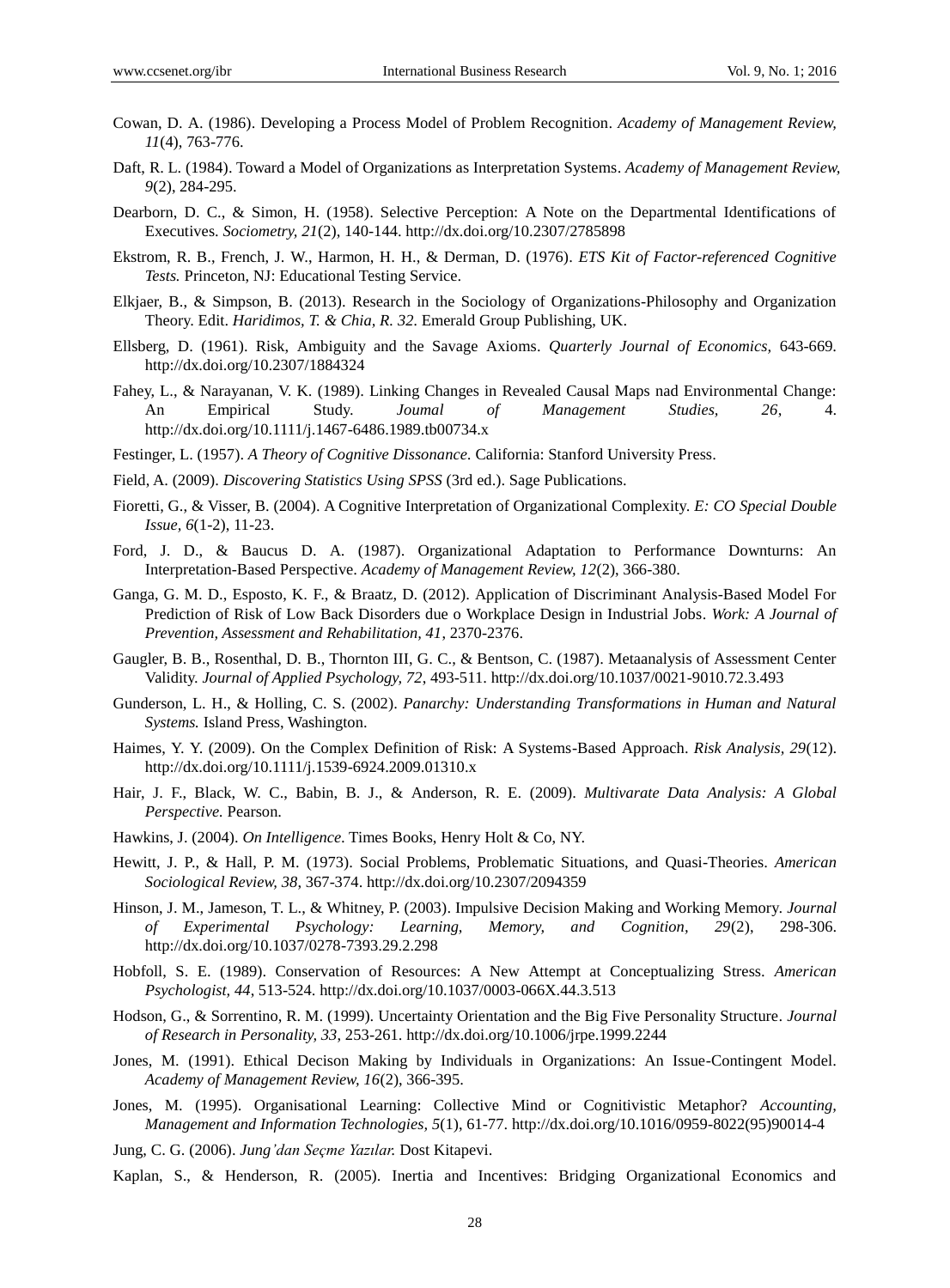- Cowan, D. A. (1986). Developing a Process Model of Problem Recognition. *Academy of Management Review, 11*(4), 763-776.
- Daft, R. L. (1984). Toward a Model of Organizations as Interpretation Systems. *Academy of Management Review, 9*(2), 284-295.
- Dearborn, D. C., & Simon, H. (1958). Selective Perception: A Note on the Departmental Identifications of Executives. *Sociometry, 21*(2), 140-144. http://dx.doi.org/10.2307/2785898
- Ekstrom, R. B., French, J. W., Harmon, H. H., & Derman, D. (1976). *ETS Kit of Factor-referenced Cognitive Tests.* Princeton, NJ: Educational Testing Service.
- Elkjaer, B., & Simpson, B. (2013). Research in the Sociology of Organizations-Philosophy and Organization Theory. Edit. *Haridimos, T. & Chia, R. 32.* Emerald Group Publishing, UK.
- Ellsberg, D. (1961). Risk, Ambiguity and the Savage Axioms. *Quarterly Journal of Economics,* 643-669. http://dx.doi.org/10.2307/1884324
- Fahey, L., & Narayanan, V. K. (1989). Linking Changes in Revealed Causal Maps nad Environmental Change: An Empirical Study. *Joumal of Management Studies, 26*, 4. http://dx.doi.org/10.1111/j.1467-6486.1989.tb00734.x
- Festinger, L. (1957). *A Theory of Cognitive Dissonance.* California: Stanford University Press.
- Field, A. (2009). *Discovering Statistics Using SPSS* (3rd ed.). Sage Publications.
- Fioretti, G., & Visser, B. (2004). A Cognitive Interpretation of Organizational Complexity. *E: CO Special Double Issue, 6*(1-2), 11-23.
- Ford, J. D., & Baucus D. A. (1987). Organizational Adaptation to Performance Downturns: An Interpretation-Based Perspective. *Academy of Management Review, 12*(2), 366-380.
- Ganga, G. M. D., Esposto, K. F., & Braatz, D. (2012). Application of Discriminant Analysis-Based Model For Prediction of Risk of Low Back Disorders due o Workplace Design in Industrial Jobs. *Work: A Journal of Prevention, Assessment and Rehabilitation, 41*, 2370-2376.
- Gaugler, B. B., Rosenthal, D. B., Thornton III, G. C., & Bentson, C. (1987). Metaanalysis of Assessment Center Validity. *Journal of Applied Psychology, 72*, 493-511. http://dx.doi.org/10.1037/0021-9010.72.3.493
- Gunderson, L. H., & Holling, C. S. (2002). *Panarchy: Understanding Transformations in Human and Natural Systems.* Island Press, Washington.
- Haimes, Y. Y. (2009). On the Complex Definition of Risk: A Systems-Based Approach. *Risk Analysis, 29*(12). http://dx.doi.org/10.1111/j.1539-6924.2009.01310.x
- Hair, J. F., Black, W. C., Babin, B. J., & Anderson, R. E. (2009). *Multivarate Data Analysis: A Global Perspective.* Pearson.
- Hawkins, J. (2004). *On Intelligence.* Times Books, Henry Holt & Co, NY.
- Hewitt, J. P., & Hall, P. M. (1973). Social Problems, Problematic Situations, and Quasi-Theories. *American Sociological Review, 38*, 367-374. http://dx.doi.org/10.2307/2094359
- Hinson, J. M., Jameson, T. L., & Whitney, P. (2003). Impulsive Decision Making and Working Memory. *Journal of Experimental Psychology: Learning, Memory, and Cognition, 29*(2), 298-306. http://dx.doi.org/10.1037/0278-7393.29.2.298
- Hobfoll, S. E. (1989). Conservation of Resources: A New Attempt at Conceptualizing Stress. *American Psychologist, 44*, 513-524. http://dx.doi.org/10.1037/0003-066X.44.3.513
- Hodson, G., & Sorrentino, R. M. (1999). Uncertainty Orientation and the Big Five Personality Structure. *Journal of Research in Personality, 33*, 253-261. http://dx.doi.org/10.1006/jrpe.1999.2244
- Jones, M. (1991). Ethical Decison Making by Individuals in Organizations: An Issue-Contingent Model. *Academy of Management Review, 16*(2), 366-395.
- Jones, M. (1995). Organisational Learning: Collective Mind or Cognitivistic Metaphor? *Accounting, Management and Information Technologies, 5*(1), 61-77. http://dx.doi.org/10.1016/0959-8022(95)90014-4
- Jung, C. G. (2006). *Jung'dan Seçme Yazılar.* Dost Kitapevi.
- Kaplan, S., & Henderson, R. (2005). Inertia and Incentives: Bridging Organizational Economics and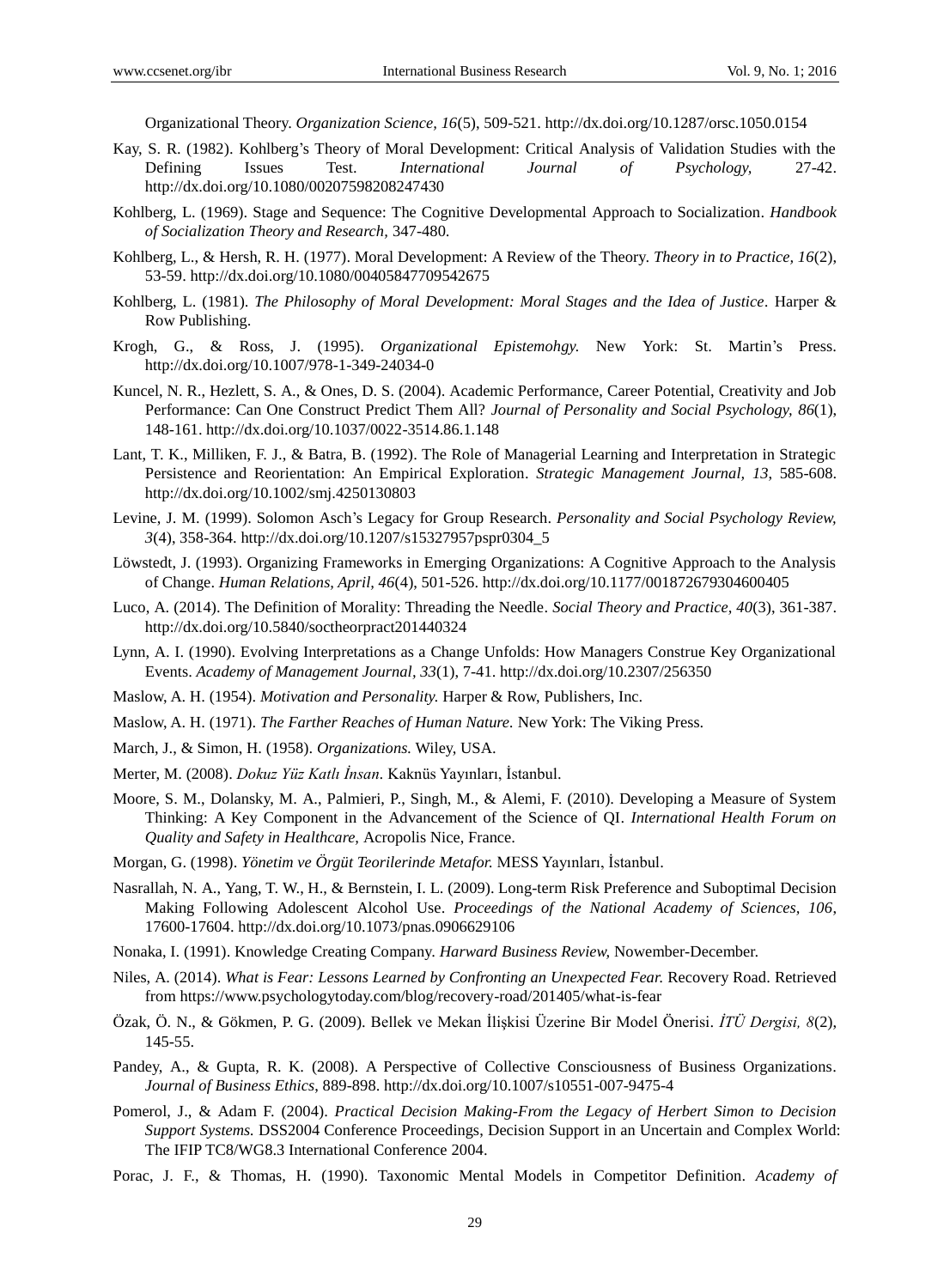Organizational Theory. *Organization Science, 16*(5), 509-521. http://dx.doi.org/10.1287/orsc.1050.0154

- Kay, S. R. (1982). Kohlberg's Theory of Moral Development: Critical Analysis of Validation Studies with the Defining Issues Test. *International Journal of Psychology,* 27-42. http://dx.doi.org/10.1080/00207598208247430
- Kohlberg, L. (1969). Stage and Sequence: The Cognitive Developmental Approach to Socialization. *Handbook of Socialization Theory and Research,* 347-480.
- Kohlberg, L., & Hersh, R. H. (1977). Moral Development: A Review of the Theory. *Theory in to Practice, 16*(2), 53-59. http://dx.doi.org/10.1080/00405847709542675
- Kohlberg, L. (1981). *The Philosophy of Moral Development: Moral Stages and the Idea of Justice.* Harper & Row Publishing.
- Krogh, G., & Ross, J. (1995). *Organizational Epistemohgy.* New York: St. Martin's Press. http://dx.doi.org/10.1007/978-1-349-24034-0
- Kuncel, N. R., Hezlett, S. A., & Ones, D. S. (2004). Academic Performance, Career Potential, Creativity and Job Performance: Can One Construct Predict Them All? *Journal of Personality and Social Psychology, 86*(1), 148-161. http://dx.doi.org/10.1037/0022-3514.86.1.148
- Lant, T. K., Milliken, F. J., & Batra, B. (1992). The Role of Managerial Learning and Interpretation in Strategic Persistence and Reorientation: An Empirical Exploration. *Strategic Management Journal, 13*, 585-608. http://dx.doi.org/10.1002/smj.4250130803
- Levine, J. M. (1999). Solomon Asch's Legacy for Group Research. *Personality and Social Psychology Review, 3*(4), 358-364. http://dx.doi.org/10.1207/s15327957pspr0304\_5
- Löwstedt, J. (1993). Organizing Frameworks in Emerging Organizations: A Cognitive Approach to the Analysis of Change. *Human Relations, April, 46*(4), 501-526. http://dx.doi.org/10.1177/001872679304600405
- Luco, A. (2014). The Definition of Morality: Threading the Needle. *Social Theory and Practice, 40*(3), 361-387. http://dx.doi.org/10.5840/soctheorpract201440324
- Lynn, A. I. (1990). Evolving Interpretations as a Change Unfolds: How Managers Construe Key Organizational Events. *Academy of Management Journal, 33*(1), 7-41. http://dx.doi.org/10.2307/256350
- Maslow, A. H. (1954). *Motivation and Personality.* Harper & Row, Publishers, Inc.
- Maslow, A. H. (1971). *The Farther Reaches of Human Nature.* New York: The Viking Press.
- March, J., & Simon, H. (1958). *Organizations.* Wiley, USA.
- Merter, M. (2008). *Dokuz Yüz Katlı İnsan.* Kaknüs Yayınları, İstanbul.
- Moore, S. M., Dolansky, M. A., Palmieri, P., Singh, M., & Alemi, F. (2010). Developing a Measure of System Thinking: A Key Component in the Advancement of the Science of QI. *International Health Forum on Quality and Safety in Healthcare,* Acropolis Nice, France.
- Morgan, G. (1998). *Yönetim ve Ö rgüt Teorilerinde Metafor.* MESS Yayınları, İstanbul.
- Nasrallah, N. A., Yang, T. W., H., & Bernstein, I. L. (2009). Long-term Risk Preference and Suboptimal Decision Making Following Adolescent Alcohol Use. *Proceedings of the National Academy of Sciences, 106*, 17600-17604. http://dx.doi.org/10.1073/pnas.0906629106
- Nonaka, I. (1991). Knowledge Creating Company. *Harward Business Review,* Nowember-December.
- Niles, A. (2014). *What is Fear: Lessons Learned by Confronting an Unexpected Fear.* Recovery Road. Retrieved from https://www.psychologytoday.com/blog/recovery-road/201405/what-is-fear
- Ö zak, Ö . N., & Gökmen, P. G. (2009). Bellek ve Mekan İlişkisi Üzerine Bir Model Önerisi. *İTÜ Dergisi, 8*(2), 145-55.
- Pandey, A., & Gupta, R. K. (2008). A Perspective of Collective Consciousness of Business Organizations. *Journal of Business Ethics*, 889-898. http://dx.doi.org/10.1007/s10551-007-9475-4
- Pomerol, J., & Adam F. (2004). *Practical Decision Making-From the Legacy of Herbert Simon to Decision Support Systems.* DSS2004 Conference Proceedings, Decision Support in an Uncertain and Complex World: The IFIP TC8/WG8.3 International Conference 2004.
- Porac, J. F., & Thomas, H. (1990). Taxonomic Mental Models in Competitor Definition. *Academy of*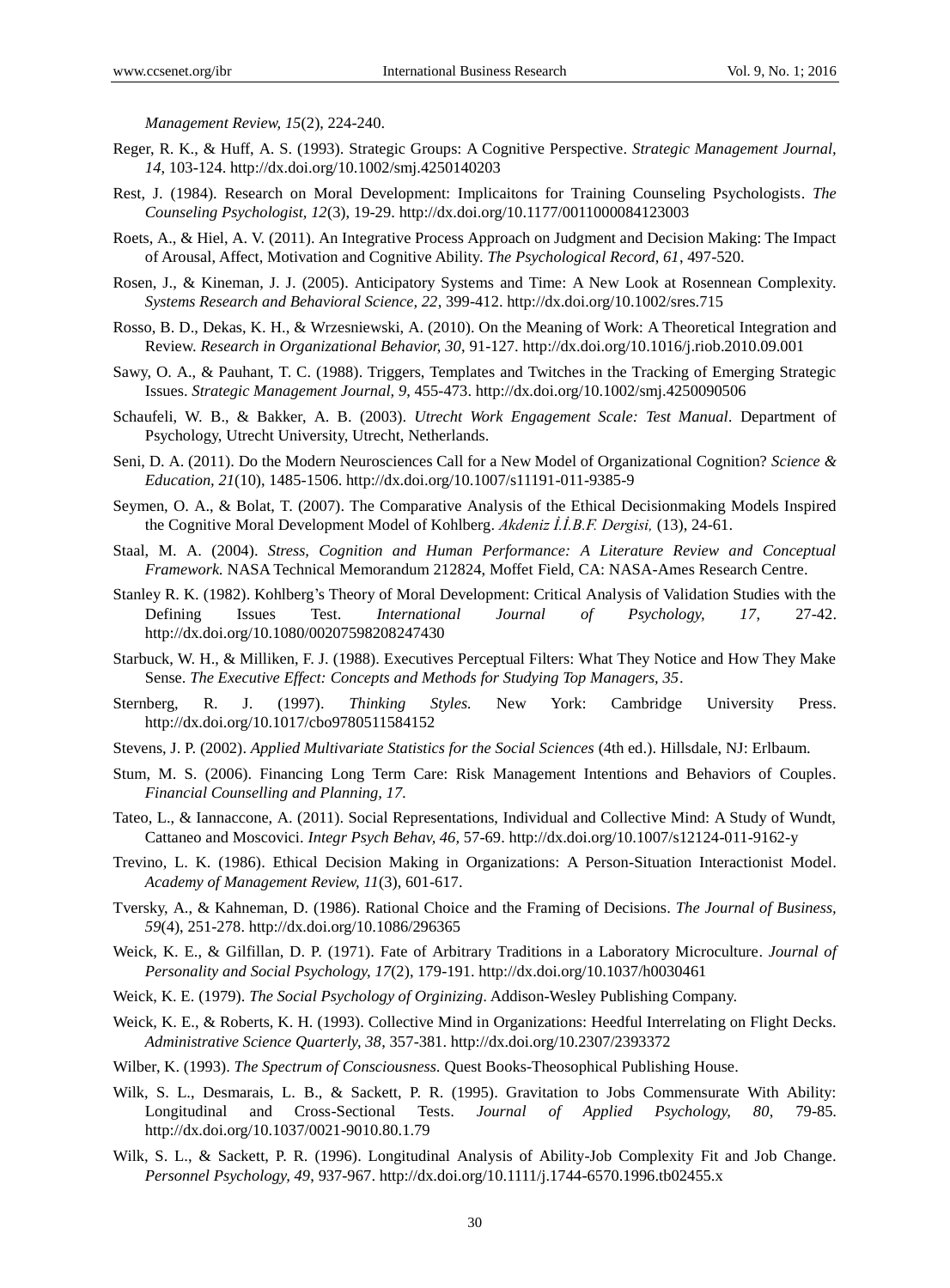*Management Review, 15*(2), 224-240.

- Reger, R. K., & Huff, A. S. (1993). Strategic Groups: A Cognitive Perspective. *Strategic Management Journal, 14*, 103-124. http://dx.doi.org/10.1002/smj.4250140203
- Rest, J. (1984). Research on Moral Development: Implicaitons for Training Counseling Psychologists. *The Counseling Psychologist, 12*(3), 19-29. http://dx.doi.org/10.1177/0011000084123003
- Roets, A., & Hiel, A. V. (2011). An Integrative Process Approach on Judgment and Decision Making: The Impact of Arousal, Affect, Motivation and Cognitive Ability. *The Psychological Record, 61*, 497-520.
- Rosen, J., & Kineman, J. J. (2005). Anticipatory Systems and Time: A New Look at Rosennean Complexity. *Systems Research and Behavioral Science, 22*, 399-412. http://dx.doi.org/10.1002/sres.715
- Rosso, B. D., Dekas, K. H., & Wrzesniewski, A. (2010). On the Meaning of Work: A Theoretical Integration and Review. *Research in Organizational Behavior, 30*, 91-127. http://dx.doi.org/10.1016/j.riob.2010.09.001
- Sawy, O. A., & Pauhant, T. C. (1988). Triggers, Templates and Twitches in the Tracking of Emerging Strategic Issues. *Strategic Management Journal, 9*, 455-473. http://dx.doi.org/10.1002/smj.4250090506
- Schaufeli, W. B., & Bakker, A. B. (2003). *Utrecht Work Engagement Scale: Test Manual.* Department of Psychology, Utrecht University, Utrecht, Netherlands.
- Seni, D. A. (2011). Do the Modern Neurosciences Call for a New Model of Organizational Cognition? *Science & Education, 21*(10), 1485-1506. http://dx.doi.org/10.1007/s11191-011-9385-9
- Seymen, O. A., & Bolat, T. (2007). The Comparative Analysis of the Ethical Decisionmaking Models Inspired the Cognitive Moral Development Model of Kohlberg. *Akdeniz İ.İ.B.F. Dergisi,* (13), 24-61.
- Staal, M. A. (2004). *Stress, Cognition and Human Performance: A Literature Review and Conceptual Framework.* NASA Technical Memorandum 212824, Moffet Field, CA: NASA-Ames Research Centre.
- Stanley R. K. (1982). Kohlberg's Theory of Moral Development: Critical Analysis of Validation Studies with the Defining Issues Test. *International Journal of Psychology, 17*, 27-42. http://dx.doi.org/10.1080/00207598208247430
- Starbuck, W. H., & Milliken, F. J. (1988). Executives Perceptual Filters: What They Notice and How They Make Sense. *The Executive Effect: Concepts and Methods for Studying Top Managers, 35*.
- Sternberg, R. J. (1997). *Thinking Styles.* New York: Cambridge University Press. http://dx.doi.org/10.1017/cbo9780511584152
- Stevens, J. P. (2002). *Applied Multivariate Statistics for the Social Sciences* (4th ed.). Hillsdale, NJ: Erlbaum.
- Stum, M. S. (2006). Financing Long Term Care: Risk Management Intentions and Behaviors of Couples. *Financial Counselling and Planning, 17.*
- Tateo, L., & Iannaccone, A. (2011). Social Representations, Individual and Collective Mind: A Study of Wundt, Cattaneo and Moscovici. *Integr Psych Behav, 46,* 57-69. http://dx.doi.org/10.1007/s12124-011-9162-y
- Trevino, L. K. (1986). Ethical Decision Making in Organizations: A Person-Situation Interactionist Model. *Academy of Management Review, 11*(3), 601-617.
- Tversky, A., & Kahneman, D. (1986). Rational Choice and the Framing of Decisions. *The Journal of Business, 59*(4), 251-278. http://dx.doi.org/10.1086/296365
- Weick, K. E., & Gilfillan, D. P. (1971). Fate of Arbitrary Traditions in a Laboratory Microculture. *Journal of Personality and Social Psychology, 17*(2), 179-191. http://dx.doi.org/10.1037/h0030461
- Weick, K. E. (1979). *The Social Psychology of Orginizing.* Addison-Wesley Publishing Company.
- Weick, K. E., & Roberts, K. H. (1993). Collective Mind in Organizations: Heedful Interrelating on Flight Decks. *Administrative Science Quarterly, 38*, 357-381. http://dx.doi.org/10.2307/2393372
- Wilber, K. (1993). *The Spectrum of Consciousness.* Quest Books-Theosophical Publishing House.
- Wilk, S. L., Desmarais, L. B., & Sackett, P. R. (1995). Gravitation to Jobs Commensurate With Ability: Longitudinal and Cross-Sectional Tests. *Journal of Applied Psychology, 80*, 79-85. http://dx.doi.org/10.1037/0021-9010.80.1.79
- Wilk, S. L., & Sackett, P. R. (1996). Longitudinal Analysis of Ability-Job Complexity Fit and Job Change. *Personnel Psychology, 49*, 937-967. http://dx.doi.org/10.1111/j.1744-6570.1996.tb02455.x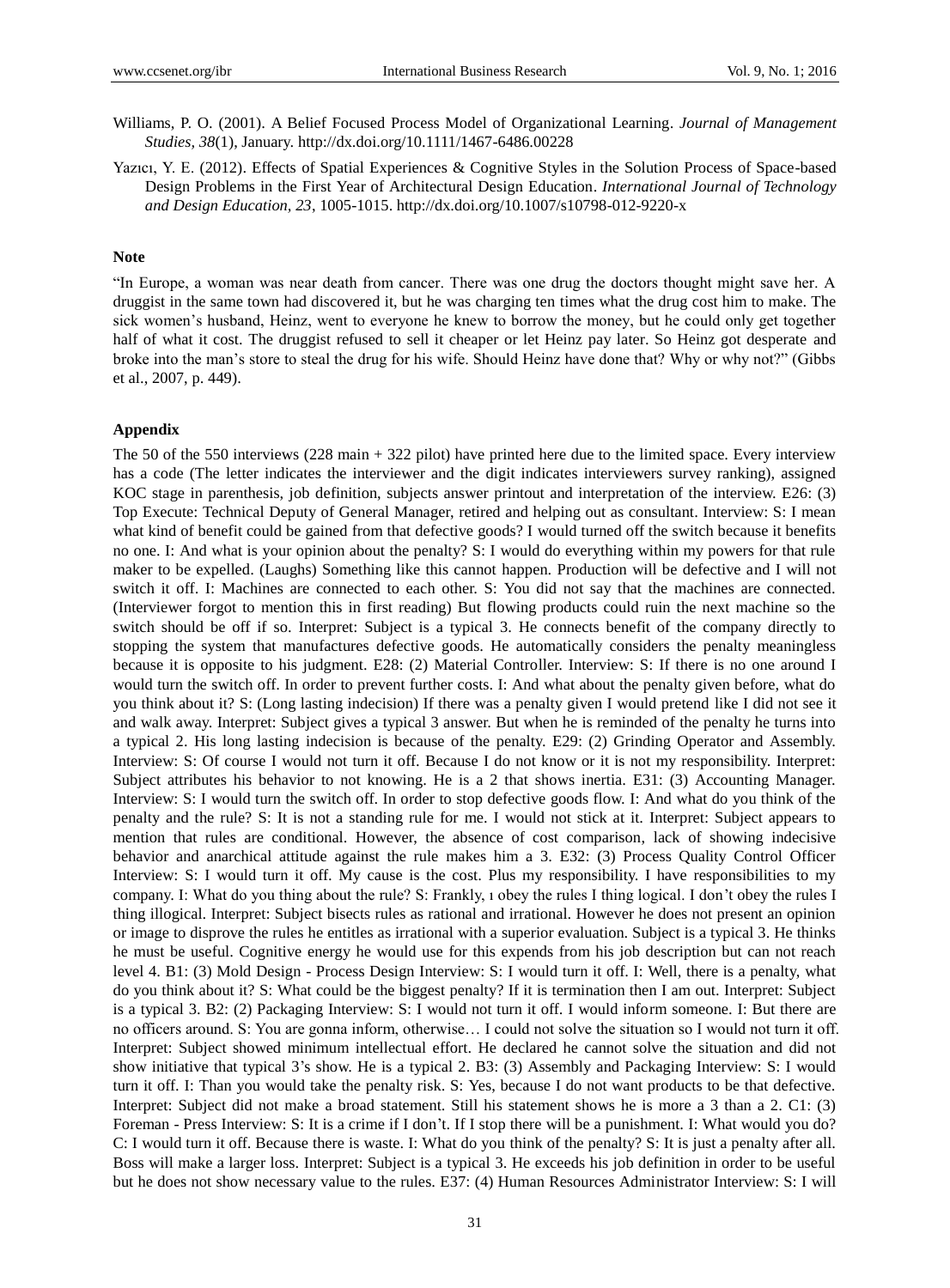- Williams, P. O. (2001). A Belief Focused Process Model of Organizational Learning. *Journal of Management Studies, 38*(1), January. http://dx.doi.org/10.1111/1467-6486.00228
- Yazıcı, Y. E. (2012). Effects of Spatial Experiences & Cognitive Styles in the Solution Process of Space-based Design Problems in the First Year of Architectural Design Education. *International Journal of Technology and Design Education, 23*, 1005-1015. http://dx.doi.org/10.1007/s10798-012-9220-x

#### **Note**

"In Europe, a woman was near death from cancer. There was one drug the doctors thought might save her. A druggist in the same town had discovered it, but he was charging ten times what the drug cost him to make. The sick women's husband, Heinz, went to everyone he knew to borrow the money, but he could only get together half of what it cost. The druggist refused to sell it cheaper or let Heinz pay later. So Heinz got desperate and broke into the man's store to steal the drug for his wife. Should Heinz have done that? Why or why not?" (Gibbs et al., 2007, p. 449).

# **Appendix**

The 50 of the 550 interviews (228 main + 322 pilot) have printed here due to the limited space. Every interview has a code (The letter indicates the interviewer and the digit indicates interviewers survey ranking), assigned KOC stage in parenthesis, job definition, subjects answer printout and interpretation of the interview. E26: (3) Top Execute: Technical Deputy of General Manager, retired and helping out as consultant. Interview: S: I mean what kind of benefit could be gained from that defective goods? I would turned off the switch because it benefits no one. I: And what is your opinion about the penalty? S: I would do everything within my powers for that rule maker to be expelled. (Laughs) Something like this cannot happen. Production will be defective and I will not switch it off. I: Machines are connected to each other. S: You did not say that the machines are connected. (Interviewer forgot to mention this in first reading) But flowing products could ruin the next machine so the switch should be off if so. Interpret: Subject is a typical 3. He connects benefit of the company directly to stopping the system that manufactures defective goods. He automatically considers the penalty meaningless because it is opposite to his judgment. E28: (2) Material Controller. Interview: S: If there is no one around I would turn the switch off. In order to prevent further costs. I: And what about the penalty given before, what do you think about it? S: (Long lasting indecision) If there was a penalty given I would pretend like I did not see it and walk away. Interpret: Subject gives a typical 3 answer. But when he is reminded of the penalty he turns into a typical 2. His long lasting indecision is because of the penalty. E29: (2) Grinding Operator and Assembly. Interview: S: Of course I would not turn it off. Because I do not know or it is not my responsibility. Interpret: Subject attributes his behavior to not knowing. He is a 2 that shows inertia. E31: (3) Accounting Manager. Interview: S: I would turn the switch off. In order to stop defective goods flow. I: And what do you think of the penalty and the rule? S: It is not a standing rule for me. I would not stick at it. Interpret: Subject appears to mention that rules are conditional. However, the absence of cost comparison, lack of showing indecisive behavior and anarchical attitude against the rule makes him a 3. E32: (3) Process Quality Control Officer Interview: S: I would turn it off. My cause is the cost. Plus my responsibility. I have responsibilities to my company. I: What do you thing about the rule? S: Frankly, ı obey the rules I thing logical. I don't obey the rules I thing illogical. Interpret: Subject bisects rules as rational and irrational. However he does not present an opinion or image to disprove the rules he entitles as irrational with a superior evaluation. Subject is a typical 3. He thinks he must be useful. Cognitive energy he would use for this expends from his job description but can not reach level 4. B1: (3) Mold Design - Process Design Interview: S: I would turn it off. I: Well, there is a penalty, what do you think about it? S: What could be the biggest penalty? If it is termination then I am out. Interpret: Subject is a typical 3. B2: (2) Packaging Interview: S: I would not turn it off. I would inform someone. I: But there are no officers around. S: You are gonna inform, otherwise… I could not solve the situation so I would not turn it off. Interpret: Subject showed minimum intellectual effort. He declared he cannot solve the situation and did not show initiative that typical 3's show. He is a typical 2. B3: (3) Assembly and Packaging Interview: S: I would turn it off. I: Than you would take the penalty risk. S: Yes, because I do not want products to be that defective. Interpret: Subject did not make a broad statement. Still his statement shows he is more a 3 than a 2. C1: (3) Foreman - Press Interview: S: It is a crime if I don't. If I stop there will be a punishment. I: What would you do? C: I would turn it off. Because there is waste. I: What do you think of the penalty? S: It is just a penalty after all. Boss will make a larger loss. Interpret: Subject is a typical 3. He exceeds his job definition in order to be useful but he does not show necessary value to the rules. E37: (4) Human Resources Administrator Interview: S: I will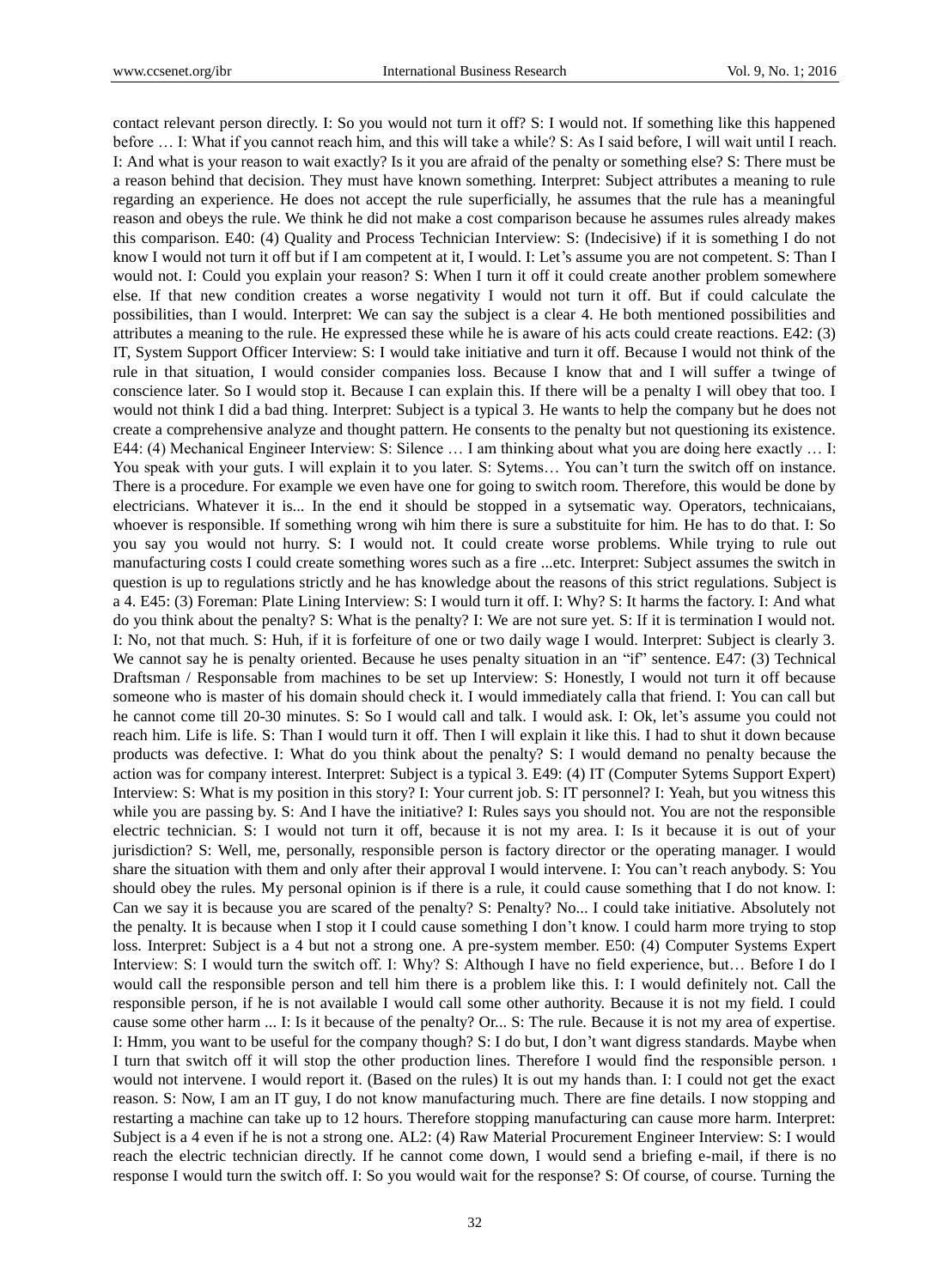contact relevant person directly. I: So you would not turn it off? S: I would not. If something like this happened before … I: What if you cannot reach him, and this will take a while? S: As I said before, I will wait until I reach. I: And what is your reason to wait exactly? Is it you are afraid of the penalty or something else? S: There must be a reason behind that decision. They must have known something. Interpret: Subject attributes a meaning to rule regarding an experience. He does not accept the rule superficially, he assumes that the rule has a meaningful reason and obeys the rule. We think he did not make a cost comparison because he assumes rules already makes this comparison. E40: (4) Quality and Process Technician Interview: S: (Indecisive) if it is something I do not know I would not turn it off but if I am competent at it, I would. I: Let's assume you are not competent. S: Than I would not. I: Could you explain your reason? S: When I turn it off it could create another problem somewhere else. If that new condition creates a worse negativity I would not turn it off. But if could calculate the possibilities, than I would. Interpret: We can say the subject is a clear 4. He both mentioned possibilities and attributes a meaning to the rule. He expressed these while he is aware of his acts could create reactions. E42: (3) IT, System Support Officer Interview: S: I would take initiative and turn it off. Because I would not think of the rule in that situation, I would consider companies loss. Because I know that and I will suffer a twinge of conscience later. So I would stop it. Because I can explain this. If there will be a penalty I will obey that too. I would not think I did a bad thing. Interpret: Subject is a typical 3. He wants to help the company but he does not create a comprehensive analyze and thought pattern. He consents to the penalty but not questioning its existence. E44: (4) Mechanical Engineer Interview: S: Silence … I am thinking about what you are doing here exactly … I: You speak with your guts. I will explain it to you later. S: Sytems… You can't turn the switch off on instance. There is a procedure. For example we even have one for going to switch room. Therefore, this would be done by electricians. Whatever it is... In the end it should be stopped in a sytsematic way. Operators, technicaians, whoever is responsible. If something wrong wih him there is sure a substituite for him. He has to do that. I: So you say you would not hurry. S: I would not. It could create worse problems. While trying to rule out manufacturing costs I could create something wores such as a fire ...etc. Interpret: Subject assumes the switch in question is up to regulations strictly and he has knowledge about the reasons of this strict regulations. Subject is a 4. E45: (3) Foreman: Plate Lining Interview: S: I would turn it off. I: Why? S: It harms the factory. I: And what do you think about the penalty? S: What is the penalty? I: We are not sure yet. S: If it is termination I would not. I: No, not that much. S: Huh, if it is forfeiture of one or two daily wage I would. Interpret: Subject is clearly 3. We cannot say he is penalty oriented. Because he uses penalty situation in an "if" sentence. E47: (3) Technical Draftsman / Responsable from machines to be set up Interview: S: Honestly, I would not turn it off because someone who is master of his domain should check it. I would immediately calla that friend. I: You can call but he cannot come till 20-30 minutes. S: So I would call and talk. I would ask. I: Ok, let's assume you could not reach him. Life is life. S: Than I would turn it off. Then I will explain it like this. I had to shut it down because products was defective. I: What do you think about the penalty? S: I would demand no penalty because the action was for company interest. Interpret: Subject is a typical 3. E49: (4) IT (Computer Sytems Support Expert) Interview: S: What is my position in this story? I: Your current job. S: IT personnel? I: Yeah, but you witness this while you are passing by. S: And I have the initiative? I: Rules says you should not. You are not the responsible electric technician. S: I would not turn it off, because it is not my area. I: Is it because it is out of your jurisdiction? S: Well, me, personally, responsible person is factory director or the operating manager. I would share the situation with them and only after their approval I would intervene. I: You can't reach anybody. S: You should obey the rules. My personal opinion is if there is a rule, it could cause something that I do not know. I: Can we say it is because you are scared of the penalty? S: Penalty? No... I could take initiative. Absolutely not the penalty. It is because when I stop it I could cause something I don't know. I could harm more trying to stop loss. Interpret: Subject is a 4 but not a strong one. A pre-system member. E50: (4) Computer Systems Expert Interview: S: I would turn the switch off. I: Why? S: Although I have no field experience, but… Before I do I would call the responsible person and tell him there is a problem like this. I: I would definitely not. Call the responsible person, if he is not available I would call some other authority. Because it is not my field. I could cause some other harm ... I: Is it because of the penalty? Or... S: The rule. Because it is not my area of expertise. I: Hmm, you want to be useful for the company though? S: I do but, I don't want digress standards. Maybe when I turn that switch off it will stop the other production lines. Therefore I would find the responsible person. ı would not intervene. I would report it. (Based on the rules) It is out my hands than. I: I could not get the exact reason. S: Now, I am an IT guy, I do not know manufacturing much. There are fine details. I now stopping and restarting a machine can take up to 12 hours. Therefore stopping manufacturing can cause more harm. Interpret: Subject is a 4 even if he is not a strong one. AL2: (4) Raw Material Procurement Engineer Interview: S: I would reach the electric technician directly. If he cannot come down, I would send a briefing e-mail, if there is no response I would turn the switch off. I: So you would wait for the response? S: Of course, of course. Turning the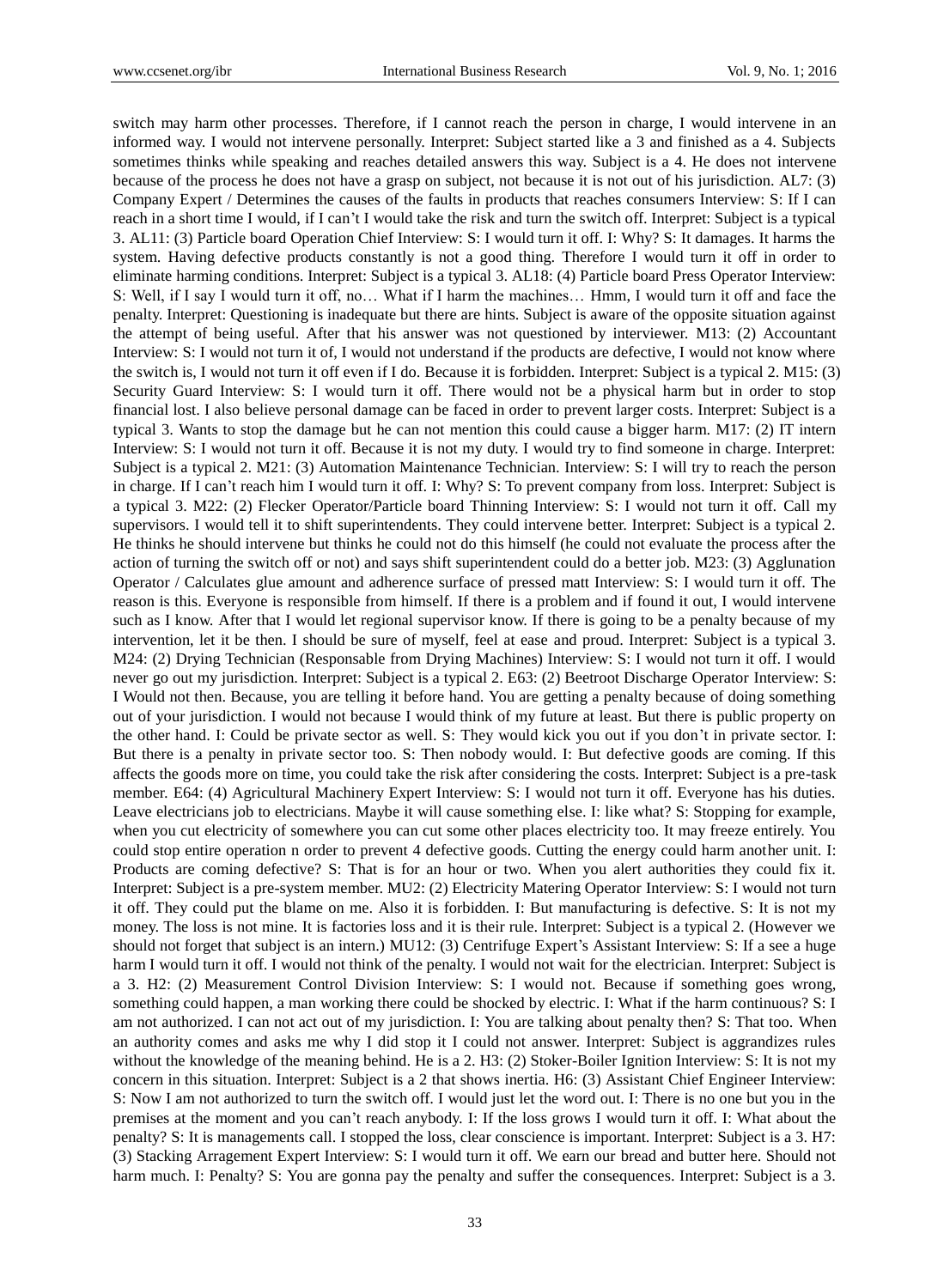switch may harm other processes. Therefore, if I cannot reach the person in charge, I would intervene in an informed way. I would not intervene personally. Interpret: Subject started like a 3 and finished as a 4. Subjects sometimes thinks while speaking and reaches detailed answers this way. Subject is a 4. He does not intervene because of the process he does not have a grasp on subject, not because it is not out of his jurisdiction. AL7: (3) Company Expert / Determines the causes of the faults in products that reaches consumers Interview: S: If I can reach in a short time I would, if I can't I would take the risk and turn the switch off. Interpret: Subject is a typical 3. AL11: (3) Particle board Operation Chief Interview: S: I would turn it off. I: Why? S: It damages. It harms the system. Having defective products constantly is not a good thing. Therefore I would turn it off in order to eliminate harming conditions. Interpret: Subject is a typical 3. AL18: (4) Particle board Press Operator Interview: S: Well, if I say I would turn it off, no… What if I harm the machines… Hmm, I would turn it off and face the penalty. Interpret: Questioning is inadequate but there are hints. Subject is aware of the opposite situation against the attempt of being useful. After that his answer was not questioned by interviewer. M13: (2) Accountant Interview: S: I would not turn it of, I would not understand if the products are defective, I would not know where the switch is, I would not turn it off even if I do. Because it is forbidden. Interpret: Subject is a typical 2. M15: (3) Security Guard Interview: S: I would turn it off. There would not be a physical harm but in order to stop financial lost. I also believe personal damage can be faced in order to prevent larger costs. Interpret: Subject is a typical 3. Wants to stop the damage but he can not mention this could cause a bigger harm. M17: (2) IT intern Interview: S: I would not turn it off. Because it is not my duty. I would try to find someone in charge. Interpret: Subject is a typical 2. M21: (3) Automation Maintenance Technician. Interview: S: I will try to reach the person in charge. If I can't reach him I would turn it off. I: Why? S: To prevent company from loss. Interpret: Subject is a typical 3. M22: (2) Flecker Operator/Particle board Thinning Interview: S: I would not turn it off. Call my supervisors. I would tell it to shift superintendents. They could intervene better. Interpret: Subject is a typical 2. He thinks he should intervene but thinks he could not do this himself (he could not evaluate the process after the action of turning the switch off or not) and says shift superintendent could do a better job. M23: (3) Agglunation Operator / Calculates glue amount and adherence surface of pressed matt Interview: S: I would turn it off. The reason is this. Everyone is responsible from himself. If there is a problem and if found it out, I would intervene such as I know. After that I would let regional supervisor know. If there is going to be a penalty because of my intervention, let it be then. I should be sure of myself, feel at ease and proud. Interpret: Subject is a typical 3. M24: (2) Drying Technician (Responsable from Drying Machines) Interview: S: I would not turn it off. I would never go out my jurisdiction. Interpret: Subject is a typical 2. E63: (2) Beetroot Discharge Operator Interview: S: I Would not then. Because, you are telling it before hand. You are getting a penalty because of doing something out of your jurisdiction. I would not because I would think of my future at least. But there is public property on the other hand. I: Could be private sector as well. S: They would kick you out if you don't in private sector. I: But there is a penalty in private sector too. S: Then nobody would. I: But defective goods are coming. If this affects the goods more on time, you could take the risk after considering the costs. Interpret: Subject is a pre-task member. E64: (4) Agricultural Machinery Expert Interview: S: I would not turn it off. Everyone has his duties. Leave electricians job to electricians. Maybe it will cause something else. I: like what? S: Stopping for example, when you cut electricity of somewhere you can cut some other places electricity too. It may freeze entirely. You could stop entire operation n order to prevent 4 defective goods. Cutting the energy could harm another unit. I: Products are coming defective? S: That is for an hour or two. When you alert authorities they could fix it. Interpret: Subject is a pre-system member. MU2: (2) Electricity Matering Operator Interview: S: I would not turn it off. They could put the blame on me. Also it is forbidden. I: But manufacturing is defective. S: It is not my money. The loss is not mine. It is factories loss and it is their rule. Interpret: Subject is a typical 2. (However we should not forget that subject is an intern.) MU12: (3) Centrifuge Expert's Assistant Interview: S: If a see a huge harm I would turn it off. I would not think of the penalty. I would not wait for the electrician. Interpret: Subject is a 3. H2: (2) Measurement Control Division Interview: S: I would not. Because if something goes wrong, something could happen, a man working there could be shocked by electric. I: What if the harm continuous? S: I am not authorized. I can not act out of my jurisdiction. I: You are talking about penalty then? S: That too. When an authority comes and asks me why I did stop it I could not answer. Interpret: Subject is aggrandizes rules without the knowledge of the meaning behind. He is a 2. H3: (2) Stoker-Boiler Ignition Interview: S: It is not my concern in this situation. Interpret: Subject is a 2 that shows inertia. H6: (3) Assistant Chief Engineer Interview: S: Now I am not authorized to turn the switch off. I would just let the word out. I: There is no one but you in the premises at the moment and you can't reach anybody. I: If the loss grows I would turn it off. I: What about the penalty? S: It is managements call. I stopped the loss, clear conscience is important. Interpret: Subject is a 3. H7: (3) Stacking Arragement Expert Interview: S: I would turn it off. We earn our bread and butter here. Should not harm much. I: Penalty? S: You are gonna pay the penalty and suffer the consequences. Interpret: Subject is a 3.